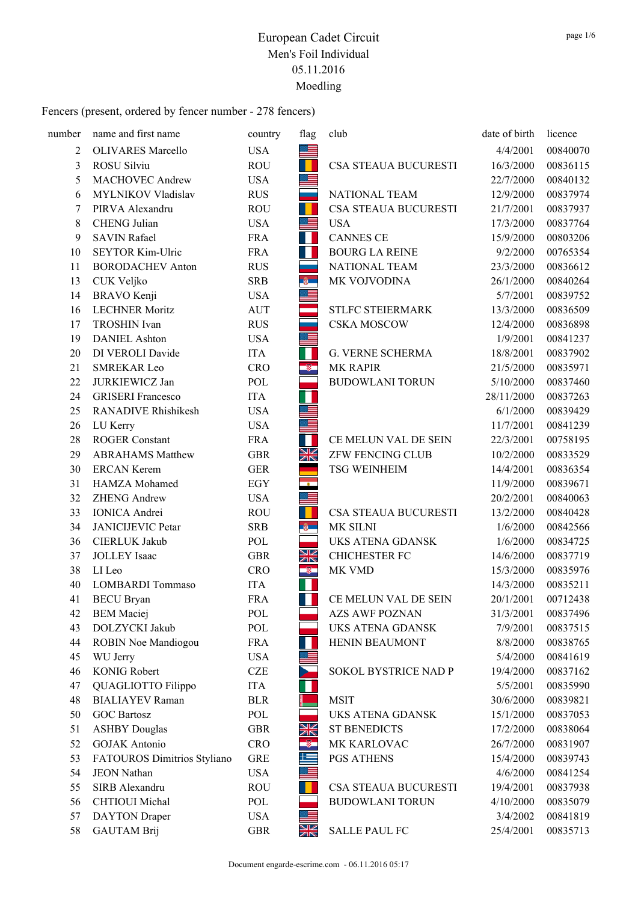| number | name and first name         | country    | flag      | club                    | date of birth | licence  |
|--------|-----------------------------|------------|-----------|-------------------------|---------------|----------|
| 2      | <b>OLIVARES</b> Marcello    | <b>USA</b> | I         |                         | 4/4/2001      | 00840070 |
| 3      | ROSU Silviu                 | <b>ROU</b> |           | CSA STEAUA BUCURESTI    | 16/3/2000     | 00836115 |
| 5      | <b>MACHOVEC Andrew</b>      | <b>USA</b> | ≡         |                         | 22/7/2000     | 00840132 |
| 6      | MYLNIKOV Vladislav          | <b>RUS</b> |           | <b>NATIONAL TEAM</b>    | 12/9/2000     | 00837974 |
| 7      | PIRVA Alexandru             | <b>ROU</b> | н         | CSA STEAUA BUCURESTI    | 21/7/2001     | 00837937 |
| 8      | CHENG Julian                | <b>USA</b> | 트         | <b>USA</b>              | 17/3/2000     | 00837764 |
| 9      | <b>SAVIN Rafael</b>         | <b>FRA</b> | H         | <b>CANNES CE</b>        | 15/9/2000     | 00803206 |
| 10     | SEYTOR Kim-Ulric            | <b>FRA</b> | Ш         | <b>BOURG LA REINE</b>   | 9/2/2000      | 00765354 |
| 11     | <b>BORODACHEV Anton</b>     | <b>RUS</b> |           | NATIONAL TEAM           | 23/3/2000     | 00836612 |
| 13     | CUK Veljko                  | <b>SRB</b> | <b>B</b>  | MK VOJVODINA            | 26/1/2000     | 00840264 |
| 14     | <b>BRAVO</b> Kenji          | <b>USA</b> | $\equiv$  |                         | 5/7/2001      | 00839752 |
| 16     | <b>LECHNER Moritz</b>       | <b>AUT</b> |           | STLFC STEIERMARK        | 13/3/2000     | 00836509 |
| 17     | <b>TROSHIN</b> Ivan         | <b>RUS</b> |           | <b>CSKA MOSCOW</b>      | 12/4/2000     | 00836898 |
| 19     | <b>DANIEL Ashton</b>        | <b>USA</b> | 트         |                         | 1/9/2001      | 00841237 |
| 20     | DI VEROLI Davide            | <b>ITA</b> | П         | G. VERNE SCHERMA        | 18/8/2001     | 00837902 |
| 21     | <b>SMREKAR Leo</b>          | <b>CRO</b> | ÷         | MK RAPIR                | 21/5/2000     | 00835971 |
| 22     | JURKIEWICZ Jan              | POL        |           | <b>BUDOWLANI TORUN</b>  | 5/10/2000     | 00837460 |
| 24     | <b>GRISERI</b> Francesco    | <b>ITA</b> |           |                         | 28/11/2000    | 00837263 |
| 25     | RANADIVE Rhishikesh         | <b>USA</b> |           |                         | 6/1/2000      | 00839429 |
| 26     | LU Kerry                    | <b>USA</b> |           |                         | 11/7/2001     | 00841239 |
| 28     | <b>ROGER Constant</b>       | <b>FRA</b> | П         | CE MELUN VAL DE SEIN    | 22/3/2001     | 00758195 |
| 29     | <b>ABRAHAMS Matthew</b>     | <b>GBR</b> | XK        | ZFW FENCING CLUB        | 10/2/2000     | 00833529 |
| 30     | <b>ERCAN Kerem</b>          | <b>GER</b> |           | TSG WEINHEIM            | 14/4/2001     | 00836354 |
| 31     | HAMZA Mohamed               | <b>EGY</b> | ÷         |                         | 11/9/2000     | 00839671 |
| 32     | <b>ZHENG Andrew</b>         | <b>USA</b> | ≡         |                         | 20/2/2001     | 00840063 |
| 33     | <b>IONICA</b> Andrei        | <b>ROU</b> |           | CSA STEAUA BUCURESTI    | 13/2/2000     | 00840428 |
| 34     | <b>JANICIJEVIC Petar</b>    | <b>SRB</b> | $-6$      | MK SILNI                | 1/6/2000      | 00842566 |
| 36     | CIERLUK Jakub               | POL        |           | <b>UKS ATENA GDANSK</b> | 1/6/2000      | 00834725 |
| 37     | <b>JOLLEY</b> Isaac         | <b>GBR</b> | N<br>Ak   | <b>CHICHESTER FC</b>    | 14/6/2000     | 00837719 |
| 38     | LI Leo                      | <b>CRO</b> | J,        | MK VMD                  | 15/3/2000     | 00835976 |
| 40     | <b>LOMBARDI</b> Tommaso     | <b>ITA</b> | П         |                         | 14/3/2000     | 00835211 |
| 41     | <b>BECU</b> Bryan           | <b>FRA</b> | H         | CE MELUN VAL DE SEIN    | 20/1/2001     | 00712438 |
| 42     | <b>BEM</b> Maciej           | POL        |           | <b>AZS AWF POZNAN</b>   | 31/3/2001     | 00837496 |
| 43     | DOLZYCKI Jakub              | POL        |           | <b>UKS ATENA GDANSK</b> | 7/9/2001      | 00837515 |
| 44     | <b>ROBIN Noe Mandiogou</b>  | <b>FRA</b> |           | HENIN BEAUMONT          | 8/8/2000      | 00838765 |
| 45     | WU Jerry                    | <b>USA</b> |           |                         | 5/4/2000      | 00841619 |
| 46     | <b>KONIG Robert</b>         | <b>CZE</b> |           | SOKOL BYSTRICE NAD P    | 19/4/2000     | 00837162 |
| 47     | QUAGLIOTTO Filippo          | <b>ITA</b> |           |                         | 5/5/2001      | 00835990 |
| 48     | <b>BIALIAYEV</b> Raman      | <b>BLR</b> |           | <b>MSIT</b>             | 30/6/2000     | 00839821 |
| 50     | <b>GOC Bartosz</b>          | POL        |           | <b>UKS ATENA GDANSK</b> | 15/1/2000     | 00837053 |
| 51     | <b>ASHBY Douglas</b>        | <b>GBR</b> | N<br>Ak   | <b>ST BENEDICTS</b>     | 17/2/2000     | 00838064 |
| 52     | <b>GOJAK</b> Antonio        | <b>CRO</b> | $\bullet$ | MK KARLOVAC             | 26/7/2000     | 00831907 |
| 53     | FATOUROS Dimitrios Styliano | <b>GRE</b> | 兰         | PGS ATHENS              | 15/4/2000     | 00839743 |
| 54     | <b>JEON Nathan</b>          | <b>USA</b> |           |                         | 4/6/2000      | 00841254 |
| 55     | SIRB Alexandru              | <b>ROU</b> |           | CSA STEAUA BUCURESTI    | 19/4/2001     | 00837938 |
| 56     | CHTIOUI Michal              | POL        |           | <b>BUDOWLANI TORUN</b>  | 4/10/2000     | 00835079 |
| 57     | <b>DAYTON</b> Draper        | <b>USA</b> |           |                         | 3/4/2002      | 00841819 |
| 58     | <b>GAUTAM Brij</b>          | <b>GBR</b> | NK        | <b>SALLE PAUL FC</b>    | 25/4/2001     | 00835713 |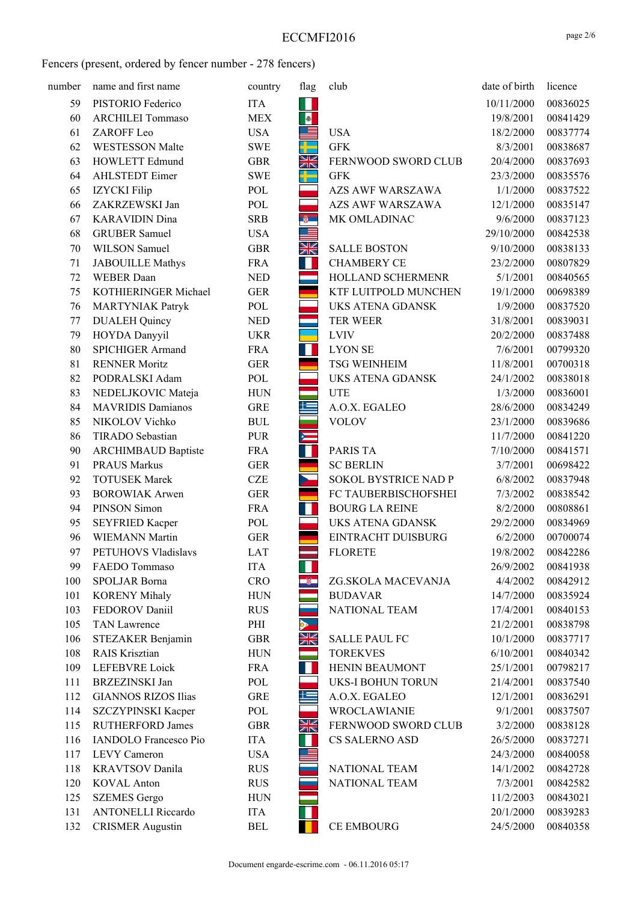| number | name and first name          | country    | flag      | club                     | date of birth | licence  |
|--------|------------------------------|------------|-----------|--------------------------|---------------|----------|
| 59     | PISTORIO Federico            | <b>ITA</b> | Ш         |                          | 10/11/2000    | 00836025 |
| 60     | <b>ARCHILEI Tommaso</b>      | <b>MEX</b> | $\bullet$ |                          | 19/8/2001     | 00841429 |
| 61     | ZAROFF Leo                   | <b>USA</b> | €         | <b>USA</b>               | 18/2/2000     | 00837774 |
| 62     | <b>WESTESSON Malte</b>       | <b>SWE</b> |           | <b>GFK</b>               | 8/3/2001      | 00838687 |
| 63     | HOWLETT Edmund               | <b>GBR</b> | XK        | FERNWOOD SWORD CLUB      | 20/4/2000     | 00837693 |
| 64     | <b>AHLSTEDT</b> Eimer        | <b>SWE</b> | ╄         | <b>GFK</b>               | 23/3/2000     | 00835576 |
| 65     | <b>IZYCKI</b> Filip          | POL        |           | <b>AZS AWF WARSZAWA</b>  | 1/1/2000      | 00837522 |
| 66     | ZAKRZEWSKI Jan               | POL        |           | <b>AZS AWF WARSZAWA</b>  | 12/1/2000     | 00835147 |
| 67     | <b>KARAVIDIN Dina</b>        | <b>SRB</b> | ÷.        | MK OMLADINAC             | 9/6/2000      | 00837123 |
| 68     | <b>GRUBER Samuel</b>         | <b>USA</b> |           |                          | 29/10/2000    | 00842538 |
| 70     | WILSON Samuel                | <b>GBR</b> | XK        | <b>SALLE BOSTON</b>      | 9/10/2000     | 00838133 |
| 71     | <b>JABOUILLE Mathys</b>      | <b>FRA</b> | Ш         | <b>CHAMBERY CE</b>       | 23/2/2000     | 00807829 |
| 72     | <b>WEBER</b> Daan            | <b>NED</b> |           | HOLLAND SCHERMENR        | 5/1/2001      | 00840565 |
| 75     | KOTHIERINGER Michael         | <b>GER</b> |           | KTF LUITPOLD MUNCHEN     | 19/1/2000     | 00698389 |
| 76     | <b>MARTYNIAK Patryk</b>      | POL        |           | <b>UKS ATENA GDANSK</b>  | 1/9/2000      | 00837520 |
| 77     | <b>DUALEH Quincy</b>         | <b>NED</b> |           | <b>TER WEER</b>          | 31/8/2001     | 00839031 |
| 79     | HOYDA Danyyil                | <b>UKR</b> |           | <b>LVIV</b>              | 20/2/2000     | 00837488 |
| 80     | <b>SPICHIGER Armand</b>      | <b>FRA</b> | ш         | <b>LYON SE</b>           | 7/6/2001      | 00799320 |
| 81     | <b>RENNER Moritz</b>         | <b>GER</b> |           | <b>TSG WEINHEIM</b>      | 11/8/2001     | 00700318 |
| 82     | PODRALSKI Adam               | POL        |           | <b>UKS ATENA GDANSK</b>  | 24/1/2002     | 00838018 |
| 83     | NEDELJKOVIC Mateja           | <b>HUN</b> |           | <b>UTE</b>               | 1/3/2000      | 00836001 |
| 84     | <b>MAVRIDIS Damianos</b>     | <b>GRE</b> | 些         | A.O.X. EGALEO            | 28/6/2000     | 00834249 |
| 85     | NIKOLOV Vichko               | <b>BUL</b> |           | <b>VOLOV</b>             | 23/1/2000     | 00839686 |
| 86     | TIRADO Sebastian             | <b>PUR</b> | $\equiv$  |                          | 11/7/2000     | 00841220 |
| 90     | <b>ARCHIMBAUD Baptiste</b>   | <b>FRA</b> | Ш         | PARIS TA                 | 7/10/2000     | 00841571 |
| 91     | <b>PRAUS Markus</b>          | <b>GER</b> |           | <b>SC BERLIN</b>         | 3/7/2001      | 00698422 |
| 92     | <b>TOTUSEK Marek</b>         | <b>CZE</b> |           | SOKOL BYSTRICE NAD P     | 6/8/2002      | 00837948 |
| 93     | <b>BOROWIAK Arwen</b>        | <b>GER</b> |           | FC TAUBERBISCHOFSHEI     | 7/3/2002      | 00838542 |
| 94     | PINSON Simon                 | <b>FRA</b> | Ш         | <b>BOURG LA REINE</b>    | 8/2/2000      | 00808861 |
| 95     | <b>SEYFRIED Kacper</b>       | POL        |           | <b>UKS ATENA GDANSK</b>  | 29/2/2000     | 00834969 |
| 96     | <b>WIEMANN Martin</b>        | <b>GER</b> |           | EINTRACHT DUISBURG       | 6/2/2000      | 00700074 |
| 97     | PETUHOVS Vladislavs          | <b>LAT</b> |           | <b>FLORETE</b>           | 19/8/2002     | 00842286 |
| 99     | FAEDO Tommaso                | <b>ITA</b> |           |                          | 26/9/2002     | 00841938 |
| 100    | SPOLJAR Borna                | <b>CRO</b> |           | ZG.SKOLA MACEVANJA       | 4/4/2002      | 00842912 |
| 101    | <b>KORENY Mihaly</b>         | <b>HUN</b> |           | <b>BUDAVAR</b>           | 14/7/2000     | 00835924 |
| 103    | FEDOROV Daniil               | <b>RUS</b> |           | NATIONAL TEAM            | 17/4/2001     | 00840153 |
| 105    | TAN Lawrence                 | PHI        |           |                          | 21/2/2001     | 00838798 |
| 106    | STEZAKER Benjamin            | <b>GBR</b> | NK<br>NK  | <b>SALLE PAUL FC</b>     | 10/1/2000     | 00837717 |
| 108    | RAIS Krisztian               | <b>HUN</b> |           | <b>TOREKVES</b>          | 6/10/2001     | 00840342 |
| 109    | LEFEBVRE Loick               | <b>FRA</b> | ш         | HENIN BEAUMONT           | 25/1/2001     | 00798217 |
| 111    | <b>BRZEZINSKI</b> Jan        | POL        |           | <b>UKS-I BOHUN TORUN</b> | 21/4/2001     | 00837540 |
| 112    | <b>GIANNOS RIZOS Ilias</b>   | <b>GRE</b> | ≝         | A.O.X. EGALEO            | 12/1/2001     | 00836291 |
| 114    | SZCZYPINSKI Kacper           | POL        |           | WROCLAWIANIE             | 9/1/2001      | 00837507 |
| 115    | <b>RUTHERFORD James</b>      | <b>GBR</b> | NK<br>NK  | FERNWOOD SWORD CLUB      | 3/2/2000      | 00838128 |
| 116    | <b>IANDOLO</b> Francesco Pio | <b>ITA</b> |           | CS SALERNO ASD           | 26/5/2000     | 00837271 |
| 117    | <b>LEVY</b> Cameron          | <b>USA</b> |           |                          | 24/3/2000     | 00840058 |
| 118    | <b>KRAVTSOV</b> Danila       | <b>RUS</b> |           | NATIONAL TEAM            | 14/1/2002     | 00842728 |
| 120    | <b>KOVAL</b> Anton           | <b>RUS</b> |           | NATIONAL TEAM            | 7/3/2001      | 00842582 |
| 125    | <b>SZEMES</b> Gergo          | <b>HUN</b> |           |                          | 11/2/2003     | 00843021 |
| 131    | <b>ANTONELLI Riccardo</b>    | <b>ITA</b> |           |                          | 20/1/2000     | 00839283 |
| 132    | <b>CRISMER Augustin</b>      | <b>BEL</b> |           | <b>CE EMBOURG</b>        | 24/5/2000     | 00840358 |
|        |                              |            |           |                          |               |          |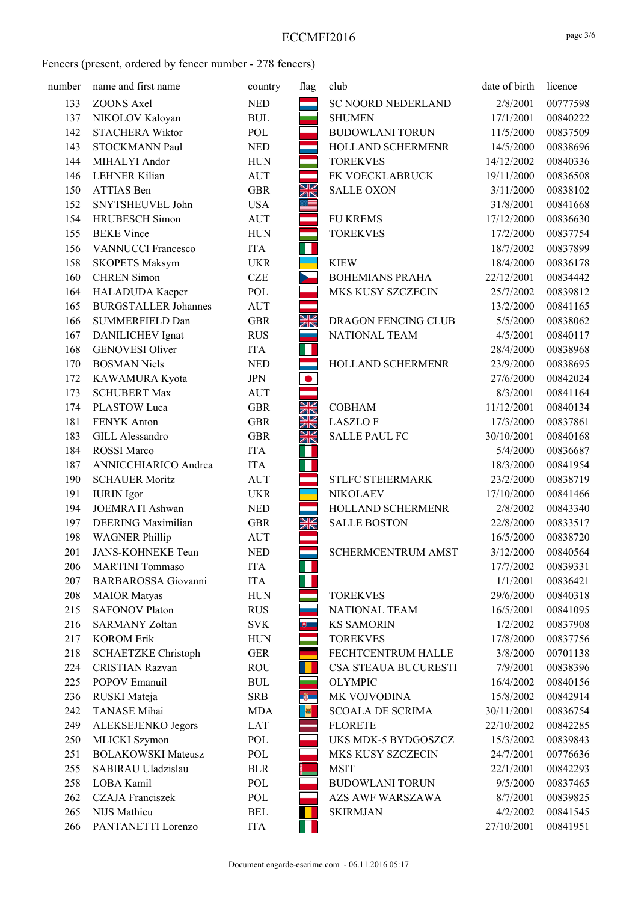| number | name and first name         | country    | flag                    | club                      | date of birth | licence  |
|--------|-----------------------------|------------|-------------------------|---------------------------|---------------|----------|
| 133    | <b>ZOONS Axel</b>           | <b>NED</b> |                         | SC NOORD NEDERLAND        | 2/8/2001      | 00777598 |
| 137    | NIKOLOV Kaloyan             | <b>BUL</b> |                         | <b>SHUMEN</b>             | 17/1/2001     | 00840222 |
| 142    | <b>STACHERA Wiktor</b>      | POL        |                         | <b>BUDOWLANI TORUN</b>    | 11/5/2000     | 00837509 |
| 143    | STOCKMANN Paul              | <b>NED</b> |                         | HOLLAND SCHERMENR         | 14/5/2000     | 00838696 |
| 144    | MIHALYI Andor               | <b>HUN</b> |                         | <b>TOREKVES</b>           | 14/12/2002    | 00840336 |
| 146    | LEHNER Kilian               | <b>AUT</b> |                         | FK VOECKLABRUCK           | 19/11/2000    | 00836508 |
| 150    | ATTIAS Ben                  | <b>GBR</b> | XK                      | <b>SALLE OXON</b>         | 3/11/2000     | 00838102 |
| 152    | SNYTSHEUVEL John            | <b>USA</b> | ≣                       |                           | 31/8/2001     | 00841668 |
| 154    | <b>HRUBESCH</b> Simon       | <b>AUT</b> |                         | <b>FU KREMS</b>           | 17/12/2000    | 00836630 |
| 155    | <b>BEKE Vince</b>           | <b>HUN</b> |                         | <b>TOREKVES</b>           | 17/2/2000     | 00837754 |
| 156    | <b>VANNUCCI Francesco</b>   | <b>ITA</b> | Н                       |                           | 18/7/2002     | 00837899 |
| 158    | <b>SKOPETS Maksym</b>       | <b>UKR</b> |                         | <b>KIEW</b>               | 18/4/2000     | 00836178 |
| 160    | <b>CHREN</b> Simon          | <b>CZE</b> |                         | <b>BOHEMIANS PRAHA</b>    | 22/12/2001    | 00834442 |
| 164    | HALADUDA Kacper             | POL        |                         | MKS KUSY SZCZECIN         | 25/7/2002     | 00839812 |
| 165    | <b>BURGSTALLER Johannes</b> | AUT        |                         |                           | 13/2/2000     | 00841165 |
| 166    | SUMMERFIELD Dan             | <b>GBR</b> | XK                      | DRAGON FENCING CLUB       | 5/5/2000      | 00838062 |
| 167    | DANILICHEV Ignat            | <b>RUS</b> |                         | NATIONAL TEAM             | 4/5/2001      | 00840117 |
| 168    | <b>GENOVESI Oliver</b>      | <b>ITA</b> | ш                       |                           | 28/4/2000     | 00838968 |
| 170    | <b>BOSMAN Niels</b>         | <b>NED</b> |                         | HOLLAND SCHERMENR         | 23/9/2000     | 00838695 |
| 172    | KAWAMURA Kyota              | JPN        | $\bullet$               |                           | 27/6/2000     | 00842024 |
| 173    | <b>SCHUBERT Max</b>         | <b>AUT</b> |                         |                           | 8/3/2001      | 00841164 |
| 174    | PLASTOW Luca                | <b>GBR</b> | NK<br>AK                | <b>COBHAM</b>             | 11/12/2001    | 00840134 |
| 181    | FENYK Anton                 | <b>GBR</b> | XK                      | <b>LASZLOF</b>            | 17/3/2000     | 00837861 |
| 183    | GILL Alessandro             | <b>GBR</b> | XK                      | <b>SALLE PAUL FC</b>      | 30/10/2001    | 00840168 |
| 184    | <b>ROSSI</b> Marco          | <b>ITA</b> |                         |                           | 5/4/2000      | 00836687 |
| 187    | ANNICCHIARICO Andrea        | <b>ITA</b> | Ш                       |                           | 18/3/2000     | 00841954 |
| 190    | <b>SCHAUER Moritz</b>       | AUT        |                         | STLFC STEIERMARK          | 23/2/2000     | 00838719 |
| 191    | <b>IURIN</b> Igor           | <b>UKR</b> |                         | <b>NIKOLAEV</b>           | 17/10/2000    | 00841466 |
| 194    | JOEMRATI Ashwan             | <b>NED</b> |                         | HOLLAND SCHERMENR         | 2/8/2002      | 00843340 |
| 197    | <b>DEERING</b> Maximilian   | <b>GBR</b> | NK<br>7K                | <b>SALLE BOSTON</b>       | 22/8/2000     | 00833517 |
| 198    | <b>WAGNER Phillip</b>       | AUT        |                         |                           | 16/5/2000     | 00838720 |
| 201    | <b>JANS-KOHNEKE Teun</b>    | <b>NED</b> |                         | <b>SCHERMCENTRUM AMST</b> | 3/12/2000     | 00840564 |
| 206    | <b>MARTINI</b> Tommaso      | ITA        | ш                       |                           | 17/7/2002     | 00839331 |
| 207    | <b>BARBAROSSA</b> Giovanni  | <b>ITA</b> |                         |                           | 1/1/2001      | 00836421 |
| 208    | <b>MAIOR</b> Matyas         | <b>HUN</b> |                         | <b>TOREKVES</b>           | 29/6/2000     | 00840318 |
| 215    | <b>SAFONOV Platon</b>       | <b>RUS</b> |                         | NATIONAL TEAM             | 16/5/2001     | 00841095 |
| 216    | <b>SARMANY Zoltan</b>       | <b>SVK</b> | $\overline{\mathbf{v}}$ | <b>KS SAMORIN</b>         | 1/2/2002      | 00837908 |
| 217    | <b>KOROM Erik</b>           | <b>HUN</b> |                         | <b>TOREKVES</b>           | 17/8/2000     | 00837756 |
| 218    | <b>SCHAETZKE Christoph</b>  | <b>GER</b> |                         | FECHTCENTRUM HALLE        | 3/8/2000      | 00701138 |
| 224    | <b>CRISTIAN Razvan</b>      | <b>ROU</b> |                         | CSA STEAUA BUCURESTI      | 7/9/2001      | 00838396 |
| 225    | POPOV Emanuil               | <b>BUL</b> |                         | <b>OLYMPIC</b>            | 16/4/2002     | 00840156 |
| 236    | RUSKI Mateja                | <b>SRB</b> | <b>B</b>                | MK VOJVODINA              | 15/8/2002     | 00842914 |
| 242    | TANASE Mihai                | <b>MDA</b> | 國                       | <b>SCOALA DE SCRIMA</b>   | 30/11/2001    | 00836754 |
| 249    | ALEKSEJENKO Jegors          | LAT        |                         | <b>FLORETE</b>            | 22/10/2002    | 00842285 |
| 250    | MLICKI Szymon               | POL        |                         | UKS MDK-5 BYDGOSZCZ       | 15/3/2002     | 00839843 |
| 251    | <b>BOLAKOWSKI Mateusz</b>   | POL        |                         | MKS KUSY SZCZECIN         | 24/7/2001     | 00776636 |
| 255    | SABIRAU Uladzislau          | <b>BLR</b> |                         | <b>MSIT</b>               | 22/1/2001     | 00842293 |
| 258    | LOBA Kamil                  | POL        |                         | <b>BUDOWLANI TORUN</b>    | 9/5/2000      | 00837465 |
| 262    | <b>CZAJA</b> Franciszek     | POL        |                         | <b>AZS AWF WARSZAWA</b>   | 8/7/2001      | 00839825 |
| 265    | NIJS Mathieu                | <b>BEL</b> |                         | <b>SKIRMJAN</b>           | 4/2/2002      | 00841545 |
| 266    | PANTANETTI Lorenzo          | <b>ITA</b> | Ш                       |                           | 27/10/2001    | 00841951 |
|        |                             |            |                         |                           |               |          |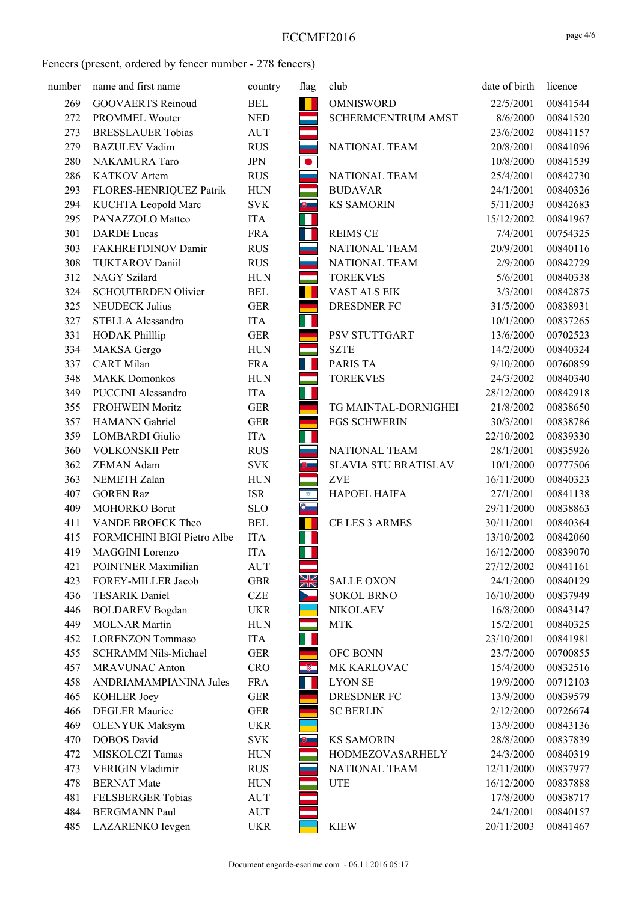| number | name and first name         | country    | flag           | club                 | date of birth | licence  |
|--------|-----------------------------|------------|----------------|----------------------|---------------|----------|
| 269    | <b>GOOVAERTS Reinoud</b>    | <b>BEL</b> | $\blacksquare$ | <b>OMNISWORD</b>     | 22/5/2001     | 00841544 |
| 272    | PROMMEL Wouter              | <b>NED</b> |                | SCHERMCENTRUM AMST   | 8/6/2000      | 00841520 |
| 273    | <b>BRESSLAUER Tobias</b>    | <b>AUT</b> |                |                      | 23/6/2002     | 00841157 |
| 279    | <b>BAZULEV Vadim</b>        | <b>RUS</b> |                | NATIONAL TEAM        | 20/8/2001     | 00841096 |
| 280    | NAKAMURA Taro               | <b>JPN</b> | $\bullet$      |                      | 10/8/2000     | 00841539 |
| 286    | KATKOV Artem                | <b>RUS</b> |                | NATIONAL TEAM        | 25/4/2001     | 00842730 |
| 293    | FLORES-HENRIQUEZ Patrik     | <b>HUN</b> |                | <b>BUDAVAR</b>       | 24/1/2001     | 00840326 |
| 294    | KUCHTA Leopold Marc         | <b>SVK</b> | $\bullet$ .    | <b>KS SAMORIN</b>    | 5/11/2003     | 00842683 |
| 295    | PANAZZOLO Matteo            | <b>ITA</b> | Ш              |                      | 15/12/2002    | 00841967 |
| 301    | <b>DARDE</b> Lucas          | <b>FRA</b> | Ш              | <b>REIMS CE</b>      | 7/4/2001      | 00754325 |
| 303    | FAKHRETDINOV Damir          | <b>RUS</b> |                | NATIONAL TEAM        | 20/9/2001     | 00840116 |
| 308    | <b>TUKTAROV Daniil</b>      | <b>RUS</b> |                | NATIONAL TEAM        | 2/9/2000      | 00842729 |
| 312    | NAGY Szilard                | <b>HUN</b> | ÷              | <b>TOREKVES</b>      | 5/6/2001      | 00840338 |
| 324    | <b>SCHOUTERDEN Olivier</b>  | <b>BEL</b> | H              | VAST ALS EIK         | 3/3/2001      | 00842875 |
| 325    | <b>NEUDECK Julius</b>       | <b>GER</b> |                | <b>DRESDNER FC</b>   | 31/5/2000     | 00838931 |
| 327    | STELLA Alessandro           | <b>ITA</b> | Ш              |                      | 10/1/2000     | 00837265 |
| 331    | <b>HODAK Phillip</b>        | <b>GER</b> |                | PSV STUTTGART        | 13/6/2000     | 00702523 |
| 334    | MAKSA Gergo                 | <b>HUN</b> |                | <b>SZTE</b>          | 14/2/2000     | 00840324 |
| 337    | <b>CART</b> Milan           | <b>FRA</b> |                | PARIS TA             | 9/10/2000     | 00760859 |
| 348    | <b>MAKK Domonkos</b>        | <b>HUN</b> |                | <b>TOREKVES</b>      | 24/3/2002     | 00840340 |
| 349    | <b>PUCCINI</b> Alessandro   | <b>ITA</b> | п              |                      | 28/12/2000    | 00842918 |
| 355    | <b>FROHWEIN Moritz</b>      | <b>GER</b> |                | TG MAINTAL-DORNIGHEI | 21/8/2002     | 00838650 |
| 357    | <b>HAMANN</b> Gabriel       | <b>GER</b> |                | <b>FGS SCHWERIN</b>  | 30/3/2001     | 00838786 |
| 359    | <b>LOMBARDI</b> Giulio      | <b>ITA</b> | Ш              |                      | 22/10/2002    | 00839330 |
| 360    | VOLKONSKII Petr             | <b>RUS</b> |                | NATIONAL TEAM        | 28/1/2001     | 00835926 |
| 362    | ZEMAN Adam                  | <b>SVK</b> | $\bullet$ .    | SLAVIA STU BRATISLAV | 10/1/2000     | 00777506 |
| 363    | NEMETH Zalan                | <b>HUN</b> |                | <b>ZVE</b>           | 16/11/2000    | 00840323 |
| 407    | <b>GOREN Raz</b>            | <b>ISR</b> | $\hat{\phi}$   | HAPOEL HAIFA         | 27/1/2001     | 00841138 |
| 409    | MOHORKO Borut               | <b>SLO</b> | $\bullet$      |                      | 29/11/2000    | 00838863 |
| 411    | VANDE BROECK Theo           | <b>BEL</b> |                | CE LES 3 ARMES       | 30/11/2001    | 00840364 |
| 415    | FORMICHINI BIGI Pietro Albe | <b>ITA</b> |                |                      | 13/10/2002    | 00842060 |
| 419    | MAGGINI Lorenzo             | <b>ITA</b> |                |                      | 16/12/2000    | 00839070 |
| 421    | POINTNER Maximilian         | <b>AUT</b> |                |                      | 27/12/2002    | 00841161 |
| 423    | FOREY-MILLER Jacob          | <b>GBR</b> | NK<br>NK       | <b>SALLE OXON</b>    | 24/1/2000     | 00840129 |
| 436    | <b>TESARIK Daniel</b>       | <b>CZE</b> |                | <b>SOKOL BRNO</b>    | 16/10/2000    | 00837949 |
| 446    | <b>BOLDAREV</b> Bogdan      | <b>UKR</b> |                | <b>NIKOLAEV</b>      | 16/8/2000     | 00843147 |
| 449    | <b>MOLNAR Martin</b>        | <b>HUN</b> |                | <b>MTK</b>           | 15/2/2001     | 00840325 |
| 452    | <b>LORENZON Tommaso</b>     | <b>ITA</b> |                |                      | 23/10/2001    | 00841981 |
| 455    | SCHRAMM Nils-Michael        | <b>GER</b> |                | OFC BONN             | 23/7/2000     | 00700855 |
| 457    | <b>MRAVUNAC Anton</b>       | <b>CRO</b> | -81            | MK KARLOVAC          | 15/4/2000     | 00832516 |
| 458    | ANDRIAMAMPIANINA Jules      | <b>FRA</b> | ш              | <b>LYON SE</b>       | 19/9/2000     | 00712103 |
| 465    | KOHLER Joey                 | <b>GER</b> |                | <b>DRESDNER FC</b>   | 13/9/2000     | 00839579 |
| 466    | <b>DEGLER Maurice</b>       | <b>GER</b> |                | <b>SC BERLIN</b>     | 2/12/2000     | 00726674 |
| 469    | <b>OLENYUK Maksym</b>       | <b>UKR</b> |                |                      | 13/9/2000     | 00843136 |
| 470    | <b>DOBOS</b> David          | <b>SVK</b> | $\theta$       | <b>KS SAMORIN</b>    | 28/8/2000     | 00837839 |
| 472    | MISKOLCZI Tamas             | <b>HUN</b> |                | HODMEZOVASARHELY     | 24/3/2000     | 00840319 |
| 473    | <b>VERIGIN Vladimir</b>     | <b>RUS</b> |                | NATIONAL TEAM        | 12/11/2000    | 00837977 |
| 478    | <b>BERNAT Mate</b>          | <b>HUN</b> |                | <b>UTE</b>           | 16/12/2000    | 00837888 |
| 481    | FELSBERGER Tobias           | <b>AUT</b> |                |                      | 17/8/2000     | 00838717 |
| 484    | <b>BERGMANN Paul</b>        | <b>AUT</b> |                |                      | 24/1/2001     | 00840157 |
| 485    | LAZARENKO Ievgen            | <b>UKR</b> |                | <b>KIEW</b>          | 20/11/2003    | 00841467 |
|        |                             |            |                |                      |               |          |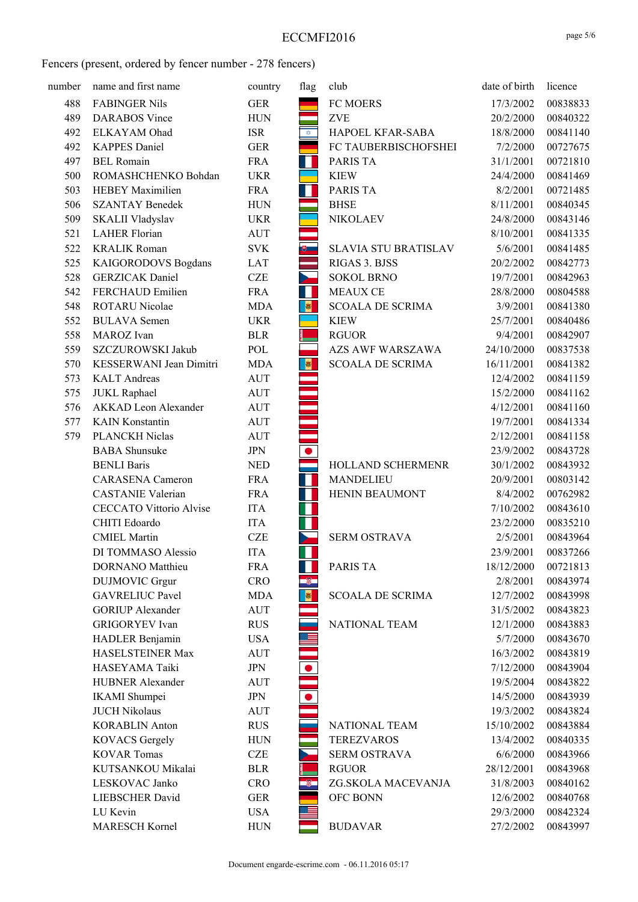| number | name and first name            | country    | flag               | club                        | date of birth | licence  |
|--------|--------------------------------|------------|--------------------|-----------------------------|---------------|----------|
| 488    | <b>FABINGER Nils</b>           | <b>GER</b> |                    | FC MOERS                    | 17/3/2002     | 00838833 |
| 489    | <b>DARABOS</b> Vince           | <b>HUN</b> |                    | <b>ZVE</b>                  | 20/2/2000     | 00840322 |
| 492    | ELKAYAM Ohad                   | <b>ISR</b> | $\hat{\mathbf{v}}$ | HAPOEL KFAR-SABA            | 18/8/2000     | 00841140 |
| 492    | <b>KAPPES Daniel</b>           | <b>GER</b> |                    | FC TAUBERBISCHOFSHEI        | 7/2/2000      | 00727675 |
| 497    | <b>BEL Romain</b>              | <b>FRA</b> | Ш                  | PARIS TA                    | 31/1/2001     | 00721810 |
| 500    | ROMASHCHENKO Bohdan            | <b>UKR</b> |                    | <b>KIEW</b>                 | 24/4/2000     | 00841469 |
| 503    | <b>HEBEY Maximilien</b>        | <b>FRA</b> | ш                  | PARIS TA                    | 8/2/2001      | 00721485 |
| 506    | <b>SZANTAY Benedek</b>         | <b>HUN</b> |                    | <b>BHSE</b>                 | 8/11/2001     | 00840345 |
| 509    | SKALII Vladyslav               | <b>UKR</b> |                    | <b>NIKOLAEV</b>             | 24/8/2000     | 00843146 |
| 521    | <b>LAHER Florian</b>           | <b>AUT</b> |                    |                             | 8/10/2001     | 00841335 |
| 522    | <b>KRALIK Roman</b>            | <b>SVK</b> |                    | <b>SLAVIA STU BRATISLAV</b> | 5/6/2001      | 00841485 |
| 525    | KAIGORODOVS Bogdans            | LAT        |                    | RIGAS 3. BJSS               | 20/2/2002     | 00842773 |
| 528    | <b>GERZICAK</b> Daniel         | <b>CZE</b> | Y                  | <b>SOKOL BRNO</b>           | 19/7/2001     | 00842963 |
| 542    | FERCHAUD Emilien               | <b>FRA</b> | H                  | <b>MEAUX CE</b>             | 28/8/2000     | 00804588 |
| 548    | <b>ROTARU Nicolae</b>          | <b>MDA</b> | $\bullet$          | <b>SCOALA DE SCRIMA</b>     | 3/9/2001      | 00841380 |
| 552    | <b>BULAVA</b> Semen            | <b>UKR</b> |                    | <b>KIEW</b>                 | 25/7/2001     | 00840486 |
| 558    | MAROZ Ivan                     | <b>BLR</b> |                    | <b>RGUOR</b>                | 9/4/2001      | 00842907 |
| 559    | SZCZUROWSKI Jakub              | POL        |                    | <b>AZS AWF WARSZAWA</b>     | 24/10/2000    | 00837538 |
| 570    | KESSERWANI Jean Dimitri        | <b>MDA</b> | $\bullet$          | <b>SCOALA DE SCRIMA</b>     | 16/11/2001    | 00841382 |
| 573    | <b>KALT</b> Andreas            | <b>AUT</b> |                    |                             | 12/4/2002     | 00841159 |
| 575    | <b>JUKL</b> Raphael            | <b>AUT</b> |                    |                             | 15/2/2000     | 00841162 |
| 576    | <b>AKKAD</b> Leon Alexander    | <b>AUT</b> |                    |                             | 4/12/2001     | 00841160 |
| 577    | <b>KAIN</b> Konstantin         | <b>AUT</b> |                    |                             | 19/7/2001     | 00841334 |
| 579    | PLANCKH Niclas                 | <b>AUT</b> |                    |                             | 2/12/2001     | 00841158 |
|        | <b>BABA</b> Shunsuke           | <b>JPN</b> |                    |                             | 23/9/2002     | 00843728 |
|        | <b>BENLI Baris</b>             | <b>NED</b> |                    | HOLLAND SCHERMENR           | 30/1/2002     | 00843932 |
|        | <b>CARASENA</b> Cameron        | <b>FRA</b> | Ш                  | MANDELIEU                   | 20/9/2001     | 00803142 |
|        | <b>CASTANIE Valerian</b>       | <b>FRA</b> | H.                 | HENIN BEAUMONT              | 8/4/2002      | 00762982 |
|        | <b>CECCATO Vittorio Alvise</b> | <b>ITA</b> | Ш                  |                             | 7/10/2002     | 00843610 |
|        | CHITI Edoardo                  | <b>ITA</b> | Ш                  |                             | 23/2/2000     | 00835210 |
|        | <b>CMIEL Martin</b>            | <b>CZE</b> |                    | <b>SERM OSTRAVA</b>         | 2/5/2001      | 00843964 |
|        | DI TOMMASO Alessio             | <b>ITA</b> | Ш                  |                             | 23/9/2001     | 00837266 |
|        | <b>DORNANO</b> Matthieu        | <b>FRA</b> |                    | PARIS TA                    | 18/12/2000    | 00721813 |
|        | <b>DUJMOVIC</b> Grgur          | <b>CRO</b> |                    |                             | 2/8/2001      | 00843974 |
|        | <b>GAVRELIUC Pavel</b>         | <b>MDA</b> | $\bullet$          | <b>SCOALA DE SCRIMA</b>     | 12/7/2002     | 00843998 |
|        | <b>GORIUP Alexander</b>        | <b>AUT</b> |                    |                             | 31/5/2002     | 00843823 |
|        | <b>GRIGORYEV</b> Ivan          | <b>RUS</b> |                    | NATIONAL TEAM               | 12/1/2000     | 00843883 |
|        | HADLER Benjamin                | <b>USA</b> |                    |                             | 5/7/2000      | 00843670 |
|        | HASELSTEINER Max               | <b>AUT</b> |                    |                             | 16/3/2002     | 00843819 |
|        | HASEYAMA Taiki                 | <b>JPN</b> |                    |                             | 7/12/2000     | 00843904 |
|        | <b>HUBNER Alexander</b>        | <b>AUT</b> |                    |                             | 19/5/2004     | 00843822 |
|        | <b>IKAMI</b> Shumpei           | <b>JPN</b> |                    |                             | 14/5/2000     | 00843939 |
|        | <b>JUCH Nikolaus</b>           | <b>AUT</b> |                    |                             | 19/3/2002     | 00843824 |
|        | <b>KORABLIN Anton</b>          | <b>RUS</b> |                    | <b>NATIONAL TEAM</b>        | 15/10/2002    | 00843884 |
|        | <b>KOVACS Gergely</b>          | <b>HUN</b> |                    | <b>TEREZVAROS</b>           | 13/4/2002     | 00840335 |
|        | <b>KOVAR Tomas</b>             | <b>CZE</b> |                    | SERM OSTRAVA                | 6/6/2000      | 00843966 |
|        | KUTSANKOU Mikalai              | <b>BLR</b> |                    | <b>RGUOR</b>                | 28/12/2001    | 00843968 |
|        | LESKOVAC Janko                 | <b>CRO</b> |                    | ZG.SKOLA MACEVANJA          | 31/8/2003     | 00840162 |
|        | <b>LIEBSCHER David</b>         | <b>GER</b> |                    | OFC BONN                    | 12/6/2002     | 00840768 |
|        | LU Kevin                       | <b>USA</b> |                    |                             | 29/3/2000     | 00842324 |
|        | <b>MARESCH Kornel</b>          | <b>HUN</b> |                    | <b>BUDAVAR</b>              | 27/2/2002     | 00843997 |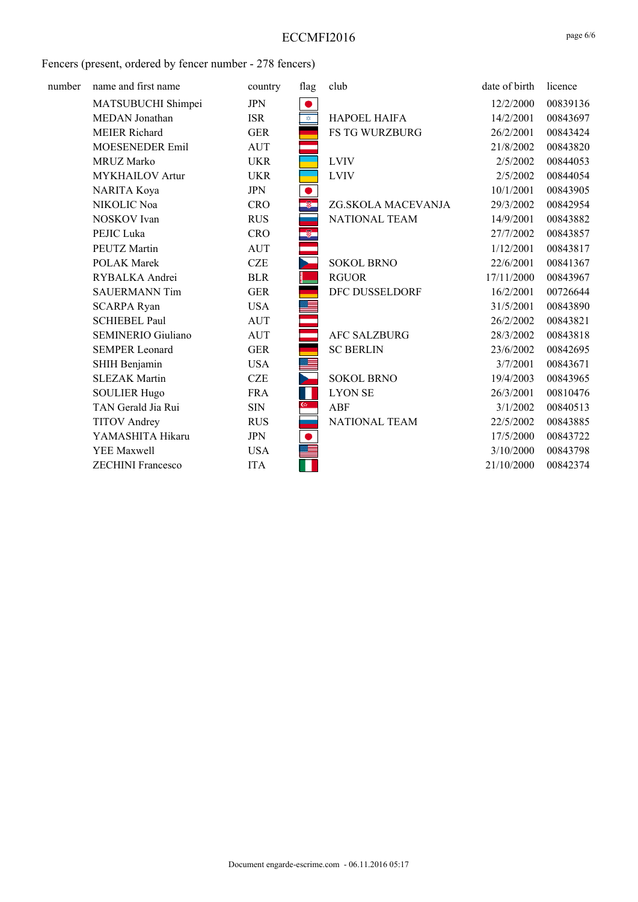| number | name and first name       | country    | flag               | club                  | date of birth | licence  |
|--------|---------------------------|------------|--------------------|-----------------------|---------------|----------|
|        | MATSUBUCHI Shimpei        | <b>JPN</b> |                    |                       | 12/2/2000     | 00839136 |
|        | MEDAN Jonathan            | <b>ISR</b> | $\hat{\mathbf{v}}$ | <b>HAPOEL HAIFA</b>   | 14/2/2001     | 00843697 |
|        | <b>MEIER Richard</b>      | <b>GER</b> |                    | <b>FS TG WURZBURG</b> | 26/2/2001     | 00843424 |
|        | MOESENEDER Emil           | AUT        |                    |                       | 21/8/2002     | 00843820 |
|        | <b>MRUZ Marko</b>         | <b>UKR</b> |                    | <b>LVIV</b>           | 2/5/2002      | 00844053 |
|        | <b>MYKHAILOV</b> Artur    | <b>UKR</b> |                    | <b>LVIV</b>           | 2/5/2002      | 00844054 |
|        | NARITA Koya               | <b>JPN</b> |                    |                       | 10/1/2001     | 00843905 |
|        | NIKOLIC Noa               | <b>CRO</b> |                    | ZG.SKOLA MACEVANJA    | 29/3/2002     | 00842954 |
|        | NOSKOV Ivan               | <b>RUS</b> |                    | <b>NATIONAL TEAM</b>  | 14/9/2001     | 00843882 |
|        | PEJIC Luka                | <b>CRO</b> | $^{\circ}$         |                       | 27/7/2002     | 00843857 |
|        | PEUTZ Martin              | <b>AUT</b> |                    |                       | 1/12/2001     | 00843817 |
|        | <b>POLAK Marek</b>        | <b>CZE</b> |                    | <b>SOKOL BRNO</b>     | 22/6/2001     | 00841367 |
|        | RYBALKA Andrei            | <b>BLR</b> |                    | <b>RGUOR</b>          | 17/11/2000    | 00843967 |
|        | <b>SAUERMANN Tim</b>      | <b>GER</b> |                    | DFC DUSSELDORF        | 16/2/2001     | 00726644 |
|        | <b>SCARPA Ryan</b>        | <b>USA</b> |                    |                       | 31/5/2001     | 00843890 |
|        | <b>SCHIEBEL Paul</b>      | <b>AUT</b> |                    |                       | 26/2/2002     | 00843821 |
|        | <b>SEMINERIO Giuliano</b> | <b>AUT</b> |                    | <b>AFC SALZBURG</b>   | 28/3/2002     | 00843818 |
|        | <b>SEMPER Leonard</b>     | <b>GER</b> |                    | <b>SC BERLIN</b>      | 23/6/2002     | 00842695 |
|        | SHIH Benjamin             | <b>USA</b> |                    |                       | 3/7/2001      | 00843671 |
|        | <b>SLEZAK Martin</b>      | <b>CZE</b> |                    | <b>SOKOL BRNO</b>     | 19/4/2003     | 00843965 |
|        | <b>SOULIER Hugo</b>       | <b>FRA</b> |                    | <b>LYON SE</b>        | 26/3/2001     | 00810476 |
|        | TAN Gerald Jia Rui        | <b>SIN</b> | $\omega$           | ABF                   | 3/1/2002      | 00840513 |
|        | <b>TITOV</b> Andrey       | <b>RUS</b> |                    | <b>NATIONAL TEAM</b>  | 22/5/2002     | 00843885 |
|        | YAMASHITA Hikaru          | <b>JPN</b> |                    |                       | 17/5/2000     | 00843722 |
|        | YEE Maxwell               | <b>USA</b> |                    |                       | 3/10/2000     | 00843798 |
|        | <b>ZECHINI</b> Francesco  | <b>ITA</b> |                    |                       | 21/10/2000    | 00842374 |
|        |                           |            |                    |                       |               |          |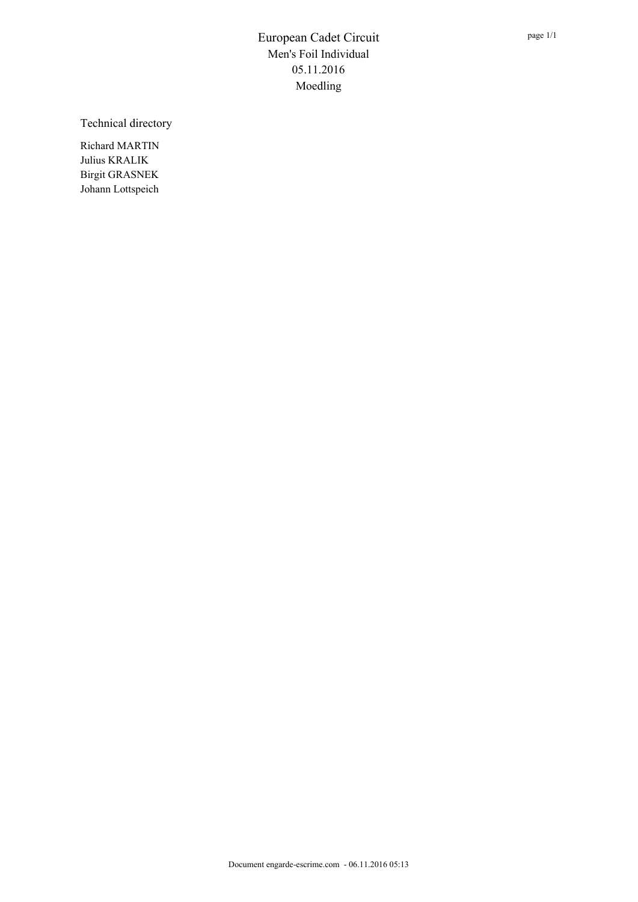Technical directory

Richard MARTIN Julius KRALIK Birgit GRASNEK Johann Lottspeich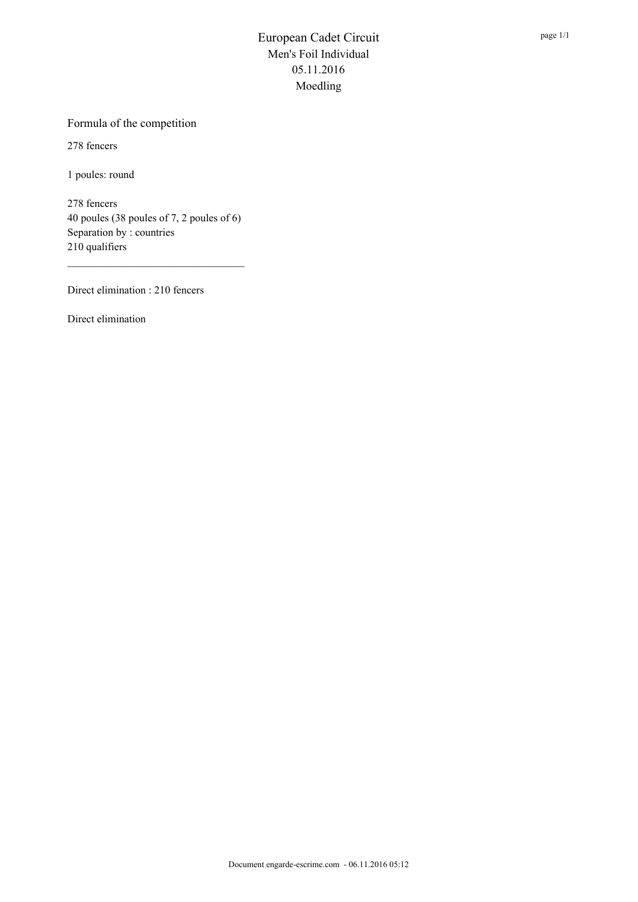#### Formula of the competition

278 fencers

1 poules: round

278 fencers 40 poules (38 poules of 7, 2 poules of 6) Separation by : countries 210 qualifiers

Direct elimination : 210 fencers

Direct elimination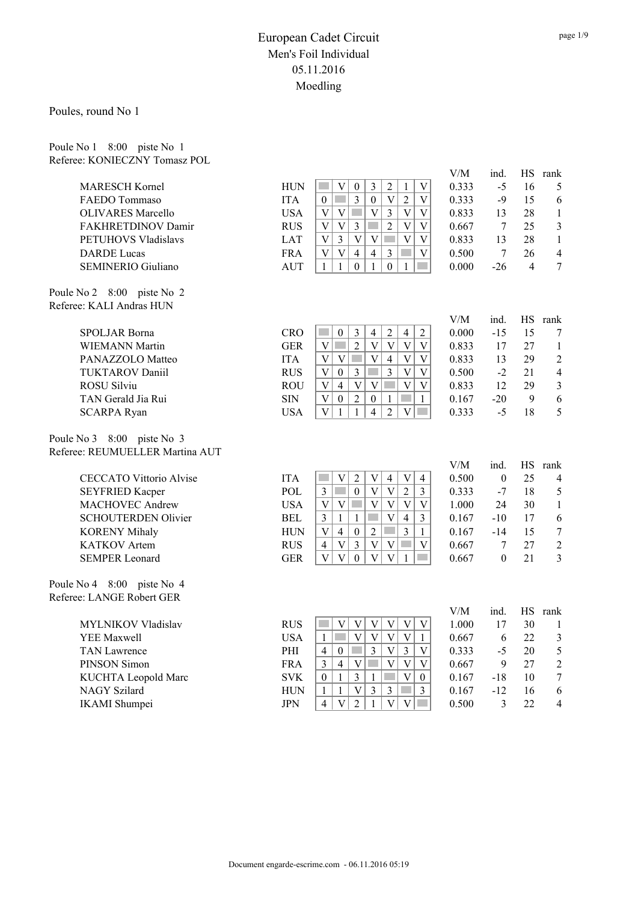Poules, round No 1

Poule No 1 8:00 piste No 1 Referee: KONIECZNY Tomasz POL

| $\mathbf{V}$<br>$\boldsymbol{0}$<br>$\mathfrak{Z}$<br>$\overline{c}$<br>$\mathbf{1}$<br>$\mathbf V$<br><b>HUN</b><br><b>T</b><br>0.333<br>$-5$<br>16<br>5<br><b>MARESCH Kornel</b><br>$\overline{3}$<br>$\overline{2}$<br>$\boldsymbol{0}$<br>$\mathbf{V}$<br>$\overline{V}$<br>15<br><b>ITA</b><br>$\theta$<br><b>Tara</b><br>0.333<br>$-9$<br>6<br><b>FAEDO</b> Tommaso<br>$\overline{\mathsf{V}}$<br>$\overline{3}$<br>$\overline{\mathsf{V}}$<br><b>USA</b><br>V<br>V<br>$\mathcal{L}^{\mathcal{L}}$<br>$\mathbf V$<br>0.833<br>28<br><b>OLIVARES</b> Marcello<br>13<br>$\mathbf{1}$<br>$\overline{2}$<br>$\overline{\mathsf{V}}$<br>FAKHRETDINOV Damir<br>V<br>$\overline{3}$<br>$\mathbf V$<br>25<br>$\mathfrak{Z}$<br><b>RUS</b><br>V<br>0.667<br>7<br>$\overline{V}$<br>$\overline{\mathrm{V}}$<br>$\mathbf V$<br>m.<br>V<br>$\overline{3}$<br>$\mathbf{V}$<br>PETUHOVS Vladislavs<br><b>LAT</b><br>0.833<br>13<br>28<br>$\mathbf{1}$<br>$\overline{4}$<br>$\overline{4}$<br>$\mathcal{L}_{\mathcal{A}}$<br>$\mathbf V$<br>V<br>$\mathfrak{Z}$<br><b>DARDE</b> Lucas<br><b>FRA</b><br>V<br>0.500<br>7<br>26<br>$\overline{4}$<br>$\boldsymbol{0}$<br>$\mathcal{L}^{\mathcal{L}}$<br>$\overline{7}$<br><b>SEMINERIO Giuliano</b><br><b>AUT</b><br>$\mathbf{1}$<br>$\mathbf{1}$<br>$\Omega$<br>$\mathbf{1}$<br>$\mathbf{1}$<br>0.000<br>$-26$<br>$\overline{4}$<br>Poule No 2 8:00 piste No 2<br>Referee: KALI Andras HUN<br>V/M<br>ind.<br>HS rank<br>$\mathfrak{Z}$<br>$\overline{c}$<br>$\mathbf{0}$<br>$\overline{4}$<br>$\overline{4}$<br>15<br>SPOLJAR Borna<br><b>CRO</b><br><b>College</b><br>$\sqrt{2}$<br>0.000<br>$-15$<br>7<br>$\overline{2}$<br>$\overline{V}$<br>$\overline{V}$<br>$\overline{\mathbf{V}}$<br>$\mathbf{V}$<br><b>GER</b><br><b>Tara</b><br>V<br>0.833<br>27<br><b>WIEMANN Martin</b><br>17<br>$\mathbf{1}$<br>$\mathbf{V}$<br>V<br>$\ensuremath{\mathbf{V}}$<br><b>The State</b><br>$\overline{4}$<br>$\mathbf V$<br>0.833<br>29<br>$\overline{2}$<br>PANAZZOLO Matteo<br><b>ITA</b><br>$\ensuremath{\mathbf{V}}$<br>13<br>$\overline{3}$<br>$\mathfrak{Z}$<br>$\mathbf V$<br>0.500<br><b>TUKTAROV Daniil</b><br><b>RUS</b><br>V<br>$\boldsymbol{0}$<br>V<br>$-2$<br>21<br>$\overline{4}$<br>$\overline{V}$<br>$\bar{V}$<br>$\mathbf V$<br><b>T</b><br>$\mathbf V$<br>$\overline{4}$<br>$\overline{\mathbf{V}}$<br>ROSU Silviu<br><b>ROU</b><br>0.833<br>12<br>29<br>$\mathfrak{Z}$<br>$\overline{2}$<br>$\rm SIN$<br>6<br>TAN Gerald Jia Rui<br>V<br>$\mathbf{0}$<br>$\mathbf{0}$<br>$\mathbf{1}$<br>0.167<br>$-20$<br>9<br>-1<br>$\overline{2}$<br>$\overline{\mathsf{V}}$<br>$\overline{V}$<br>$\overline{4}$<br><b>USA</b><br>$\mathbf{1}$<br>$\mathbf{1}$<br>0.333<br>$-5$<br>18<br>5<br><b>SCARPA Ryan</b><br>Poule No 3 8:00 piste No 3<br>Referee: REUMUELLER Martina AUT<br>V/M<br><b>HS</b><br>ind.<br>rank<br>$\bar{V}$<br>$\mathbf V$<br>$\overline{2}$<br>$\mathbf{V}$<br>$\overline{4}$<br>25<br><b>ITA</b><br>$\overline{4}$<br>0.500<br>$\boldsymbol{0}$<br><b>CECCATO Vittorio Alvise</b><br>$\overline{4}$<br>$\overline{\mathbf{V}}$<br>$\overline{2}$<br>$\overline{3}$<br>$\mathcal{L}^{\mathcal{L}}$<br>$\mathbf{0}$<br>$\ensuremath{\mathbf{V}}$<br>POL<br>$\overline{3}$<br>0.333<br>$-7$<br>18<br><b>SEYFRIED Kacper</b><br>5<br><b>The State</b><br>$\mathbf V$<br>MACHOVEC Andrew<br><b>USA</b><br>$\ensuremath{\mathbf{V}}$<br>$\ensuremath{\mathbf{V}}$<br>$\mathbf V$<br>24<br>V<br>V<br>1.000<br>30<br>$\mathbf{1}$<br>$\ensuremath{\mathbf{V}}$<br>$\overline{\mathbf{3}}$<br>$\mathbf{1}$<br>$\overline{4}$<br><b>SCHOUTERDEN Olivier</b><br><b>BEL</b><br>$\mathbf{1}$<br>$\mathfrak{Z}$<br>0.167<br>6<br>$-10$<br>17<br>$\overline{3}$<br>$\overline{2}$<br><b>HUN</b><br>V<br>$\overline{4}$<br>$\mathbf{0}$<br>$-14$<br>15<br>$\overline{7}$<br><b>KORENY Mihaly</b><br>$\mathbf{1}$<br>0.167<br>$\overline{3}$<br>$\overline{V}$<br>$\mathbf{V}$<br>$\overline{2}$<br><b>KATKOV</b> Artem<br><b>RUS</b><br>$\overline{4}$<br>V<br>V<br>0.667<br>27<br>7<br>$\bar{V}$<br>$\bar{V}$<br>$\overline{V}$<br>$\mathbf{0}$<br>$\mathbf{V}$<br><b>SEMPER Leonard</b><br><b>GER</b><br>$\boldsymbol{0}$<br>21<br>$\mathfrak{Z}$<br>$\mathbf{1}$<br>0.667<br>Poule No 4 8:00 piste No 4<br>Referee: LANGE Robert GER<br>V/M<br><b>HS</b><br>ind.<br>rank<br>$\ensuremath{\mathbf{V}}$<br>$\ensuremath{\mathbf{V}}$<br>$\ensuremath{\mathbf{V}}$<br>$\ensuremath{\mathbf{V}}$<br>$\mathbf V$<br><b>RUS</b><br><b>College</b><br>$\ensuremath{\mathbf{V}}$<br>1.000<br>30<br>MYLNIKOV Vladislav<br>17<br>$\mathbf{1}$<br>$\bar{V}$<br>$\overline{\mathbf{V}}$<br><b>T</b><br>$\mathbf{V}$<br>$\mathbf{V}$<br><b>USA</b><br>$\mathbf{1}$<br>22.<br>YEE Maxwell<br>$\mathbf{1}$<br>0.667<br>6<br>$\mathfrak{Z}$<br>$\overline{3}$<br><b>The State</b><br>$\mathbf V$<br>$\overline{3}$<br>$\overline{4}$<br>$\boldsymbol{0}$<br><b>TAN Lawrence</b><br>PHI<br>V<br>0.333<br>$-5$<br>20<br>$\mathfrak s$<br>$\bar{V}$<br>$\ensuremath{\mathbf{V}}$<br>$\overline{V}$<br>PINSON Simon<br><b>FRA</b><br>$\overline{3}$<br>$\overline{4}$<br>V<br>0.667<br>9<br>27<br>$\overline{2}$<br>$\overline{\mathbf{V}}$<br>$\overline{3}$<br>T.<br>$\boldsymbol{7}$<br>$\mathbf{1}$<br>$\mathbf{1}$<br>KUCHTA Leopold Marc<br><b>SVK</b><br>$\mathbf{0}$<br>$\overline{0}$<br>0.167<br>$-18$<br>10<br>$\overline{3}$<br>$\bar{V}$<br>$\mathfrak{Z}$<br><b>NAGY Szilard</b><br><b>Tara</b><br>$\overline{3}$<br>6<br><b>HUN</b><br>$\mathbf{1}$<br>$\mathbf{1}$<br>0.167<br>$-12$<br>16<br>$\overline{2}$<br>$\overline{4}$<br>$\mathbf{1}$<br>$\overline{V}$<br>$\mathbf V$<br>$\mathcal{L}^{\mathcal{L}}$<br><b>JPN</b><br>$\mathbf{V}$<br>22<br><b>IKAMI</b> Shumpei<br>0.500<br>3<br>$\overline{\mathcal{L}}$ |  | $\rm V/M$ | ind. | HS rank |
|------------------------------------------------------------------------------------------------------------------------------------------------------------------------------------------------------------------------------------------------------------------------------------------------------------------------------------------------------------------------------------------------------------------------------------------------------------------------------------------------------------------------------------------------------------------------------------------------------------------------------------------------------------------------------------------------------------------------------------------------------------------------------------------------------------------------------------------------------------------------------------------------------------------------------------------------------------------------------------------------------------------------------------------------------------------------------------------------------------------------------------------------------------------------------------------------------------------------------------------------------------------------------------------------------------------------------------------------------------------------------------------------------------------------------------------------------------------------------------------------------------------------------------------------------------------------------------------------------------------------------------------------------------------------------------------------------------------------------------------------------------------------------------------------------------------------------------------------------------------------------------------------------------------------------------------------------------------------------------------------------------------------------------------------------------------------------------------------------------------------------------------------------------------------------------------------------------------------------------------------------------------------------------------------------------------------------------------------------------------------------------------------------------------------------------------------------------------------------------------------------------------------------------------------------------------------------------------------------------------------------------------------------------------------------------------------------------------------------------------------------------------------------------------------------------------------------------------------------------------------------------------------------------------------------------------------------------------------------------------------------------------------------------------------------------------------------------------------------------------------------------------------------------------------------------------------------------------------------------------------------------------------------------------------------------------------------------------------------------------------------------------------------------------------------------------------------------------------------------------------------------------------------------------------------------------------------------------------------------------------------------------------------------------------------------------------------------------------------------------------------------------------------------------------------------------------------------------------------------------------------------------------------------------------------------------------------------------------------------------------------------------------------------------------------------------------------------------------------------------------------------------------------------------------------------------------------------------------------------------------------------------------------------------------------------------------------------------------------------------------------------------------------------------------------------------------------------------------------------------------------------------------------------------------------------------------------------------------------------------------------------------------------------------------------------------------------------------------------------------------------------------------------------------------------------------------------------------------------------------------------------------------------------------------------------------------------------------------------------------------------------------------------------------------------------------------------------------------------------------------------------------------------------------------------------------------------------------------------------------------------------------------------------------------------------------------------------------------------------------------------------------------------------------------------------------------------------------------------------------------------------------------------------------------------------------------------------------------------------------------------------------------------------------------------------------------------------------------------------------------------------------|--|-----------|------|---------|
|                                                                                                                                                                                                                                                                                                                                                                                                                                                                                                                                                                                                                                                                                                                                                                                                                                                                                                                                                                                                                                                                                                                                                                                                                                                                                                                                                                                                                                                                                                                                                                                                                                                                                                                                                                                                                                                                                                                                                                                                                                                                                                                                                                                                                                                                                                                                                                                                                                                                                                                                                                                                                                                                                                                                                                                                                                                                                                                                                                                                                                                                                                                                                                                                                                                                                                                                                                                                                                                                                                                                                                                                                                                                                                                                                                                                                                                                                                                                                                                                                                                                                                                                                                                                                                                                                                                                                                                                                                                                                                                                                                                                                                                                                                                                                                                                                                                                                                                                                                                                                                                                                                                                                                                                                                                                                                                                                                                                                                                                                                                                                                                                                                                                                                                                                                  |  |           |      |         |
|                                                                                                                                                                                                                                                                                                                                                                                                                                                                                                                                                                                                                                                                                                                                                                                                                                                                                                                                                                                                                                                                                                                                                                                                                                                                                                                                                                                                                                                                                                                                                                                                                                                                                                                                                                                                                                                                                                                                                                                                                                                                                                                                                                                                                                                                                                                                                                                                                                                                                                                                                                                                                                                                                                                                                                                                                                                                                                                                                                                                                                                                                                                                                                                                                                                                                                                                                                                                                                                                                                                                                                                                                                                                                                                                                                                                                                                                                                                                                                                                                                                                                                                                                                                                                                                                                                                                                                                                                                                                                                                                                                                                                                                                                                                                                                                                                                                                                                                                                                                                                                                                                                                                                                                                                                                                                                                                                                                                                                                                                                                                                                                                                                                                                                                                                                  |  |           |      |         |
|                                                                                                                                                                                                                                                                                                                                                                                                                                                                                                                                                                                                                                                                                                                                                                                                                                                                                                                                                                                                                                                                                                                                                                                                                                                                                                                                                                                                                                                                                                                                                                                                                                                                                                                                                                                                                                                                                                                                                                                                                                                                                                                                                                                                                                                                                                                                                                                                                                                                                                                                                                                                                                                                                                                                                                                                                                                                                                                                                                                                                                                                                                                                                                                                                                                                                                                                                                                                                                                                                                                                                                                                                                                                                                                                                                                                                                                                                                                                                                                                                                                                                                                                                                                                                                                                                                                                                                                                                                                                                                                                                                                                                                                                                                                                                                                                                                                                                                                                                                                                                                                                                                                                                                                                                                                                                                                                                                                                                                                                                                                                                                                                                                                                                                                                                                  |  |           |      |         |
|                                                                                                                                                                                                                                                                                                                                                                                                                                                                                                                                                                                                                                                                                                                                                                                                                                                                                                                                                                                                                                                                                                                                                                                                                                                                                                                                                                                                                                                                                                                                                                                                                                                                                                                                                                                                                                                                                                                                                                                                                                                                                                                                                                                                                                                                                                                                                                                                                                                                                                                                                                                                                                                                                                                                                                                                                                                                                                                                                                                                                                                                                                                                                                                                                                                                                                                                                                                                                                                                                                                                                                                                                                                                                                                                                                                                                                                                                                                                                                                                                                                                                                                                                                                                                                                                                                                                                                                                                                                                                                                                                                                                                                                                                                                                                                                                                                                                                                                                                                                                                                                                                                                                                                                                                                                                                                                                                                                                                                                                                                                                                                                                                                                                                                                                                                  |  |           |      |         |
|                                                                                                                                                                                                                                                                                                                                                                                                                                                                                                                                                                                                                                                                                                                                                                                                                                                                                                                                                                                                                                                                                                                                                                                                                                                                                                                                                                                                                                                                                                                                                                                                                                                                                                                                                                                                                                                                                                                                                                                                                                                                                                                                                                                                                                                                                                                                                                                                                                                                                                                                                                                                                                                                                                                                                                                                                                                                                                                                                                                                                                                                                                                                                                                                                                                                                                                                                                                                                                                                                                                                                                                                                                                                                                                                                                                                                                                                                                                                                                                                                                                                                                                                                                                                                                                                                                                                                                                                                                                                                                                                                                                                                                                                                                                                                                                                                                                                                                                                                                                                                                                                                                                                                                                                                                                                                                                                                                                                                                                                                                                                                                                                                                                                                                                                                                  |  |           |      |         |
|                                                                                                                                                                                                                                                                                                                                                                                                                                                                                                                                                                                                                                                                                                                                                                                                                                                                                                                                                                                                                                                                                                                                                                                                                                                                                                                                                                                                                                                                                                                                                                                                                                                                                                                                                                                                                                                                                                                                                                                                                                                                                                                                                                                                                                                                                                                                                                                                                                                                                                                                                                                                                                                                                                                                                                                                                                                                                                                                                                                                                                                                                                                                                                                                                                                                                                                                                                                                                                                                                                                                                                                                                                                                                                                                                                                                                                                                                                                                                                                                                                                                                                                                                                                                                                                                                                                                                                                                                                                                                                                                                                                                                                                                                                                                                                                                                                                                                                                                                                                                                                                                                                                                                                                                                                                                                                                                                                                                                                                                                                                                                                                                                                                                                                                                                                  |  |           |      |         |
|                                                                                                                                                                                                                                                                                                                                                                                                                                                                                                                                                                                                                                                                                                                                                                                                                                                                                                                                                                                                                                                                                                                                                                                                                                                                                                                                                                                                                                                                                                                                                                                                                                                                                                                                                                                                                                                                                                                                                                                                                                                                                                                                                                                                                                                                                                                                                                                                                                                                                                                                                                                                                                                                                                                                                                                                                                                                                                                                                                                                                                                                                                                                                                                                                                                                                                                                                                                                                                                                                                                                                                                                                                                                                                                                                                                                                                                                                                                                                                                                                                                                                                                                                                                                                                                                                                                                                                                                                                                                                                                                                                                                                                                                                                                                                                                                                                                                                                                                                                                                                                                                                                                                                                                                                                                                                                                                                                                                                                                                                                                                                                                                                                                                                                                                                                  |  |           |      |         |
|                                                                                                                                                                                                                                                                                                                                                                                                                                                                                                                                                                                                                                                                                                                                                                                                                                                                                                                                                                                                                                                                                                                                                                                                                                                                                                                                                                                                                                                                                                                                                                                                                                                                                                                                                                                                                                                                                                                                                                                                                                                                                                                                                                                                                                                                                                                                                                                                                                                                                                                                                                                                                                                                                                                                                                                                                                                                                                                                                                                                                                                                                                                                                                                                                                                                                                                                                                                                                                                                                                                                                                                                                                                                                                                                                                                                                                                                                                                                                                                                                                                                                                                                                                                                                                                                                                                                                                                                                                                                                                                                                                                                                                                                                                                                                                                                                                                                                                                                                                                                                                                                                                                                                                                                                                                                                                                                                                                                                                                                                                                                                                                                                                                                                                                                                                  |  |           |      |         |
|                                                                                                                                                                                                                                                                                                                                                                                                                                                                                                                                                                                                                                                                                                                                                                                                                                                                                                                                                                                                                                                                                                                                                                                                                                                                                                                                                                                                                                                                                                                                                                                                                                                                                                                                                                                                                                                                                                                                                                                                                                                                                                                                                                                                                                                                                                                                                                                                                                                                                                                                                                                                                                                                                                                                                                                                                                                                                                                                                                                                                                                                                                                                                                                                                                                                                                                                                                                                                                                                                                                                                                                                                                                                                                                                                                                                                                                                                                                                                                                                                                                                                                                                                                                                                                                                                                                                                                                                                                                                                                                                                                                                                                                                                                                                                                                                                                                                                                                                                                                                                                                                                                                                                                                                                                                                                                                                                                                                                                                                                                                                                                                                                                                                                                                                                                  |  |           |      |         |
|                                                                                                                                                                                                                                                                                                                                                                                                                                                                                                                                                                                                                                                                                                                                                                                                                                                                                                                                                                                                                                                                                                                                                                                                                                                                                                                                                                                                                                                                                                                                                                                                                                                                                                                                                                                                                                                                                                                                                                                                                                                                                                                                                                                                                                                                                                                                                                                                                                                                                                                                                                                                                                                                                                                                                                                                                                                                                                                                                                                                                                                                                                                                                                                                                                                                                                                                                                                                                                                                                                                                                                                                                                                                                                                                                                                                                                                                                                                                                                                                                                                                                                                                                                                                                                                                                                                                                                                                                                                                                                                                                                                                                                                                                                                                                                                                                                                                                                                                                                                                                                                                                                                                                                                                                                                                                                                                                                                                                                                                                                                                                                                                                                                                                                                                                                  |  |           |      |         |
|                                                                                                                                                                                                                                                                                                                                                                                                                                                                                                                                                                                                                                                                                                                                                                                                                                                                                                                                                                                                                                                                                                                                                                                                                                                                                                                                                                                                                                                                                                                                                                                                                                                                                                                                                                                                                                                                                                                                                                                                                                                                                                                                                                                                                                                                                                                                                                                                                                                                                                                                                                                                                                                                                                                                                                                                                                                                                                                                                                                                                                                                                                                                                                                                                                                                                                                                                                                                                                                                                                                                                                                                                                                                                                                                                                                                                                                                                                                                                                                                                                                                                                                                                                                                                                                                                                                                                                                                                                                                                                                                                                                                                                                                                                                                                                                                                                                                                                                                                                                                                                                                                                                                                                                                                                                                                                                                                                                                                                                                                                                                                                                                                                                                                                                                                                  |  |           |      |         |
|                                                                                                                                                                                                                                                                                                                                                                                                                                                                                                                                                                                                                                                                                                                                                                                                                                                                                                                                                                                                                                                                                                                                                                                                                                                                                                                                                                                                                                                                                                                                                                                                                                                                                                                                                                                                                                                                                                                                                                                                                                                                                                                                                                                                                                                                                                                                                                                                                                                                                                                                                                                                                                                                                                                                                                                                                                                                                                                                                                                                                                                                                                                                                                                                                                                                                                                                                                                                                                                                                                                                                                                                                                                                                                                                                                                                                                                                                                                                                                                                                                                                                                                                                                                                                                                                                                                                                                                                                                                                                                                                                                                                                                                                                                                                                                                                                                                                                                                                                                                                                                                                                                                                                                                                                                                                                                                                                                                                                                                                                                                                                                                                                                                                                                                                                                  |  |           |      |         |
|                                                                                                                                                                                                                                                                                                                                                                                                                                                                                                                                                                                                                                                                                                                                                                                                                                                                                                                                                                                                                                                                                                                                                                                                                                                                                                                                                                                                                                                                                                                                                                                                                                                                                                                                                                                                                                                                                                                                                                                                                                                                                                                                                                                                                                                                                                                                                                                                                                                                                                                                                                                                                                                                                                                                                                                                                                                                                                                                                                                                                                                                                                                                                                                                                                                                                                                                                                                                                                                                                                                                                                                                                                                                                                                                                                                                                                                                                                                                                                                                                                                                                                                                                                                                                                                                                                                                                                                                                                                                                                                                                                                                                                                                                                                                                                                                                                                                                                                                                                                                                                                                                                                                                                                                                                                                                                                                                                                                                                                                                                                                                                                                                                                                                                                                                                  |  |           |      |         |
|                                                                                                                                                                                                                                                                                                                                                                                                                                                                                                                                                                                                                                                                                                                                                                                                                                                                                                                                                                                                                                                                                                                                                                                                                                                                                                                                                                                                                                                                                                                                                                                                                                                                                                                                                                                                                                                                                                                                                                                                                                                                                                                                                                                                                                                                                                                                                                                                                                                                                                                                                                                                                                                                                                                                                                                                                                                                                                                                                                                                                                                                                                                                                                                                                                                                                                                                                                                                                                                                                                                                                                                                                                                                                                                                                                                                                                                                                                                                                                                                                                                                                                                                                                                                                                                                                                                                                                                                                                                                                                                                                                                                                                                                                                                                                                                                                                                                                                                                                                                                                                                                                                                                                                                                                                                                                                                                                                                                                                                                                                                                                                                                                                                                                                                                                                  |  |           |      |         |
|                                                                                                                                                                                                                                                                                                                                                                                                                                                                                                                                                                                                                                                                                                                                                                                                                                                                                                                                                                                                                                                                                                                                                                                                                                                                                                                                                                                                                                                                                                                                                                                                                                                                                                                                                                                                                                                                                                                                                                                                                                                                                                                                                                                                                                                                                                                                                                                                                                                                                                                                                                                                                                                                                                                                                                                                                                                                                                                                                                                                                                                                                                                                                                                                                                                                                                                                                                                                                                                                                                                                                                                                                                                                                                                                                                                                                                                                                                                                                                                                                                                                                                                                                                                                                                                                                                                                                                                                                                                                                                                                                                                                                                                                                                                                                                                                                                                                                                                                                                                                                                                                                                                                                                                                                                                                                                                                                                                                                                                                                                                                                                                                                                                                                                                                                                  |  |           |      |         |
|                                                                                                                                                                                                                                                                                                                                                                                                                                                                                                                                                                                                                                                                                                                                                                                                                                                                                                                                                                                                                                                                                                                                                                                                                                                                                                                                                                                                                                                                                                                                                                                                                                                                                                                                                                                                                                                                                                                                                                                                                                                                                                                                                                                                                                                                                                                                                                                                                                                                                                                                                                                                                                                                                                                                                                                                                                                                                                                                                                                                                                                                                                                                                                                                                                                                                                                                                                                                                                                                                                                                                                                                                                                                                                                                                                                                                                                                                                                                                                                                                                                                                                                                                                                                                                                                                                                                                                                                                                                                                                                                                                                                                                                                                                                                                                                                                                                                                                                                                                                                                                                                                                                                                                                                                                                                                                                                                                                                                                                                                                                                                                                                                                                                                                                                                                  |  |           |      |         |
|                                                                                                                                                                                                                                                                                                                                                                                                                                                                                                                                                                                                                                                                                                                                                                                                                                                                                                                                                                                                                                                                                                                                                                                                                                                                                                                                                                                                                                                                                                                                                                                                                                                                                                                                                                                                                                                                                                                                                                                                                                                                                                                                                                                                                                                                                                                                                                                                                                                                                                                                                                                                                                                                                                                                                                                                                                                                                                                                                                                                                                                                                                                                                                                                                                                                                                                                                                                                                                                                                                                                                                                                                                                                                                                                                                                                                                                                                                                                                                                                                                                                                                                                                                                                                                                                                                                                                                                                                                                                                                                                                                                                                                                                                                                                                                                                                                                                                                                                                                                                                                                                                                                                                                                                                                                                                                                                                                                                                                                                                                                                                                                                                                                                                                                                                                  |  |           |      |         |
|                                                                                                                                                                                                                                                                                                                                                                                                                                                                                                                                                                                                                                                                                                                                                                                                                                                                                                                                                                                                                                                                                                                                                                                                                                                                                                                                                                                                                                                                                                                                                                                                                                                                                                                                                                                                                                                                                                                                                                                                                                                                                                                                                                                                                                                                                                                                                                                                                                                                                                                                                                                                                                                                                                                                                                                                                                                                                                                                                                                                                                                                                                                                                                                                                                                                                                                                                                                                                                                                                                                                                                                                                                                                                                                                                                                                                                                                                                                                                                                                                                                                                                                                                                                                                                                                                                                                                                                                                                                                                                                                                                                                                                                                                                                                                                                                                                                                                                                                                                                                                                                                                                                                                                                                                                                                                                                                                                                                                                                                                                                                                                                                                                                                                                                                                                  |  |           |      |         |
|                                                                                                                                                                                                                                                                                                                                                                                                                                                                                                                                                                                                                                                                                                                                                                                                                                                                                                                                                                                                                                                                                                                                                                                                                                                                                                                                                                                                                                                                                                                                                                                                                                                                                                                                                                                                                                                                                                                                                                                                                                                                                                                                                                                                                                                                                                                                                                                                                                                                                                                                                                                                                                                                                                                                                                                                                                                                                                                                                                                                                                                                                                                                                                                                                                                                                                                                                                                                                                                                                                                                                                                                                                                                                                                                                                                                                                                                                                                                                                                                                                                                                                                                                                                                                                                                                                                                                                                                                                                                                                                                                                                                                                                                                                                                                                                                                                                                                                                                                                                                                                                                                                                                                                                                                                                                                                                                                                                                                                                                                                                                                                                                                                                                                                                                                                  |  |           |      |         |
|                                                                                                                                                                                                                                                                                                                                                                                                                                                                                                                                                                                                                                                                                                                                                                                                                                                                                                                                                                                                                                                                                                                                                                                                                                                                                                                                                                                                                                                                                                                                                                                                                                                                                                                                                                                                                                                                                                                                                                                                                                                                                                                                                                                                                                                                                                                                                                                                                                                                                                                                                                                                                                                                                                                                                                                                                                                                                                                                                                                                                                                                                                                                                                                                                                                                                                                                                                                                                                                                                                                                                                                                                                                                                                                                                                                                                                                                                                                                                                                                                                                                                                                                                                                                                                                                                                                                                                                                                                                                                                                                                                                                                                                                                                                                                                                                                                                                                                                                                                                                                                                                                                                                                                                                                                                                                                                                                                                                                                                                                                                                                                                                                                                                                                                                                                  |  |           |      |         |
|                                                                                                                                                                                                                                                                                                                                                                                                                                                                                                                                                                                                                                                                                                                                                                                                                                                                                                                                                                                                                                                                                                                                                                                                                                                                                                                                                                                                                                                                                                                                                                                                                                                                                                                                                                                                                                                                                                                                                                                                                                                                                                                                                                                                                                                                                                                                                                                                                                                                                                                                                                                                                                                                                                                                                                                                                                                                                                                                                                                                                                                                                                                                                                                                                                                                                                                                                                                                                                                                                                                                                                                                                                                                                                                                                                                                                                                                                                                                                                                                                                                                                                                                                                                                                                                                                                                                                                                                                                                                                                                                                                                                                                                                                                                                                                                                                                                                                                                                                                                                                                                                                                                                                                                                                                                                                                                                                                                                                                                                                                                                                                                                                                                                                                                                                                  |  |           |      |         |
|                                                                                                                                                                                                                                                                                                                                                                                                                                                                                                                                                                                                                                                                                                                                                                                                                                                                                                                                                                                                                                                                                                                                                                                                                                                                                                                                                                                                                                                                                                                                                                                                                                                                                                                                                                                                                                                                                                                                                                                                                                                                                                                                                                                                                                                                                                                                                                                                                                                                                                                                                                                                                                                                                                                                                                                                                                                                                                                                                                                                                                                                                                                                                                                                                                                                                                                                                                                                                                                                                                                                                                                                                                                                                                                                                                                                                                                                                                                                                                                                                                                                                                                                                                                                                                                                                                                                                                                                                                                                                                                                                                                                                                                                                                                                                                                                                                                                                                                                                                                                                                                                                                                                                                                                                                                                                                                                                                                                                                                                                                                                                                                                                                                                                                                                                                  |  |           |      |         |
|                                                                                                                                                                                                                                                                                                                                                                                                                                                                                                                                                                                                                                                                                                                                                                                                                                                                                                                                                                                                                                                                                                                                                                                                                                                                                                                                                                                                                                                                                                                                                                                                                                                                                                                                                                                                                                                                                                                                                                                                                                                                                                                                                                                                                                                                                                                                                                                                                                                                                                                                                                                                                                                                                                                                                                                                                                                                                                                                                                                                                                                                                                                                                                                                                                                                                                                                                                                                                                                                                                                                                                                                                                                                                                                                                                                                                                                                                                                                                                                                                                                                                                                                                                                                                                                                                                                                                                                                                                                                                                                                                                                                                                                                                                                                                                                                                                                                                                                                                                                                                                                                                                                                                                                                                                                                                                                                                                                                                                                                                                                                                                                                                                                                                                                                                                  |  |           |      |         |
|                                                                                                                                                                                                                                                                                                                                                                                                                                                                                                                                                                                                                                                                                                                                                                                                                                                                                                                                                                                                                                                                                                                                                                                                                                                                                                                                                                                                                                                                                                                                                                                                                                                                                                                                                                                                                                                                                                                                                                                                                                                                                                                                                                                                                                                                                                                                                                                                                                                                                                                                                                                                                                                                                                                                                                                                                                                                                                                                                                                                                                                                                                                                                                                                                                                                                                                                                                                                                                                                                                                                                                                                                                                                                                                                                                                                                                                                                                                                                                                                                                                                                                                                                                                                                                                                                                                                                                                                                                                                                                                                                                                                                                                                                                                                                                                                                                                                                                                                                                                                                                                                                                                                                                                                                                                                                                                                                                                                                                                                                                                                                                                                                                                                                                                                                                  |  |           |      |         |
|                                                                                                                                                                                                                                                                                                                                                                                                                                                                                                                                                                                                                                                                                                                                                                                                                                                                                                                                                                                                                                                                                                                                                                                                                                                                                                                                                                                                                                                                                                                                                                                                                                                                                                                                                                                                                                                                                                                                                                                                                                                                                                                                                                                                                                                                                                                                                                                                                                                                                                                                                                                                                                                                                                                                                                                                                                                                                                                                                                                                                                                                                                                                                                                                                                                                                                                                                                                                                                                                                                                                                                                                                                                                                                                                                                                                                                                                                                                                                                                                                                                                                                                                                                                                                                                                                                                                                                                                                                                                                                                                                                                                                                                                                                                                                                                                                                                                                                                                                                                                                                                                                                                                                                                                                                                                                                                                                                                                                                                                                                                                                                                                                                                                                                                                                                  |  |           |      |         |
|                                                                                                                                                                                                                                                                                                                                                                                                                                                                                                                                                                                                                                                                                                                                                                                                                                                                                                                                                                                                                                                                                                                                                                                                                                                                                                                                                                                                                                                                                                                                                                                                                                                                                                                                                                                                                                                                                                                                                                                                                                                                                                                                                                                                                                                                                                                                                                                                                                                                                                                                                                                                                                                                                                                                                                                                                                                                                                                                                                                                                                                                                                                                                                                                                                                                                                                                                                                                                                                                                                                                                                                                                                                                                                                                                                                                                                                                                                                                                                                                                                                                                                                                                                                                                                                                                                                                                                                                                                                                                                                                                                                                                                                                                                                                                                                                                                                                                                                                                                                                                                                                                                                                                                                                                                                                                                                                                                                                                                                                                                                                                                                                                                                                                                                                                                  |  |           |      |         |
|                                                                                                                                                                                                                                                                                                                                                                                                                                                                                                                                                                                                                                                                                                                                                                                                                                                                                                                                                                                                                                                                                                                                                                                                                                                                                                                                                                                                                                                                                                                                                                                                                                                                                                                                                                                                                                                                                                                                                                                                                                                                                                                                                                                                                                                                                                                                                                                                                                                                                                                                                                                                                                                                                                                                                                                                                                                                                                                                                                                                                                                                                                                                                                                                                                                                                                                                                                                                                                                                                                                                                                                                                                                                                                                                                                                                                                                                                                                                                                                                                                                                                                                                                                                                                                                                                                                                                                                                                                                                                                                                                                                                                                                                                                                                                                                                                                                                                                                                                                                                                                                                                                                                                                                                                                                                                                                                                                                                                                                                                                                                                                                                                                                                                                                                                                  |  |           |      |         |
|                                                                                                                                                                                                                                                                                                                                                                                                                                                                                                                                                                                                                                                                                                                                                                                                                                                                                                                                                                                                                                                                                                                                                                                                                                                                                                                                                                                                                                                                                                                                                                                                                                                                                                                                                                                                                                                                                                                                                                                                                                                                                                                                                                                                                                                                                                                                                                                                                                                                                                                                                                                                                                                                                                                                                                                                                                                                                                                                                                                                                                                                                                                                                                                                                                                                                                                                                                                                                                                                                                                                                                                                                                                                                                                                                                                                                                                                                                                                                                                                                                                                                                                                                                                                                                                                                                                                                                                                                                                                                                                                                                                                                                                                                                                                                                                                                                                                                                                                                                                                                                                                                                                                                                                                                                                                                                                                                                                                                                                                                                                                                                                                                                                                                                                                                                  |  |           |      |         |
|                                                                                                                                                                                                                                                                                                                                                                                                                                                                                                                                                                                                                                                                                                                                                                                                                                                                                                                                                                                                                                                                                                                                                                                                                                                                                                                                                                                                                                                                                                                                                                                                                                                                                                                                                                                                                                                                                                                                                                                                                                                                                                                                                                                                                                                                                                                                                                                                                                                                                                                                                                                                                                                                                                                                                                                                                                                                                                                                                                                                                                                                                                                                                                                                                                                                                                                                                                                                                                                                                                                                                                                                                                                                                                                                                                                                                                                                                                                                                                                                                                                                                                                                                                                                                                                                                                                                                                                                                                                                                                                                                                                                                                                                                                                                                                                                                                                                                                                                                                                                                                                                                                                                                                                                                                                                                                                                                                                                                                                                                                                                                                                                                                                                                                                                                                  |  |           |      |         |
|                                                                                                                                                                                                                                                                                                                                                                                                                                                                                                                                                                                                                                                                                                                                                                                                                                                                                                                                                                                                                                                                                                                                                                                                                                                                                                                                                                                                                                                                                                                                                                                                                                                                                                                                                                                                                                                                                                                                                                                                                                                                                                                                                                                                                                                                                                                                                                                                                                                                                                                                                                                                                                                                                                                                                                                                                                                                                                                                                                                                                                                                                                                                                                                                                                                                                                                                                                                                                                                                                                                                                                                                                                                                                                                                                                                                                                                                                                                                                                                                                                                                                                                                                                                                                                                                                                                                                                                                                                                                                                                                                                                                                                                                                                                                                                                                                                                                                                                                                                                                                                                                                                                                                                                                                                                                                                                                                                                                                                                                                                                                                                                                                                                                                                                                                                  |  |           |      |         |
|                                                                                                                                                                                                                                                                                                                                                                                                                                                                                                                                                                                                                                                                                                                                                                                                                                                                                                                                                                                                                                                                                                                                                                                                                                                                                                                                                                                                                                                                                                                                                                                                                                                                                                                                                                                                                                                                                                                                                                                                                                                                                                                                                                                                                                                                                                                                                                                                                                                                                                                                                                                                                                                                                                                                                                                                                                                                                                                                                                                                                                                                                                                                                                                                                                                                                                                                                                                                                                                                                                                                                                                                                                                                                                                                                                                                                                                                                                                                                                                                                                                                                                                                                                                                                                                                                                                                                                                                                                                                                                                                                                                                                                                                                                                                                                                                                                                                                                                                                                                                                                                                                                                                                                                                                                                                                                                                                                                                                                                                                                                                                                                                                                                                                                                                                                  |  |           |      |         |
|                                                                                                                                                                                                                                                                                                                                                                                                                                                                                                                                                                                                                                                                                                                                                                                                                                                                                                                                                                                                                                                                                                                                                                                                                                                                                                                                                                                                                                                                                                                                                                                                                                                                                                                                                                                                                                                                                                                                                                                                                                                                                                                                                                                                                                                                                                                                                                                                                                                                                                                                                                                                                                                                                                                                                                                                                                                                                                                                                                                                                                                                                                                                                                                                                                                                                                                                                                                                                                                                                                                                                                                                                                                                                                                                                                                                                                                                                                                                                                                                                                                                                                                                                                                                                                                                                                                                                                                                                                                                                                                                                                                                                                                                                                                                                                                                                                                                                                                                                                                                                                                                                                                                                                                                                                                                                                                                                                                                                                                                                                                                                                                                                                                                                                                                                                  |  |           |      |         |
|                                                                                                                                                                                                                                                                                                                                                                                                                                                                                                                                                                                                                                                                                                                                                                                                                                                                                                                                                                                                                                                                                                                                                                                                                                                                                                                                                                                                                                                                                                                                                                                                                                                                                                                                                                                                                                                                                                                                                                                                                                                                                                                                                                                                                                                                                                                                                                                                                                                                                                                                                                                                                                                                                                                                                                                                                                                                                                                                                                                                                                                                                                                                                                                                                                                                                                                                                                                                                                                                                                                                                                                                                                                                                                                                                                                                                                                                                                                                                                                                                                                                                                                                                                                                                                                                                                                                                                                                                                                                                                                                                                                                                                                                                                                                                                                                                                                                                                                                                                                                                                                                                                                                                                                                                                                                                                                                                                                                                                                                                                                                                                                                                                                                                                                                                                  |  |           |      |         |
|                                                                                                                                                                                                                                                                                                                                                                                                                                                                                                                                                                                                                                                                                                                                                                                                                                                                                                                                                                                                                                                                                                                                                                                                                                                                                                                                                                                                                                                                                                                                                                                                                                                                                                                                                                                                                                                                                                                                                                                                                                                                                                                                                                                                                                                                                                                                                                                                                                                                                                                                                                                                                                                                                                                                                                                                                                                                                                                                                                                                                                                                                                                                                                                                                                                                                                                                                                                                                                                                                                                                                                                                                                                                                                                                                                                                                                                                                                                                                                                                                                                                                                                                                                                                                                                                                                                                                                                                                                                                                                                                                                                                                                                                                                                                                                                                                                                                                                                                                                                                                                                                                                                                                                                                                                                                                                                                                                                                                                                                                                                                                                                                                                                                                                                                                                  |  |           |      |         |
|                                                                                                                                                                                                                                                                                                                                                                                                                                                                                                                                                                                                                                                                                                                                                                                                                                                                                                                                                                                                                                                                                                                                                                                                                                                                                                                                                                                                                                                                                                                                                                                                                                                                                                                                                                                                                                                                                                                                                                                                                                                                                                                                                                                                                                                                                                                                                                                                                                                                                                                                                                                                                                                                                                                                                                                                                                                                                                                                                                                                                                                                                                                                                                                                                                                                                                                                                                                                                                                                                                                                                                                                                                                                                                                                                                                                                                                                                                                                                                                                                                                                                                                                                                                                                                                                                                                                                                                                                                                                                                                                                                                                                                                                                                                                                                                                                                                                                                                                                                                                                                                                                                                                                                                                                                                                                                                                                                                                                                                                                                                                                                                                                                                                                                                                                                  |  |           |      |         |
|                                                                                                                                                                                                                                                                                                                                                                                                                                                                                                                                                                                                                                                                                                                                                                                                                                                                                                                                                                                                                                                                                                                                                                                                                                                                                                                                                                                                                                                                                                                                                                                                                                                                                                                                                                                                                                                                                                                                                                                                                                                                                                                                                                                                                                                                                                                                                                                                                                                                                                                                                                                                                                                                                                                                                                                                                                                                                                                                                                                                                                                                                                                                                                                                                                                                                                                                                                                                                                                                                                                                                                                                                                                                                                                                                                                                                                                                                                                                                                                                                                                                                                                                                                                                                                                                                                                                                                                                                                                                                                                                                                                                                                                                                                                                                                                                                                                                                                                                                                                                                                                                                                                                                                                                                                                                                                                                                                                                                                                                                                                                                                                                                                                                                                                                                                  |  |           |      |         |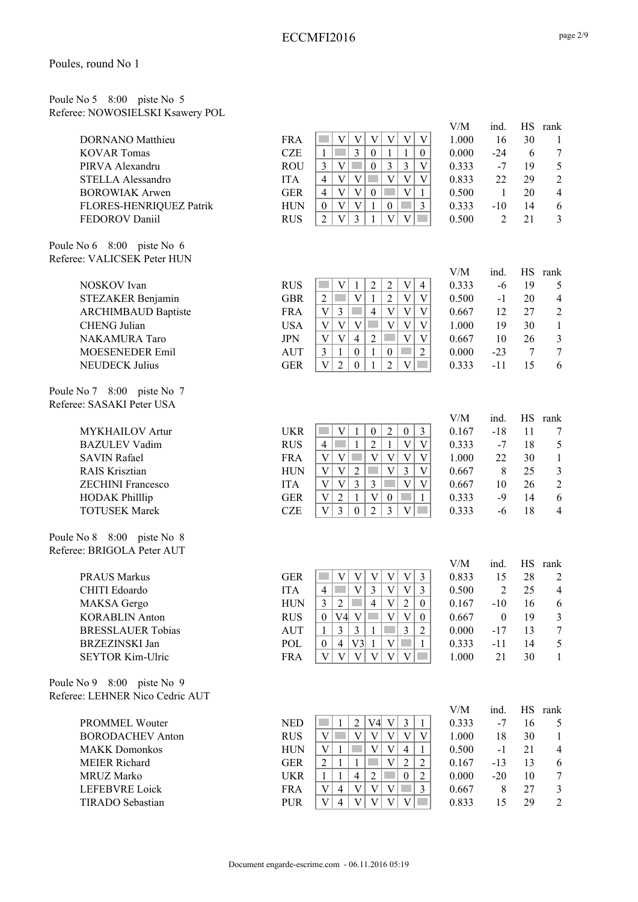Poule No 5 8:00 piste No 5 Referee: NOWOSIELSKI Ksawery POL

| <b>DORNANO</b> Matthieu |
|-------------------------|
| <b>KOVAR</b> Tomas      |
| PIRVA Alexandru         |
| STELLA Alessandro       |
| <b>BOROWIAK Arwen</b>   |
| FLORES-HENRIQUEZ Patrik |
| FEDOROV Daniil          |

Poule No 6 8:00 piste No 6 Referee: VALICSEK Peter HUN

| <b>NOSKOV</b> Ivan         |
|----------------------------|
| STEZAKER Benjamin          |
| <b>ARCHIMBAUD Baptiste</b> |
| <b>CHENG</b> Julian        |
| <b>NAKAMURA</b> Taro       |
| <b>MOESENEDER Emil</b>     |
| <b>NEUDECK Julius</b>      |

Poule No 7 8:00 piste No 7 Referee: SASAKI Peter USA

Poule No 8 8:00 piste No 8 Referee: BRIGOLA Peter AUT

| PRAUS Markus             |
|--------------------------|
| CHITI Edoardo            |
| <b>MAKSA</b> Gergo       |
| <b>KORABLIN Anton</b>    |
| <b>BRESSLAUER Tobias</b> |
| BRZEZINSKI Jan           |
| SEYTOR Kim-Ulric         |

Poule No 9 8:00 piste No 9 Referee: LEHNER Nico Cedric AUT

| PROMMEL Wouter          |
|-------------------------|
| <b>BORODACHEV Anton</b> |
| MAKK Domonkos           |
| MEIER Richard           |
| MRUZ Marko              |
| LEFEBVRE Loick          |
| TIRADO Sebastian        |

| e: NOWOSIELSKI Ksawery POL                                                                                                                           |                                                                                                |                                                                                                                                                                                                                                                                                                                                                                                                                                                                                                                                                                                                                                                |                                                                    |                                                                              |                                             |                                                                                     |
|------------------------------------------------------------------------------------------------------------------------------------------------------|------------------------------------------------------------------------------------------------|------------------------------------------------------------------------------------------------------------------------------------------------------------------------------------------------------------------------------------------------------------------------------------------------------------------------------------------------------------------------------------------------------------------------------------------------------------------------------------------------------------------------------------------------------------------------------------------------------------------------------------------------|--------------------------------------------------------------------|------------------------------------------------------------------------------|---------------------------------------------|-------------------------------------------------------------------------------------|
| DORNANO Matthieu<br><b>KOVAR Tomas</b><br>PIRVA Alexandru<br>STELLA Alessandro<br><b>BOROWIAK Arwen</b><br>FLORES-HENRIQUEZ Patrik<br>FEDOROV Daniil | <b>FRA</b><br><b>CZE</b><br><b>ROU</b><br><b>ITA</b><br><b>GER</b><br><b>HUN</b><br><b>RUS</b> | $\mathbf V$<br>$\mathbf V$<br>$\mathbf V$<br>$\mathbf V$<br>V<br>V<br>3<br>$\mathbf{1}$<br>$\boldsymbol{0}$<br>$\mathbf{1}$<br>$\mathbf{1}$<br>$\mathbf{0}$<br>$\overline{3}$<br>$\mathfrak{Z}$<br>V<br>$\boldsymbol{0}$<br>3<br>V<br>$\overline{V}$<br>$\overline{V}$<br>$\mathbf V$<br>$\mathbf V$<br>V<br>$\overline{4}$<br>$\overline{4}$<br>$\ensuremath{\mathbf{V}}$<br>V<br>V<br>$\boldsymbol{0}$<br>$\mathbf{1}$<br>$\overline{V}$<br>$\overline{3}$<br>$\ensuremath{\mathbf{V}}$<br>$\mathbf{1}$<br>$\boldsymbol{0}$<br>$\boldsymbol{0}$<br>$\overline{3}$<br>$\overline{2}$<br>$\overline{V}$<br>$\mathbf{1}$<br>$\overline{V}$<br>V | V/M<br>1.000<br>0.000<br>0.333<br>0.833<br>0.500<br>0.333<br>0.500 | ind.<br>16<br>$-24$<br>$-7$<br>22<br>$\mathbf{1}$<br>$-10$<br>$\overline{2}$ | HS<br>30<br>6<br>19<br>29<br>20<br>14<br>21 | rank<br>$\mathbf{1}$<br>$\tau$<br>5<br>$\boldsymbol{2}$<br>$\overline{4}$<br>6<br>3 |
| No $6\quad 8:00$ piste No $6$<br>e: VALICSEK Peter HUN                                                                                               |                                                                                                |                                                                                                                                                                                                                                                                                                                                                                                                                                                                                                                                                                                                                                                |                                                                    |                                                                              |                                             |                                                                                     |
|                                                                                                                                                      |                                                                                                |                                                                                                                                                                                                                                                                                                                                                                                                                                                                                                                                                                                                                                                | V/M                                                                | ind.                                                                         | HS                                          | rank                                                                                |
| NOSKOV Ivan                                                                                                                                          | <b>RUS</b>                                                                                     | $\overline{c}$<br>$\ensuremath{\mathbf{V}}$<br>V<br>$\overline{\mathbf{c}}$<br>$\overline{4}$<br>1                                                                                                                                                                                                                                                                                                                                                                                                                                                                                                                                             | 0.333                                                              | $-6$                                                                         | 19                                          | 5                                                                                   |
| STEZAKER Benjamin                                                                                                                                    | <b>GBR</b>                                                                                     | $\overline{\mathbf{V}}$<br>$\sqrt{2}$<br>$\overline{V}$<br>$\mathbf{1}$<br>$\overline{\mathbf{V}}$<br><b>Tara</b><br>$\overline{2}$                                                                                                                                                                                                                                                                                                                                                                                                                                                                                                            | 0.500                                                              | $-1$                                                                         | 20                                          | $\overline{4}$                                                                      |
| <b>ARCHIMBAUD Baptiste</b>                                                                                                                           | <b>FRA</b>                                                                                     | $\mathfrak{Z}$<br>$\overline{4}$<br>$\mathbf V$<br>V<br>V<br>V                                                                                                                                                                                                                                                                                                                                                                                                                                                                                                                                                                                 | 0.667                                                              | 12                                                                           | 27                                          | $\overline{c}$                                                                      |
| <b>CHENG</b> Julian                                                                                                                                  | <b>USA</b>                                                                                     | $\mathbf V$<br>V<br>V<br>$\mathbf{V}$<br>V<br>V                                                                                                                                                                                                                                                                                                                                                                                                                                                                                                                                                                                                | 1.000                                                              | 19                                                                           | 30                                          | $\mathbf{1}$                                                                        |
| NAKAMURA Taro                                                                                                                                        | <b>JPN</b>                                                                                     | V<br>$\overline{2}$<br>V<br>V<br>V<br>$\overline{4}$                                                                                                                                                                                                                                                                                                                                                                                                                                                                                                                                                                                           | 0.667                                                              | 10                                                                           | 26                                          | $\mathfrak{Z}$                                                                      |
| MOESENEDER Emil                                                                                                                                      | <b>AUT</b>                                                                                     | $\overline{2}$<br>3<br>$\mathbf{1}$<br>$\mathbf{0}$<br>1<br>$\boldsymbol{0}$                                                                                                                                                                                                                                                                                                                                                                                                                                                                                                                                                                   | 0.000                                                              | $-23$                                                                        | 7                                           | $\boldsymbol{7}$                                                                    |
| <b>NEUDECK Julius</b>                                                                                                                                | <b>GER</b>                                                                                     | $\ensuremath{\mathbf{V}}$<br>$\overline{2}$<br>$\overline{2}$<br>$\mathbf V$<br>$\Omega$<br>1                                                                                                                                                                                                                                                                                                                                                                                                                                                                                                                                                  | 0.333                                                              | $-11$                                                                        | 15                                          | 6                                                                                   |
| No 7 8:00 piste No 7                                                                                                                                 |                                                                                                |                                                                                                                                                                                                                                                                                                                                                                                                                                                                                                                                                                                                                                                |                                                                    |                                                                              |                                             |                                                                                     |
| e: SASAKI Peter USA                                                                                                                                  |                                                                                                |                                                                                                                                                                                                                                                                                                                                                                                                                                                                                                                                                                                                                                                |                                                                    |                                                                              |                                             |                                                                                     |
|                                                                                                                                                      |                                                                                                |                                                                                                                                                                                                                                                                                                                                                                                                                                                                                                                                                                                                                                                | V/M                                                                | ind.                                                                         | <b>HS</b>                                   | rank                                                                                |
| <b>MYKHAILOV</b> Artur                                                                                                                               | <b>UKR</b>                                                                                     | $\sqrt{2}$<br>$\overline{3}$<br>$\mathbf V$<br>$\boldsymbol{0}$<br>$\mathbf{1}$<br>$\boldsymbol{0}$                                                                                                                                                                                                                                                                                                                                                                                                                                                                                                                                            | 0.167                                                              | $-18$                                                                        | 11                                          | 7                                                                                   |
| <b>BAZULEV Vadim</b>                                                                                                                                 | <b>RUS</b>                                                                                     | $\overline{2}$<br><b>Tara</b><br>$\mathbf V$<br>V<br>$\mathbf{1}$<br>$\mathbf{1}$<br>$\overline{4}$                                                                                                                                                                                                                                                                                                                                                                                                                                                                                                                                            | 0.333                                                              | $-7$                                                                         | 18                                          | 5                                                                                   |
| <b>SAVIN Rafael</b>                                                                                                                                  | <b>FRA</b>                                                                                     | $\ensuremath{\mathbf{V}}$<br>$\overline{V}$<br>$\boldsymbol{\mathrm{V}}$<br>$\mathbf V$<br>V<br>V                                                                                                                                                                                                                                                                                                                                                                                                                                                                                                                                              | 1.000                                                              | 22                                                                           | 30                                          | $\mathbf{1}$                                                                        |
| <b>RAIS Krisztian</b>                                                                                                                                | <b>HUN</b>                                                                                     | $\overline{V}$<br>$\overline{3}$<br>$\overline{V}$<br>V<br>$\overline{2}$<br>V                                                                                                                                                                                                                                                                                                                                                                                                                                                                                                                                                                 | 0.667                                                              | 8                                                                            | 25                                          | $\mathfrak{Z}$                                                                      |
| <b>ZECHINI Francesco</b>                                                                                                                             | <b>ITA</b>                                                                                     | $\overline{3}$<br>$\bar{V}$<br>$\overline{V}$<br>$\ensuremath{\mathbf{V}}$<br>$\overline{\mathbf{V}}$<br>3                                                                                                                                                                                                                                                                                                                                                                                                                                                                                                                                     | 0.667                                                              | 10                                                                           | 26                                          | $\sqrt{2}$                                                                          |
| <b>HODAK Philllip</b>                                                                                                                                | <b>GER</b>                                                                                     | $\boldsymbol{\mathrm{V}}$<br>$\overline{2}$<br>$\mathbf{V}$<br>1<br>$\boldsymbol{0}$<br>$\mathbf{1}$                                                                                                                                                                                                                                                                                                                                                                                                                                                                                                                                           | 0.333                                                              | $-9$                                                                         | 14                                          | 6                                                                                   |
| <b>TOTUSEK Marek</b>                                                                                                                                 | <b>CZE</b>                                                                                     | $\bar{V}$<br>$\overline{3}$<br>$\overline{2}$<br>$\overline{3}$<br>V<br>$\mathbf{0}$                                                                                                                                                                                                                                                                                                                                                                                                                                                                                                                                                           | 0.333                                                              | $-6$                                                                         | 18                                          | $\overline{4}$                                                                      |
| No $8\quad 8:00$ piste No $8$<br>e: BRIGOLA Peter AUT                                                                                                |                                                                                                |                                                                                                                                                                                                                                                                                                                                                                                                                                                                                                                                                                                                                                                |                                                                    |                                                                              |                                             |                                                                                     |
|                                                                                                                                                      |                                                                                                |                                                                                                                                                                                                                                                                                                                                                                                                                                                                                                                                                                                                                                                | V/M                                                                | ind.                                                                         | HS                                          | rank                                                                                |
| <b>PRAUS Markus</b>                                                                                                                                  | <b>GER</b>                                                                                     | $\mathbf V$<br>V<br>V<br>V<br>$\mathfrak{Z}$<br>V                                                                                                                                                                                                                                                                                                                                                                                                                                                                                                                                                                                              | 0.833                                                              | 15                                                                           | 28                                          | $\overline{c}$                                                                      |
| CHITI Edoardo                                                                                                                                        | <b>ITA</b>                                                                                     | $\overline{V}$<br>$\overline{3}$<br>V V <br>$\mathfrak{Z}$<br>$\overline{4}$                                                                                                                                                                                                                                                                                                                                                                                                                                                                                                                                                                   | 0.500                                                              | $\mathfrak{D}$                                                               | 25                                          | $\overline{4}$                                                                      |
| MAKSA Gergo                                                                                                                                          | <b>HUN</b>                                                                                     | $\sqrt{2}$<br>3<br>$\overline{2}$<br>$\overline{4}$<br>V<br>$\overline{0}$                                                                                                                                                                                                                                                                                                                                                                                                                                                                                                                                                                     | 0.167                                                              | $-10$                                                                        | 16                                          | 6                                                                                   |
| <b>KORABLIN Anton</b><br><b>BRESSLAUER Tobias</b>                                                                                                    | <b>RUS</b>                                                                                     | $V4$ V<br>V<br>V<br>$\mathbf{0}$<br>$\boldsymbol{0}$<br>$\overline{3}$<br>$\mathfrak{Z}$<br>$\overline{3}$                                                                                                                                                                                                                                                                                                                                                                                                                                                                                                                                     | 0.667                                                              | $\boldsymbol{0}$                                                             | 19                                          | 3                                                                                   |
| <b>BRZEZINSKI</b> Jan                                                                                                                                | <b>AUT</b><br>POL                                                                              | $\mathbf{1}$<br>$\overline{2}$<br>$\mathbf{1}$<br>V3<br>V<br>$\overline{4}$<br>$\mathbf{1}$                                                                                                                                                                                                                                                                                                                                                                                                                                                                                                                                                    | 0.000<br>0.333                                                     | $-17$<br>$-11$                                                               | 13                                          | 7                                                                                   |
| SEYTOR Kim-Ulric                                                                                                                                     | <b>FRA</b>                                                                                     | $\mathbf{0}$<br>$\mathbf{1}$<br>$\overline{V}$<br>V<br>V<br>V<br>$\mathbf V$<br>V                                                                                                                                                                                                                                                                                                                                                                                                                                                                                                                                                              | 1.000                                                              | 21                                                                           | 14<br>30                                    | 5<br>$\mathbf{1}$                                                                   |
|                                                                                                                                                      |                                                                                                |                                                                                                                                                                                                                                                                                                                                                                                                                                                                                                                                                                                                                                                |                                                                    |                                                                              |                                             |                                                                                     |
| No 9 8:00 piste No 9                                                                                                                                 |                                                                                                |                                                                                                                                                                                                                                                                                                                                                                                                                                                                                                                                                                                                                                                |                                                                    |                                                                              |                                             |                                                                                     |
| e: LEHNER Nico Cedric AUT                                                                                                                            |                                                                                                |                                                                                                                                                                                                                                                                                                                                                                                                                                                                                                                                                                                                                                                |                                                                    |                                                                              |                                             |                                                                                     |
|                                                                                                                                                      |                                                                                                |                                                                                                                                                                                                                                                                                                                                                                                                                                                                                                                                                                                                                                                | V/M                                                                | ind.                                                                         | HS                                          | rank                                                                                |
| <b>PROMMEL Wouter</b>                                                                                                                                | <b>NED</b>                                                                                     | V4<br>V<br>$\mathfrak{Z}$<br>$\mathbf{1}$<br>$\overline{2}$<br>$\mathbf{1}$                                                                                                                                                                                                                                                                                                                                                                                                                                                                                                                                                                    | 0.333                                                              | $-7$                                                                         | 16                                          | 5                                                                                   |
| <b>BORODACHEV Anton</b>                                                                                                                              | <b>RUS</b>                                                                                     | V<br>$\ensuremath{\mathbf{V}}$<br>V<br>V<br>V<br>V<br>$\mathbf V$                                                                                                                                                                                                                                                                                                                                                                                                                                                                                                                                                                              | 1.000                                                              | 18                                                                           | 30                                          | $\mathbf{1}$                                                                        |
| <b>MAKK Domonkos</b>                                                                                                                                 | <b>HUN</b>                                                                                     | $\mathbf V$<br>V<br>$\mathbf{1}$<br>4<br>$\mathbf{1}$                                                                                                                                                                                                                                                                                                                                                                                                                                                                                                                                                                                          | 0.500                                                              | $-1$                                                                         | 21                                          | $\overline{4}$                                                                      |
| <b>MEIER Richard</b>                                                                                                                                 | <b>GER</b>                                                                                     | $\overline{c}$<br>$\overline{c}$<br>V<br>$\overline{c}$<br>1<br>1<br>$\overline{4}$<br>$\overline{2}$<br>$\overline{2}$<br>$\mathbf{1}$<br>$\mathbf{1}$<br>$\boldsymbol{0}$                                                                                                                                                                                                                                                                                                                                                                                                                                                                    | 0.167                                                              | $-13$                                                                        | 13                                          | 6                                                                                   |
| MRUZ Marko                                                                                                                                           | <b>UKR</b>                                                                                     |                                                                                                                                                                                                                                                                                                                                                                                                                                                                                                                                                                                                                                                | 0.000                                                              | $-20$                                                                        | 10                                          | 7                                                                                   |

FRA  $|V| 4 |V| V |V| 3 | 0.667 8 27 3$ PUR | V | 4 | V | V | V | V | 0.833 15 29 2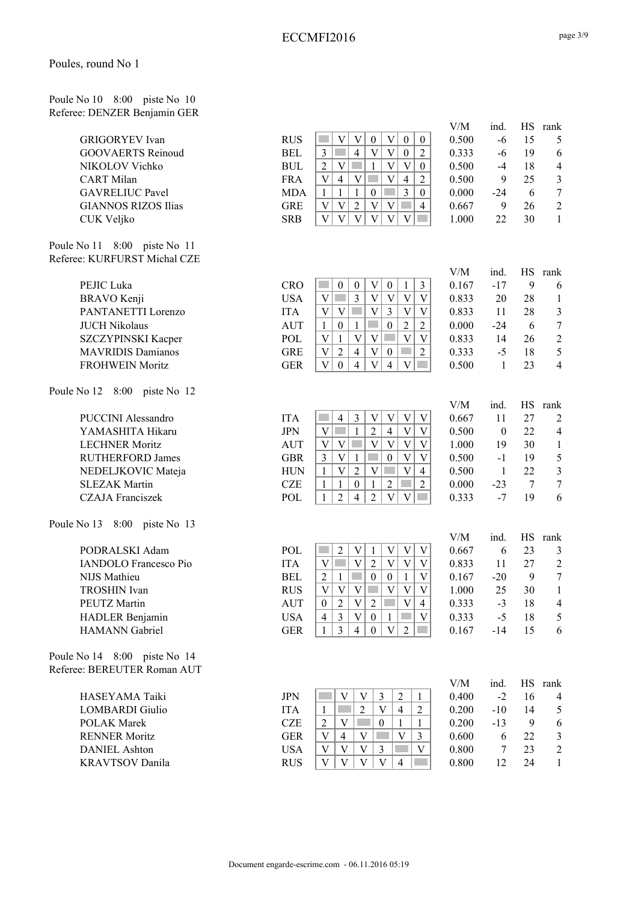Poule No 10 8:00 piste No 10 Referee: DENZER Benjamin GER

| <b>RUS</b> | $\mathbf V$<br>$\ensuremath{\mathbf{V}}$<br>$\boldsymbol{0}$<br>$\ensuremath{\mathbf{V}}$<br>$\boldsymbol{0}$<br>$\boldsymbol{0}$                                                                                                                                                    | 0.500                                                                                                                                                                                                                                                                                                                                                                                                                                                                                                                                                                                                                                                                                                                                                                                                                                                                                                                                                                                                                                                                                                                                                                                                                                                                                                                                                                                                                                                                                                                                                                                                                                                                                                                                                                                                                                                                                                                                                                                                                                                              | $-6$                                                                                                                                                                           | 15                                                                                                                                                                     | 5                                                                                                                 |
|------------|--------------------------------------------------------------------------------------------------------------------------------------------------------------------------------------------------------------------------------------------------------------------------------------|--------------------------------------------------------------------------------------------------------------------------------------------------------------------------------------------------------------------------------------------------------------------------------------------------------------------------------------------------------------------------------------------------------------------------------------------------------------------------------------------------------------------------------------------------------------------------------------------------------------------------------------------------------------------------------------------------------------------------------------------------------------------------------------------------------------------------------------------------------------------------------------------------------------------------------------------------------------------------------------------------------------------------------------------------------------------------------------------------------------------------------------------------------------------------------------------------------------------------------------------------------------------------------------------------------------------------------------------------------------------------------------------------------------------------------------------------------------------------------------------------------------------------------------------------------------------------------------------------------------------------------------------------------------------------------------------------------------------------------------------------------------------------------------------------------------------------------------------------------------------------------------------------------------------------------------------------------------------------------------------------------------------------------------------------------------------|--------------------------------------------------------------------------------------------------------------------------------------------------------------------------------|------------------------------------------------------------------------------------------------------------------------------------------------------------------------|-------------------------------------------------------------------------------------------------------------------|
| <b>BEL</b> | $\ensuremath{\mathbf{V}}$<br>$\overline{4}$<br>$\ensuremath{\text{V}}$<br>$\mathfrak{Z}$<br><b>Tari</b><br>$\boldsymbol{0}$<br>$\overline{2}$                                                                                                                                        | 0.333                                                                                                                                                                                                                                                                                                                                                                                                                                                                                                                                                                                                                                                                                                                                                                                                                                                                                                                                                                                                                                                                                                                                                                                                                                                                                                                                                                                                                                                                                                                                                                                                                                                                                                                                                                                                                                                                                                                                                                                                                                                              | $-6$                                                                                                                                                                           | 19                                                                                                                                                                     | 6                                                                                                                 |
|            | <b>The State</b>                                                                                                                                                                                                                                                                     |                                                                                                                                                                                                                                                                                                                                                                                                                                                                                                                                                                                                                                                                                                                                                                                                                                                                                                                                                                                                                                                                                                                                                                                                                                                                                                                                                                                                                                                                                                                                                                                                                                                                                                                                                                                                                                                                                                                                                                                                                                                                    |                                                                                                                                                                                |                                                                                                                                                                        | $\overline{4}$                                                                                                    |
|            | <b>College</b>                                                                                                                                                                                                                                                                       |                                                                                                                                                                                                                                                                                                                                                                                                                                                                                                                                                                                                                                                                                                                                                                                                                                                                                                                                                                                                                                                                                                                                                                                                                                                                                                                                                                                                                                                                                                                                                                                                                                                                                                                                                                                                                                                                                                                                                                                                                                                                    |                                                                                                                                                                                |                                                                                                                                                                        | $\mathfrak{Z}$                                                                                                    |
|            |                                                                                                                                                                                                                                                                                      |                                                                                                                                                                                                                                                                                                                                                                                                                                                                                                                                                                                                                                                                                                                                                                                                                                                                                                                                                                                                                                                                                                                                                                                                                                                                                                                                                                                                                                                                                                                                                                                                                                                                                                                                                                                                                                                                                                                                                                                                                                                                    |                                                                                                                                                                                |                                                                                                                                                                        | $\overline{7}$                                                                                                    |
|            | $\sim$                                                                                                                                                                                                                                                                               |                                                                                                                                                                                                                                                                                                                                                                                                                                                                                                                                                                                                                                                                                                                                                                                                                                                                                                                                                                                                                                                                                                                                                                                                                                                                                                                                                                                                                                                                                                                                                                                                                                                                                                                                                                                                                                                                                                                                                                                                                                                                    |                                                                                                                                                                                |                                                                                                                                                                        | $\boldsymbol{2}$                                                                                                  |
|            |                                                                                                                                                                                                                                                                                      |                                                                                                                                                                                                                                                                                                                                                                                                                                                                                                                                                                                                                                                                                                                                                                                                                                                                                                                                                                                                                                                                                                                                                                                                                                                                                                                                                                                                                                                                                                                                                                                                                                                                                                                                                                                                                                                                                                                                                                                                                                                                    |                                                                                                                                                                                |                                                                                                                                                                        | $\mathbf{1}$                                                                                                      |
|            |                                                                                                                                                                                                                                                                                      |                                                                                                                                                                                                                                                                                                                                                                                                                                                                                                                                                                                                                                                                                                                                                                                                                                                                                                                                                                                                                                                                                                                                                                                                                                                                                                                                                                                                                                                                                                                                                                                                                                                                                                                                                                                                                                                                                                                                                                                                                                                                    |                                                                                                                                                                                |                                                                                                                                                                        |                                                                                                                   |
|            |                                                                                                                                                                                                                                                                                      |                                                                                                                                                                                                                                                                                                                                                                                                                                                                                                                                                                                                                                                                                                                                                                                                                                                                                                                                                                                                                                                                                                                                                                                                                                                                                                                                                                                                                                                                                                                                                                                                                                                                                                                                                                                                                                                                                                                                                                                                                                                                    |                                                                                                                                                                                |                                                                                                                                                                        |                                                                                                                   |
|            |                                                                                                                                                                                                                                                                                      |                                                                                                                                                                                                                                                                                                                                                                                                                                                                                                                                                                                                                                                                                                                                                                                                                                                                                                                                                                                                                                                                                                                                                                                                                                                                                                                                                                                                                                                                                                                                                                                                                                                                                                                                                                                                                                                                                                                                                                                                                                                                    |                                                                                                                                                                                |                                                                                                                                                                        |                                                                                                                   |
|            |                                                                                                                                                                                                                                                                                      | V/M                                                                                                                                                                                                                                                                                                                                                                                                                                                                                                                                                                                                                                                                                                                                                                                                                                                                                                                                                                                                                                                                                                                                                                                                                                                                                                                                                                                                                                                                                                                                                                                                                                                                                                                                                                                                                                                                                                                                                                                                                                                                | ind.                                                                                                                                                                           | <b>HS</b>                                                                                                                                                              | rank                                                                                                              |
|            | $\mathcal{L}^{\mathcal{L}}$<br>$\mathbf{1}$                                                                                                                                                                                                                                          |                                                                                                                                                                                                                                                                                                                                                                                                                                                                                                                                                                                                                                                                                                                                                                                                                                                                                                                                                                                                                                                                                                                                                                                                                                                                                                                                                                                                                                                                                                                                                                                                                                                                                                                                                                                                                                                                                                                                                                                                                                                                    |                                                                                                                                                                                |                                                                                                                                                                        | 6                                                                                                                 |
|            | V                                                                                                                                                                                                                                                                                    | 0.833                                                                                                                                                                                                                                                                                                                                                                                                                                                                                                                                                                                                                                                                                                                                                                                                                                                                                                                                                                                                                                                                                                                                                                                                                                                                                                                                                                                                                                                                                                                                                                                                                                                                                                                                                                                                                                                                                                                                                                                                                                                              | 20                                                                                                                                                                             | 28                                                                                                                                                                     | $\mathbf{1}$                                                                                                      |
| <b>ITA</b> | V<br>$\mathbf V$                                                                                                                                                                                                                                                                     | 0.833                                                                                                                                                                                                                                                                                                                                                                                                                                                                                                                                                                                                                                                                                                                                                                                                                                                                                                                                                                                                                                                                                                                                                                                                                                                                                                                                                                                                                                                                                                                                                                                                                                                                                                                                                                                                                                                                                                                                                                                                                                                              | 11                                                                                                                                                                             | 28                                                                                                                                                                     | $\mathfrak{Z}$                                                                                                    |
| <b>AUT</b> | $\mathbf{1}$<br>$\boldsymbol{0}$<br>$\boldsymbol{0}$<br>$\mathbf{1}$<br>$\overline{2}$                                                                                                                                                                                               | 0.000                                                                                                                                                                                                                                                                                                                                                                                                                                                                                                                                                                                                                                                                                                                                                                                                                                                                                                                                                                                                                                                                                                                                                                                                                                                                                                                                                                                                                                                                                                                                                                                                                                                                                                                                                                                                                                                                                                                                                                                                                                                              | $-24$                                                                                                                                                                          | 6                                                                                                                                                                      | $\boldsymbol{7}$                                                                                                  |
| POL        | $\mathbf{V}$<br>$\mathbf{V}$<br><b>The State</b><br>V<br>$\mathbf{1}$<br>V                                                                                                                                                                                                           | 0.833                                                                                                                                                                                                                                                                                                                                                                                                                                                                                                                                                                                                                                                                                                                                                                                                                                                                                                                                                                                                                                                                                                                                                                                                                                                                                                                                                                                                                                                                                                                                                                                                                                                                                                                                                                                                                                                                                                                                                                                                                                                              | 14                                                                                                                                                                             | 26                                                                                                                                                                     | $\sqrt{2}$                                                                                                        |
| <b>GRE</b> | $\mathbf V$<br>$\overline{2}$<br>$\overline{4}$<br><b>Tara</b><br>$\boldsymbol{0}$<br>$\overline{2}$<br>V                                                                                                                                                                            | 0.333                                                                                                                                                                                                                                                                                                                                                                                                                                                                                                                                                                                                                                                                                                                                                                                                                                                                                                                                                                                                                                                                                                                                                                                                                                                                                                                                                                                                                                                                                                                                                                                                                                                                                                                                                                                                                                                                                                                                                                                                                                                              | $-5$                                                                                                                                                                           | 18                                                                                                                                                                     | 5                                                                                                                 |
| <b>GER</b> | $\mathbf V$<br>$\ensuremath{\mathbf{V}}$<br>$\mathbf V$<br>$\mathbf{0}$<br>$\overline{4}$<br>$\overline{4}$<br>$\mathcal{L}^{\text{max}}$                                                                                                                                            | 0.500                                                                                                                                                                                                                                                                                                                                                                                                                                                                                                                                                                                                                                                                                                                                                                                                                                                                                                                                                                                                                                                                                                                                                                                                                                                                                                                                                                                                                                                                                                                                                                                                                                                                                                                                                                                                                                                                                                                                                                                                                                                              | $\mathbf{1}$                                                                                                                                                                   | 23                                                                                                                                                                     | $\overline{4}$                                                                                                    |
|            |                                                                                                                                                                                                                                                                                      |                                                                                                                                                                                                                                                                                                                                                                                                                                                                                                                                                                                                                                                                                                                                                                                                                                                                                                                                                                                                                                                                                                                                                                                                                                                                                                                                                                                                                                                                                                                                                                                                                                                                                                                                                                                                                                                                                                                                                                                                                                                                    |                                                                                                                                                                                |                                                                                                                                                                        |                                                                                                                   |
|            |                                                                                                                                                                                                                                                                                      | V/M                                                                                                                                                                                                                                                                                                                                                                                                                                                                                                                                                                                                                                                                                                                                                                                                                                                                                                                                                                                                                                                                                                                                                                                                                                                                                                                                                                                                                                                                                                                                                                                                                                                                                                                                                                                                                                                                                                                                                                                                                                                                | ind.                                                                                                                                                                           | HS                                                                                                                                                                     | rank                                                                                                              |
| <b>ITA</b> | $\mathbf{3}$<br>$\ensuremath{\mathbf{V}}$<br>V<br>$\ensuremath{\mathbf{V}}$<br>$\ensuremath{\mathbf{V}}$<br>$\overline{4}$                                                                                                                                                           | 0.667                                                                                                                                                                                                                                                                                                                                                                                                                                                                                                                                                                                                                                                                                                                                                                                                                                                                                                                                                                                                                                                                                                                                                                                                                                                                                                                                                                                                                                                                                                                                                                                                                                                                                                                                                                                                                                                                                                                                                                                                                                                              | 11                                                                                                                                                                             | 27                                                                                                                                                                     | $\overline{2}$                                                                                                    |
| <b>JPN</b> | $\overline{\mathbf{V}}$<br>$\overline{2}$<br>V<br>$\mathbf{1}$<br>$\overline{4}$<br>$\mathbf V$                                                                                                                                                                                      | 0.500                                                                                                                                                                                                                                                                                                                                                                                                                                                                                                                                                                                                                                                                                                                                                                                                                                                                                                                                                                                                                                                                                                                                                                                                                                                                                                                                                                                                                                                                                                                                                                                                                                                                                                                                                                                                                                                                                                                                                                                                                                                              | $\boldsymbol{0}$                                                                                                                                                               | 22                                                                                                                                                                     | $\overline{4}$                                                                                                    |
| <b>AUT</b> | $\overline{\mathbf{V}}$<br>$\mathbf V$<br>V<br>V<br>V<br>V                                                                                                                                                                                                                           | 1.000                                                                                                                                                                                                                                                                                                                                                                                                                                                                                                                                                                                                                                                                                                                                                                                                                                                                                                                                                                                                                                                                                                                                                                                                                                                                                                                                                                                                                                                                                                                                                                                                                                                                                                                                                                                                                                                                                                                                                                                                                                                              | 19                                                                                                                                                                             | 30                                                                                                                                                                     | $\mathbf{1}$                                                                                                      |
|            | V<br>$\boldsymbol{0}$<br>V                                                                                                                                                                                                                                                           |                                                                                                                                                                                                                                                                                                                                                                                                                                                                                                                                                                                                                                                                                                                                                                                                                                                                                                                                                                                                                                                                                                                                                                                                                                                                                                                                                                                                                                                                                                                                                                                                                                                                                                                                                                                                                                                                                                                                                                                                                                                                    |                                                                                                                                                                                |                                                                                                                                                                        | $\sqrt{5}$                                                                                                        |
|            | $\overline{4}$                                                                                                                                                                                                                                                                       |                                                                                                                                                                                                                                                                                                                                                                                                                                                                                                                                                                                                                                                                                                                                                                                                                                                                                                                                                                                                                                                                                                                                                                                                                                                                                                                                                                                                                                                                                                                                                                                                                                                                                                                                                                                                                                                                                                                                                                                                                                                                    |                                                                                                                                                                                |                                                                                                                                                                        | $\mathfrak{Z}$                                                                                                    |
|            | $\mathcal{L}_{\mathcal{A}}$                                                                                                                                                                                                                                                          |                                                                                                                                                                                                                                                                                                                                                                                                                                                                                                                                                                                                                                                                                                                                                                                                                                                                                                                                                                                                                                                                                                                                                                                                                                                                                                                                                                                                                                                                                                                                                                                                                                                                                                                                                                                                                                                                                                                                                                                                                                                                    |                                                                                                                                                                                |                                                                                                                                                                        | $\boldsymbol{7}$                                                                                                  |
| POL        | $\overline{2}$<br>$\mathbf V$<br>$\overline{2}$<br>$\overline{4}$<br>V<br>$\mathcal{L}^{\text{max}}$<br>$\mathbf{1}$                                                                                                                                                                 | 0.333                                                                                                                                                                                                                                                                                                                                                                                                                                                                                                                                                                                                                                                                                                                                                                                                                                                                                                                                                                                                                                                                                                                                                                                                                                                                                                                                                                                                                                                                                                                                                                                                                                                                                                                                                                                                                                                                                                                                                                                                                                                              | $-7$                                                                                                                                                                           | 19                                                                                                                                                                     | 6                                                                                                                 |
|            |                                                                                                                                                                                                                                                                                      |                                                                                                                                                                                                                                                                                                                                                                                                                                                                                                                                                                                                                                                                                                                                                                                                                                                                                                                                                                                                                                                                                                                                                                                                                                                                                                                                                                                                                                                                                                                                                                                                                                                                                                                                                                                                                                                                                                                                                                                                                                                                    |                                                                                                                                                                                |                                                                                                                                                                        |                                                                                                                   |
|            |                                                                                                                                                                                                                                                                                      | V/M                                                                                                                                                                                                                                                                                                                                                                                                                                                                                                                                                                                                                                                                                                                                                                                                                                                                                                                                                                                                                                                                                                                                                                                                                                                                                                                                                                                                                                                                                                                                                                                                                                                                                                                                                                                                                                                                                                                                                                                                                                                                | ind.                                                                                                                                                                           | <b>HS</b>                                                                                                                                                              | rank                                                                                                              |
|            | $\mathbf{1}$                                                                                                                                                                                                                                                                         |                                                                                                                                                                                                                                                                                                                                                                                                                                                                                                                                                                                                                                                                                                                                                                                                                                                                                                                                                                                                                                                                                                                                                                                                                                                                                                                                                                                                                                                                                                                                                                                                                                                                                                                                                                                                                                                                                                                                                                                                                                                                    |                                                                                                                                                                                |                                                                                                                                                                        | 3                                                                                                                 |
|            |                                                                                                                                                                                                                                                                                      |                                                                                                                                                                                                                                                                                                                                                                                                                                                                                                                                                                                                                                                                                                                                                                                                                                                                                                                                                                                                                                                                                                                                                                                                                                                                                                                                                                                                                                                                                                                                                                                                                                                                                                                                                                                                                                                                                                                                                                                                                                                                    |                                                                                                                                                                                |                                                                                                                                                                        | $\overline{2}$                                                                                                    |
|            |                                                                                                                                                                                                                                                                                      |                                                                                                                                                                                                                                                                                                                                                                                                                                                                                                                                                                                                                                                                                                                                                                                                                                                                                                                                                                                                                                                                                                                                                                                                                                                                                                                                                                                                                                                                                                                                                                                                                                                                                                                                                                                                                                                                                                                                                                                                                                                                    |                                                                                                                                                                                | 9                                                                                                                                                                      | $\boldsymbol{7}$                                                                                                  |
|            |                                                                                                                                                                                                                                                                                      |                                                                                                                                                                                                                                                                                                                                                                                                                                                                                                                                                                                                                                                                                                                                                                                                                                                                                                                                                                                                                                                                                                                                                                                                                                                                                                                                                                                                                                                                                                                                                                                                                                                                                                                                                                                                                                                                                                                                                                                                                                                                    | 25                                                                                                                                                                             | 30                                                                                                                                                                     | $\mathbf{1}$                                                                                                      |
| <b>AUT</b> | $\mathcal{L}^{\mathcal{L}}$<br>$\sqrt{2}$<br>$\boldsymbol{0}$<br>$\overline{4}$                                                                                                                                                                                                      | 0.333                                                                                                                                                                                                                                                                                                                                                                                                                                                                                                                                                                                                                                                                                                                                                                                                                                                                                                                                                                                                                                                                                                                                                                                                                                                                                                                                                                                                                                                                                                                                                                                                                                                                                                                                                                                                                                                                                                                                                                                                                                                              | $-3$                                                                                                                                                                           | 18                                                                                                                                                                     | $\overline{4}$                                                                                                    |
|            | l mar                                                                                                                                                                                                                                                                                | 0.333                                                                                                                                                                                                                                                                                                                                                                                                                                                                                                                                                                                                                                                                                                                                                                                                                                                                                                                                                                                                                                                                                                                                                                                                                                                                                                                                                                                                                                                                                                                                                                                                                                                                                                                                                                                                                                                                                                                                                                                                                                                              |                                                                                                                                                                                | $18\,$                                                                                                                                                                 | 5                                                                                                                 |
| <b>GER</b> | $\mathfrak{Z}$<br>$\overline{0}$<br>V<br>2<br>$\overline{4}$<br>1                                                                                                                                                                                                                    | 0.167                                                                                                                                                                                                                                                                                                                                                                                                                                                                                                                                                                                                                                                                                                                                                                                                                                                                                                                                                                                                                                                                                                                                                                                                                                                                                                                                                                                                                                                                                                                                                                                                                                                                                                                                                                                                                                                                                                                                                                                                                                                              | $-14$                                                                                                                                                                          | 15                                                                                                                                                                     | 6                                                                                                                 |
|            |                                                                                                                                                                                                                                                                                      |                                                                                                                                                                                                                                                                                                                                                                                                                                                                                                                                                                                                                                                                                                                                                                                                                                                                                                                                                                                                                                                                                                                                                                                                                                                                                                                                                                                                                                                                                                                                                                                                                                                                                                                                                                                                                                                                                                                                                                                                                                                                    |                                                                                                                                                                                |                                                                                                                                                                        |                                                                                                                   |
|            |                                                                                                                                                                                                                                                                                      |                                                                                                                                                                                                                                                                                                                                                                                                                                                                                                                                                                                                                                                                                                                                                                                                                                                                                                                                                                                                                                                                                                                                                                                                                                                                                                                                                                                                                                                                                                                                                                                                                                                                                                                                                                                                                                                                                                                                                                                                                                                                    |                                                                                                                                                                                |                                                                                                                                                                        |                                                                                                                   |
|            |                                                                                                                                                                                                                                                                                      |                                                                                                                                                                                                                                                                                                                                                                                                                                                                                                                                                                                                                                                                                                                                                                                                                                                                                                                                                                                                                                                                                                                                                                                                                                                                                                                                                                                                                                                                                                                                                                                                                                                                                                                                                                                                                                                                                                                                                                                                                                                                    |                                                                                                                                                                                |                                                                                                                                                                        | rank                                                                                                              |
|            |                                                                                                                                                                                                                                                                                      |                                                                                                                                                                                                                                                                                                                                                                                                                                                                                                                                                                                                                                                                                                                                                                                                                                                                                                                                                                                                                                                                                                                                                                                                                                                                                                                                                                                                                                                                                                                                                                                                                                                                                                                                                                                                                                                                                                                                                                                                                                                                    |                                                                                                                                                                                |                                                                                                                                                                        |                                                                                                                   |
|            |                                                                                                                                                                                                                                                                                      |                                                                                                                                                                                                                                                                                                                                                                                                                                                                                                                                                                                                                                                                                                                                                                                                                                                                                                                                                                                                                                                                                                                                                                                                                                                                                                                                                                                                                                                                                                                                                                                                                                                                                                                                                                                                                                                                                                                                                                                                                                                                    |                                                                                                                                                                                |                                                                                                                                                                        | $\overline{\mathcal{A}}$                                                                                          |
|            |                                                                                                                                                                                                                                                                                      |                                                                                                                                                                                                                                                                                                                                                                                                                                                                                                                                                                                                                                                                                                                                                                                                                                                                                                                                                                                                                                                                                                                                                                                                                                                                                                                                                                                                                                                                                                                                                                                                                                                                                                                                                                                                                                                                                                                                                                                                                                                                    |                                                                                                                                                                                |                                                                                                                                                                        | 5                                                                                                                 |
|            |                                                                                                                                                                                                                                                                                      |                                                                                                                                                                                                                                                                                                                                                                                                                                                                                                                                                                                                                                                                                                                                                                                                                                                                                                                                                                                                                                                                                                                                                                                                                                                                                                                                                                                                                                                                                                                                                                                                                                                                                                                                                                                                                                                                                                                                                                                                                                                                    |                                                                                                                                                                                |                                                                                                                                                                        | 6                                                                                                                 |
|            |                                                                                                                                                                                                                                                                                      |                                                                                                                                                                                                                                                                                                                                                                                                                                                                                                                                                                                                                                                                                                                                                                                                                                                                                                                                                                                                                                                                                                                                                                                                                                                                                                                                                                                                                                                                                                                                                                                                                                                                                                                                                                                                                                                                                                                                                                                                                                                                    |                                                                                                                                                                                |                                                                                                                                                                        | $\mathfrak{Z}$                                                                                                    |
|            |                                                                                                                                                                                                                                                                                      |                                                                                                                                                                                                                                                                                                                                                                                                                                                                                                                                                                                                                                                                                                                                                                                                                                                                                                                                                                                                                                                                                                                                                                                                                                                                                                                                                                                                                                                                                                                                                                                                                                                                                                                                                                                                                                                                                                                                                                                                                                                                    |                                                                                                                                                                                |                                                                                                                                                                        | $\overline{2}$                                                                                                    |
|            |                                                                                                                                                                                                                                                                                      |                                                                                                                                                                                                                                                                                                                                                                                                                                                                                                                                                                                                                                                                                                                                                                                                                                                                                                                                                                                                                                                                                                                                                                                                                                                                                                                                                                                                                                                                                                                                                                                                                                                                                                                                                                                                                                                                                                                                                                                                                                                                    |                                                                                                                                                                                |                                                                                                                                                                        | $\mathbf{1}$                                                                                                      |
|            | <b>BUL</b><br><b>FRA</b><br><b>MDA</b><br><b>GRE</b><br><b>SRB</b><br><b>CRO</b><br><b>USA</b><br><b>GBR</b><br><b>HUN</b><br>CZE<br>POL<br><b>ITA</b><br><b>BEL</b><br><b>RUS</b><br><b>USA</b><br><b>JPN</b><br><b>ITA</b><br><b>CZE</b><br><b>GER</b><br><b>USA</b><br><b>RUS</b> | $\overline{2}$<br>$\ensuremath{\mathbf{V}}$<br>$\mathbf{1}$<br>$\ensuremath{\mathbf{V}}$<br>$\mathbf V$<br>$\mathbf{0}$<br>$\mathbf V$<br>$\mathbf{V}$<br>$\mathbf V$<br>$\overline{4}$<br>$\overline{4}$<br>$\mathbf{2}$<br>$\overline{3}$<br>$\mathbf{1}$<br>$\mathbf{1}$<br>$\boldsymbol{0}$<br>$\mathbf{0}$<br>$\mathbf{1}$<br>$\overline{2}$<br>$\mathbf V$<br>V<br>$\ensuremath{\mathbf{V}}$<br>V<br>$\overline{4}$<br>$\mathbf{V}$<br>$\mathbf{V}$<br>$\mathbf V$<br>$\mathbf V$<br>$\mathbf V$<br>$\mathbf V$<br>$\ensuremath{\mathbf{V}}$<br>$\mathfrak{Z}$<br>$\boldsymbol{0}$<br>$\mathbf{0}$<br>$\boldsymbol{0}$<br>$\overline{3}$<br>$\mathbf V$<br>V<br>$\mathbf{V}$<br>$\mathbf V$<br>$\mathbf V$<br>$\mathfrak{Z}$<br>$\mathbf V$<br>$\overline{V}$<br>$\overline{2}$<br>$\overline{\mathbf{V}}$<br>$\overline{3}$<br>$\ensuremath{\mathbf{V}}$<br>$\mathbf{1}$<br>$\overline{\mathsf{V}}$<br>$\overline{2}$<br>$\mathbf{V}$<br>$\mathbf{1}$<br>V<br>$\boldsymbol{0}$<br>$\mathbf{1}$<br>$\overline{2}$<br>$\overline{2}$<br>$\mathbf{1}$<br>$\mathbf{1}$<br>$\sqrt{2}$<br>$\ensuremath{\mathbf{V}}$<br>$\ensuremath{\mathbf{V}}$<br>$\ensuremath{\mathbf{V}}$<br>$\ensuremath{\mathbf{V}}$<br>$\mathbf V$<br>$\mathbf V$<br>m.<br>$\overline{2}$<br>$\ensuremath{\mathbf{V}}$<br>$\mathbf{V}$<br>V<br>$\mathbf{1}$<br>$\mathcal{L}(\mathcal{A})$<br>$\boldsymbol{0}$<br>$\boldsymbol{0}$<br>$\overline{2}$<br>$\mathbf{1}$<br>V<br>V<br>$\mathbf V$<br>$\ensuremath{\mathbf{V}}$<br>V<br>V<br>V<br>$\mathbf V$<br>$\overline{V}$<br>$\sqrt{2}$<br>3  V 0<br>$\vert \mathrm{v} \vert$<br>$\overline{4}$<br>$\boxed{1}$<br>V<br>V<br>3<br>$\overline{2}$<br>1<br>$\overline{2}$<br>V<br>$\overline{4}$<br>-1<br>2<br>$\sqrt{2}$<br>$\mathbf V$<br>$\boldsymbol{0}$<br>$\mathbf{1}$<br>$\mathbf{1}$<br>V<br>$\overline{4}$<br>V<br>V<br>3<br>$\ensuremath{\mathbf{V}}$<br>$\mathbf V$<br>$\ensuremath{\mathbf{V}}$<br>$\mathfrak{Z}$<br>$\mathbf V$<br>$\mathbf{V}$<br>$\ensuremath{\mathbf{V}}$<br>$\ensuremath{\mathbf{V}}$<br>V<br>$\overline{4}$ | 0.500<br>0.500<br>0.000<br>0.667<br>1.000<br>0.167<br>0.500<br>0.500<br>0.000<br>0.667<br>0.833<br>0.167<br>1.000<br>V/M<br>0.400<br>0.200<br>0.200<br>0.600<br>0.800<br>0.800 | $-4$<br>9<br>$-24$<br>9<br>22<br>$-17$<br>$-1$<br>$\overline{1}$<br>$-23$<br>6<br>11<br>$-20$<br>$-5$<br>ind.<br>$-2$<br>$-10$<br>$-13$<br>6<br>$\boldsymbol{7}$<br>12 | 18<br>25<br>6<br>26<br>30<br>9<br>19<br>22<br>$\overline{7}$<br>23<br>27<br>HS<br>16<br>14<br>9<br>22<br>23<br>24 |

V/M ind. HS rank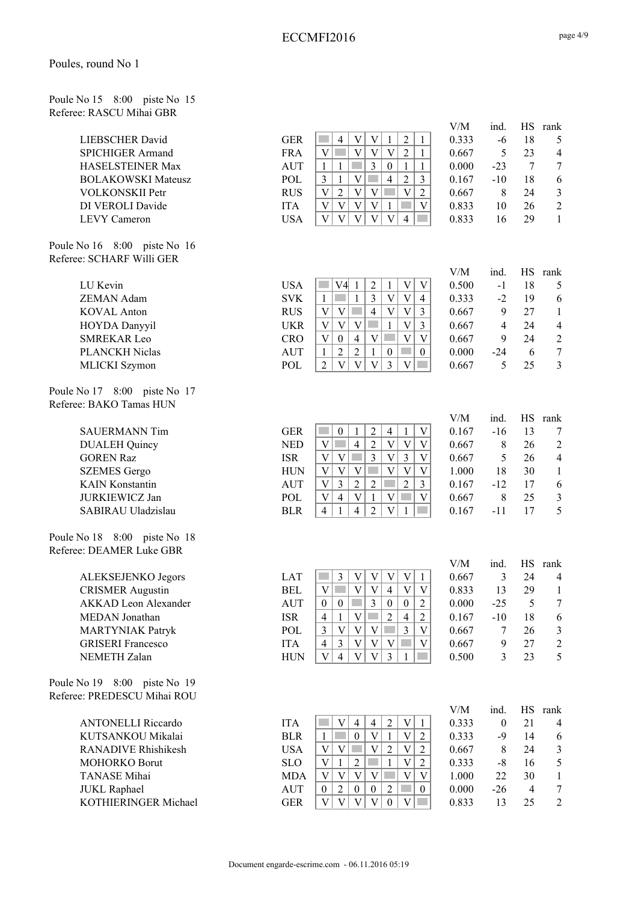Poule No 15 8:00 piste No 15 Referee: RASCU Mihai GBR

| <b>LIEBSCHER David</b>    |
|---------------------------|
| <b>SPICHIGER Armand</b>   |
| <b>HASELSTEINER Max</b>   |
| <b>BOLAKOWSKI Mateusz</b> |
| <b>VOLKONSKII Petr</b>    |
| DI VEROLI Davide          |
| <b>LEVY Cameron</b>       |

Poule No 16 8:00 piste No 16 Referee: SCHARF Willi GER

Poule No 17 8:00 piste No 17 Referee: BAKO Tamas HUN

Poule No 18 8:00 piste No 18 Referee: DEAMER Luke GBR

Poule No 19 8:00 piste No 19 Referee: PREDESCU Mihai ROU

> ANTONELLI Riccardo IT KUTSANKOU Mikalai BI RANADIVE Rhishikesh US MOHORKO Borut SI TANASE Mihai M JUKL Raphael AU KOTHIERINGER Michael GI

|                           |            |   |  |  | V/M   | ind.  |    | rank           |
|---------------------------|------------|---|--|--|-------|-------|----|----------------|
| LIEBSCHER David           | <b>GER</b> |   |  |  | 0.333 | -6    | 18 |                |
| SPICHIGER Armand          | <b>FRA</b> |   |  |  | 0.667 |       | 23 | 4              |
| HASELSTEINER Max          | AUT        |   |  |  | 0.000 | $-23$ |    | 7              |
| <b>BOLAKOWSKI Mateusz</b> | POL        |   |  |  | 0.167 | $-10$ | 18 | 6              |
| VOLKONSKII Petr           | <b>RUS</b> | ◠ |  |  | 0.667 |       | 24 | 3              |
| DI VEROLI Davide          | <b>ITA</b> |   |  |  | 0.833 | 10    | 26 | $\mathfrak{D}$ |
| LEVY Cameron              | USA        |   |  |  | 0.833 | ۱6    | 29 |                |
|                           |            |   |  |  |       |       |    |                |

|                       |            |               | V/M   | ınd. | HS | rank |
|-----------------------|------------|---------------|-------|------|----|------|
| LU Kevin              | USA        | V4l           | 0.500 | -1   | 18 | 5    |
| <b>ZEMAN Adam</b>     | <b>SVK</b> | 4             | 0.333 | -2   | 19 | 6    |
| <b>KOVAL</b> Anton    | <b>RUS</b> | V<br>4        | 0.667 | 9    | 27 |      |
| <b>HOYDA Danyyil</b>  | UKR        |               | 0.667 | 4    | 24 | 4    |
| <b>SMREKAR Leo</b>    | <b>CRO</b> | V<br>$\theta$ | 0.667 |      | 24 | 2    |
| <b>PLANCKH Niclas</b> | <b>AUT</b> |               | 0.000 | -24  | b  |      |
| MLICKI Szymon         | POL        |               | 0.667 |      | 25 | 3    |

|                        |            |        | V/M   | 1nd.  |    | rank           |
|------------------------|------------|--------|-------|-------|----|----------------|
| <b>SAUERMANN Tim</b>   | GER        | 4      | 0.167 | -16   | 13 | 7              |
| <b>DUALEH Quincy</b>   | <b>NED</b> |        | 0.667 | 8     | 26 | 2              |
| <b>GOREN Raz</b>       | <b>ISR</b> | V<br>V | 0.667 |       | 26 | $\overline{4}$ |
| <b>SZEMES</b> Gergo    | HUN        |        | 1.000 | 18    | 30 |                |
| <b>KAIN Konstantin</b> | AUT        | ∠      | 0.167 | $-12$ |    | 6              |
| <b>JURKIEWICZ Jan</b>  | <b>POL</b> | 4      | 0.667 |       | 25 | 3              |
| SABIRAU Uladzislau     | <b>BLR</b> | 4      | 0.167 | -11   |    |                |
|                        |            |        |       |       |    |                |

|                          |            |   |  |          |          | V/M   | ind.  |    | rank |
|--------------------------|------------|---|--|----------|----------|-------|-------|----|------|
| ALEKSEJENKO Jegors       | LAT        |   |  |          |          | 0.667 |       | 24 | 4    |
| <b>CRISMER Augustin</b>  | BEL        |   |  | 4        |          | 0.833 |       | 29 |      |
| AKKAD Leon Alexander     | <b>AUT</b> |   |  | $\theta$ | $\theta$ | 0.000 | -25   |    |      |
| MEDAN Jonathan           | <b>ISR</b> | 4 |  |          | 4        | 0.167 | $-10$ | 18 | 6    |
| <b>MARTYNIAK Patryk</b>  | <b>POL</b> |   |  |          |          | 0.667 |       | 26 | 3    |
| <b>GRISERI</b> Francesco | <b>ITA</b> |   |  |          |          | 0.667 |       | 27 | 2    |
| <b>NEMETH Zalan</b>      | HUN        |   |  |          |          | 0.500 |       | 23 |      |

|     |   |   |  |   |   | V/M   | ind.  |    | HS rank |
|-----|---|---|--|---|---|-------|-------|----|---------|
| ΓA  |   |   |  |   |   | 0.333 |       | 21 | 4       |
| LR  |   | 0 |  |   | 2 | 0.333 | -9    | 14 | 6       |
| SA  |   |   |  |   | 2 | 0.667 | 8     | 24 | 3       |
| LO  |   |   |  | V | 2 | 0.333 | -8    | 16 | 5       |
| IDA |   |   |  |   | V | 1.000 | 22    | 30 |         |
| UT  | 0 | 0 |  |   | 0 | 0.000 | $-26$ |    | 7       |
| ER  |   |   |  |   |   | 0.833 | 13    | 25 | 2       |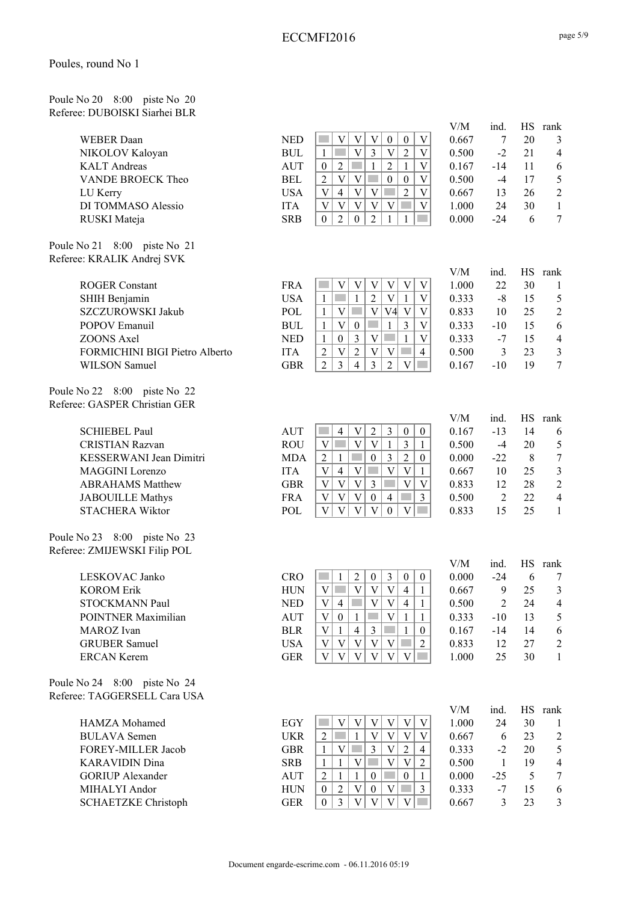Poule No 20 8:00 piste No 20 Referee: DUBOISKI Siarhei BLR

Poule No 21 8:00 piste No 21 Referee: KRALIK Andrej SVK

Poule No 22 8:00 piste No 22 Referee: GASPER Christian GER

Poule No 23 8:00 piste No 23 Referee: ZMIJEWSKI Filip POL

| LESKOVAC Janko       |
|----------------------|
| <b>KOROM Erik</b>    |
| STOCKMANN Paul       |
| POINTNER Maximilian  |
| MAROZ Ivan           |
| <b>GRUBER Samuel</b> |
| ERCAN Kerem          |

Poule No 24 8:00 piste No 24 Referee: TAGGERSELL Cara USA

> HAMZA Mohamed EQ BULAVA Semen UI FOREY-MILLER Jacob GI KARAVIDIN Dina SR GORIUP Alexander AU MIHALYI Andor HUN 0 2 V 0 V 3 0.333 -7 15 6 SCHAETZKE Christoph GER 0 3 V V V V 0.667 3 23 3

|            |   |  |          | V/M   | ind.  | НS | rank           |
|------------|---|--|----------|-------|-------|----|----------------|
| <b>NED</b> |   |  | $\Omega$ | 0.667 |       | 20 | 3              |
| BUL        |   |  |          | 0.500 | $-2$  |    | $\overline{4}$ |
| <b>AUT</b> |   |  |          | 0.167 | -14   |    | 6              |
| <b>BEL</b> |   |  | $\theta$ | 0.500 | -4    |    | .5             |
| USA        | 4 |  | 2        | 0.667 |       | 26 | 2              |
| <b>ITA</b> |   |  |          | 1.000 | 24    | 30 |                |
| <b>SRB</b> |   |  |          | 0.000 | $-24$ | h  |                |
|            |   |  |          |       |       |    |                |

|                                |            |  |  |    |   | V/M   | ınd.  | НS | rank |
|--------------------------------|------------|--|--|----|---|-------|-------|----|------|
| <b>ROGER Constant</b>          | <b>FRA</b> |  |  |    |   | 1.000 | 22    | 30 |      |
| SHIH Benjamin                  | <b>USA</b> |  |  |    |   | 0.333 | -8    | 15 |      |
| SZCZUROWSKI Jakub              | POL        |  |  | 74 |   | 0.833 | 10    | 25 |      |
| POPOV Emanuil                  | <b>BUL</b> |  |  |    |   | 0.333 | $-10$ |    | 6    |
| ZOONS Axel                     | <b>NED</b> |  |  |    |   | 0.333 | -7    | 15 | 4    |
| FORMICHINI BIGI Pietro Alberto | <b>ITA</b> |  |  |    | 4 | 0.500 |       | 23 |      |
| WILSON Samuel                  | GBR        |  |  |    |   | 0.167 |       | 19 | 7    |

|                         |            |   |   |   |   |          |          | V/M   | ind.    | НS | rank           |
|-------------------------|------------|---|---|---|---|----------|----------|-------|---------|----|----------------|
| <b>SCHIEBEL Paul</b>    | AUT        |   |   |   |   | $\theta$ | $\theta$ | 0.167 | $-13$   | 14 | 6              |
| <b>CRISTIAN Razvan</b>  | <b>ROU</b> |   |   |   |   |          |          | 0.500 | -4      | 20 | 5              |
| KESSERWANI Jean Dimitri | <b>MDA</b> |   |   |   |   |          | $\Omega$ | 0.000 | $-22.2$ |    | 7              |
| MAGGINI Lorenzo         | <b>ITA</b> |   | 4 |   |   |          |          | 0.667 | 10      | 25 | 3              |
| <b>ABRAHAMS Matthew</b> | GBR        | V |   | v |   |          |          | 0.833 |         | 28 | $\mathfrak{D}$ |
| <b>JABOUILLE Mathys</b> | <b>FRA</b> |   |   |   | 4 |          |          | 0.500 |         | 22 | 4              |
| <b>STACHERA Wiktor</b>  | POL        |   |   |   |   |          |          | 0.833 |         | つう |                |

|            |          |   |  |   | V/M   | ind.   | НS | rank           |
|------------|----------|---|--|---|-------|--------|----|----------------|
| CRO        |          |   |  |   | 0.000 | $-2.4$ |    |                |
| HUN        |          |   |  |   | 0.667 | 9      | 25 | 3              |
| <b>NED</b> | 4        |   |  | 4 | 0.500 |        | 24 | $\overline{4}$ |
| AUT        | $\theta$ |   |  |   | 0.333 | $-10$  | 13 | 5              |
| BLR        |          | 4 |  |   | 0.167 | -14    | 14 | 6              |
| <b>USA</b> |          |   |  |   | 0.833 |        | 27 | 2              |
| GER        |          |   |  |   | 1.000 |        | 30 |                |
|            |          |   |  |   |       |        |    |                |

|    |  |   |   |   | V/M   | ind.  | $_{\rm HS}$ | rank           |
|----|--|---|---|---|-------|-------|-------------|----------------|
| GY |  |   |   | V | 1.000 | 24    | 30          |                |
| KR |  |   |   | V | 0.667 | 6     | 23          | $\overline{c}$ |
| BR |  | 3 |   | 4 | 0.333 | $-2$  | 20          | 5              |
| RВ |  |   |   | 2 | 0.500 |       | 19          | 4              |
| UT |  |   | 0 |   | 0.000 | $-25$ |             | 7              |
| UN |  |   |   | 3 | 0.333 | -7    | 15          | 6              |
| ER |  |   |   |   | 0.667 |       | 23          | 3              |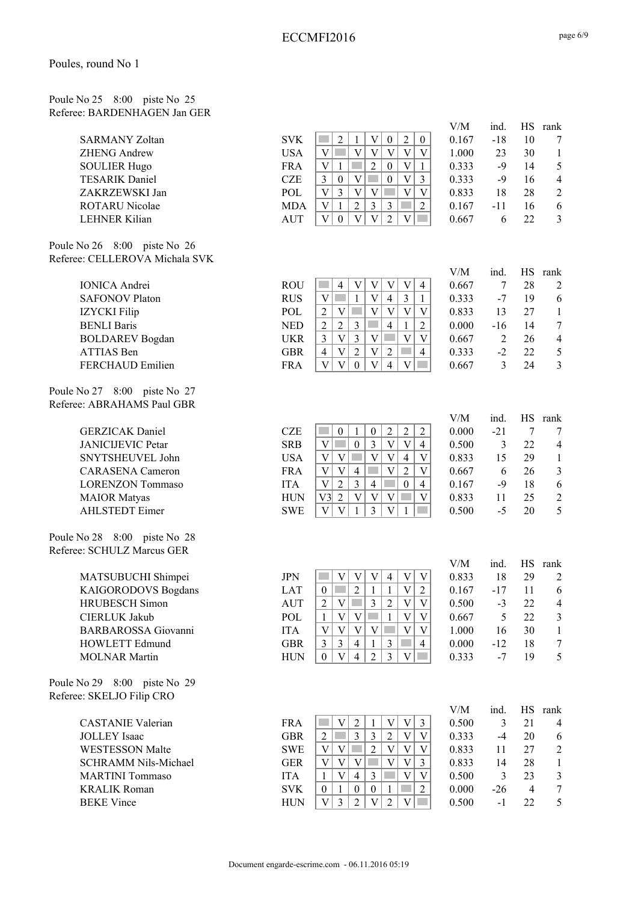#### Poule No 25 8:00 piste No 25 Referee: BARDENHAGEN Jan GER

| <b>SARMANY Zoltan</b> |
|-----------------------|
| ZHENG Andrew          |
| <b>SOULIER Hugo</b>   |
| <b>TESARIK Daniel</b> |
| ZAKRZEWSKI Jan        |
| ROTARU Nicolae        |
| <b>LEHNER Kilian</b>  |

Poule No 26 8:00 piste No 26 Referee: CELLEROVA Michala SVK

Poule No 27 8:00 piste No 27 Referee: ABRAHAMS Paul GBR

Poule No 28 8:00 piste No 28 Referee: SCHULZ Marcus GER

> HOWLETT Edmund GBR  $3$  3 4 1 3 4 4 0.000 -12 18 7<br>MOLNAR Martin HUN 0 V 4 2 3 V 0.333 -7 19 5 MOLNAR Martin  $HUN \begin{array}{c|c|c|c|c|c|c} 0 & v & 4 & 2 & 3 & v & 0.333 & -7 & 19 & 5 \end{array}$

Poule No 29 8:00 piste No 29 Referee: SKELJO Filip CRO

> CASTANIE Valerian FR JOLLEY Isaac GB WESTESSON Malte SWE V V 2 V V V 0.833 11 27 2 SCHRAMM Nils-Michael GE MARTINI Tommaso IT KRALIK Roman SV BEKE Vince HU

|                                                    |                          |                                                                                                                                                                                                    | V/M            | ind.           | <b>HS</b> | rank                |
|----------------------------------------------------|--------------------------|----------------------------------------------------------------------------------------------------------------------------------------------------------------------------------------------------|----------------|----------------|-----------|---------------------|
| <b>SARMANY Zoltan</b>                              | <b>SVK</b>               | $\overline{2}$<br>$\overline{2}$<br>$\boldsymbol{0}$<br>1<br>V<br>$\boldsymbol{0}$                                                                                                                 | 0.167          | $-18$          | 10        | 7                   |
| <b>ZHENG Andrew</b>                                | <b>USA</b>               | $\mathbf V$<br>p.<br>$\overline{\mathsf{V}}$<br>$\overline{\mathsf{V}}$<br>$\overline{V}$<br>$\overline{V}$<br>$\overline{\mathbf{V}}$                                                             | 1.000          | 23             | 30        | $\mathbf{1}$        |
| <b>SOULIER Hugo</b>                                | <b>FRA</b>               | $\overline{2}$<br>$\mathbf V$<br><b>The State</b><br>$\boldsymbol{0}$<br>$\overline{\mathbf{V}}$<br>$\mathbf{1}$<br>$\mathbf{1}$                                                                   | 0.333          | $-9$           | 14        | 5                   |
| <b>TESARIK Daniel</b>                              | <b>CZE</b>               | $\overline{\mathbf{V}}$<br>$\overline{3}$<br>$\boldsymbol{0}$<br>$\overline{\mathbf{V}}$<br>$\overline{3}$<br>$\boldsymbol{0}$                                                                     | 0.333          | $-9$           | 16        | $\overline{4}$      |
| ZAKRZEWSKI Jan                                     | POL                      | $\mathbf V$<br>$\overline{3}$<br>$\overline{V}$<br>$\mathbf{V}$<br>$\overline{\mathbf{V}}$<br>$\overline{V}$                                                                                       | 0.833          | 18             | 28        | $\sqrt{2}$          |
| ROTARU Nicolae                                     | <b>MDA</b>               | $\ensuremath{\mathbf{V}}$<br>$\overline{2}$<br>3<br>$\mathbf{1}$<br>3<br>$\overline{2}$                                                                                                            | 0.167          | $-11$          | 16        | 6                   |
| <b>LEHNER Kilian</b>                               | <b>AUT</b>               | $\overline{2}$<br>$\mathbf V$<br>$\ensuremath{\mathbf{V}}$<br>V<br>$\theta$<br>V<br>m.                                                                                                             | 0.667          | 6              | 22        | 3                   |
| No 26 8:00 piste No 26                             |                          |                                                                                                                                                                                                    |                |                |           |                     |
| e: CELLEROVA Michala SVK                           |                          |                                                                                                                                                                                                    |                |                |           |                     |
|                                                    |                          |                                                                                                                                                                                                    | V/M            | ind.           | <b>HS</b> | rank                |
| <b>IONICA</b> Andrei                               | <b>ROU</b>               | $\overline{V}$<br>V<br>$\mathcal{L}^{\mathcal{L}}$<br>$\mathbf V$<br>$\overline{\mathsf{V}}$<br>$\overline{4}$<br>$\overline{4}$                                                                   | 0.667          | $\overline{7}$ | 28        | $\overline{2}$      |
| <b>SAFONOV Platon</b>                              | <b>RUS</b>               | $\overline{\mathbf{V}}$<br>$\overline{V}$<br>$\mathfrak{Z}$<br>$\mathbf{1}$<br>$\overline{4}$<br>$\mathbf{1}$                                                                                      | 0.333          | $-7$           | 19        | 6                   |
| <b>IZYCKI</b> Filip                                | POL                      | $\bar{V}$<br>$\overline{2}$<br>V<br>$\mathcal{L}^{\text{max}}$<br>$\overline{\mathsf{V}}$<br>V<br>$\mathbf{V}$                                                                                     | 0.833          | 13             | 27        | $\mathbf{1}$        |
| <b>BENLI Baris</b>                                 | <b>NED</b>               | $\overline{2}$<br>$\overline{2}$<br>$\overline{2}$<br>$\mathfrak{Z}$<br>$\overline{4}$<br>$\mathbf{1}$                                                                                             | 0.000          | $-16$          | 14        | $\boldsymbol{7}$    |
| <b>BOLDAREV</b> Bogdan                             | <b>UKR</b>               | $\overline{V}$<br>$\mathbf V$<br>$\mathfrak{Z}$<br>$\mathbf{V}$<br>$\mathfrak{Z}$<br>$\mathcal{L}^{\mathcal{L}}$<br>V                                                                              | 0.667          | $\overline{2}$ | 26        | $\overline{4}$      |
| ATTIAS Ben                                         | <b>GBR</b>               | $\overline{2}$<br>$\overline{4}$<br>V<br>V<br>$\overline{2}$<br>$\overline{4}$                                                                                                                     | 0.333          | $-2$           | 22        | $\sqrt{5}$          |
| FERCHAUD Emilien                                   | <b>FRA</b>               | $\mathbf V$<br>V<br>$\overline{\mathsf{V}}$<br>$\overline{\mathbf{V}}$<br>$\overline{4}$<br>$\Omega$                                                                                               | 0.667          | $\mathbf{3}$   | 24        | $\mathfrak{Z}$      |
| No 27<br>8:00 piste No 27                          |                          |                                                                                                                                                                                                    |                |                |           |                     |
| e: ABRAHAMS Paul GBR                               |                          |                                                                                                                                                                                                    |                |                |           |                     |
|                                                    | <b>CZE</b>               | $\overline{c}$                                                                                                                                                                                     | ${\rm V/M}$    | ind.<br>$-21$  | HS        | rank                |
| <b>GERZICAK</b> Daniel<br><b>JANICIJEVIC Petar</b> | <b>SRB</b>               | $\boldsymbol{2}$<br>$\overline{c}$<br>$\boldsymbol{0}$<br>1<br>$\boldsymbol{0}$<br>$\overline{V}$<br>$\mathbf{0}$<br>$\mathfrak{Z}$<br>$\overline{\mathsf{V}}$<br>$\overline{V}$<br>$\overline{4}$ | 0.000<br>0.500 |                | 7<br>22   | 7                   |
| SNYTSHEUVEL John                                   | <b>USA</b>               | $\mathbf V$<br>$\overline{\mathsf{V}}$<br>$\overline{4}$<br>$\mathbf{V}$<br>V<br>$\overline{V}$<br><b>College</b>                                                                                  | 0.833          | 3<br>15        | 29        | $\overline{4}$      |
| <b>CARASENA</b> Cameron                            | <b>FRA</b>               | $\overline{\mathsf{V}}$<br>$\overline{2}$<br>$\overline{V}$<br>$\mathbf{V}$<br>$\mathbf{V}$<br>$\overline{4}$                                                                                      | 0.667          | 6              | 26        | 1<br>$\mathfrak{Z}$ |
| <b>LORENZON Tommaso</b>                            | <b>ITA</b>               | $\overline{2}$<br>$\overline{3}$<br>T<br>$\mathbf{V}$<br>$\overline{4}$<br>$\boldsymbol{0}$<br>$\overline{4}$                                                                                      | 0.167          | $-9$           | 18        |                     |
|                                                    |                          | $\overline{2}$<br>$\overline{V}$<br>V3<br>$\mathbf{V}$<br>$\overline{V}$<br>$\overline{V}$                                                                                                         | 0.833          | 11             | 25        | 6                   |
| <b>MAIOR</b> Matyas<br><b>AHLSTEDT</b> Eimer       | <b>HUN</b><br><b>SWE</b> | $\overline{\mathbf{V}}$<br>$\overline{3}$<br>$\overline{\mathsf{V}}$<br>$\overline{\mathbf{V}}$<br>$\mathbf{1}$                                                                                    | 0.500          | $-5$           | 20        | $\overline{2}$<br>5 |
|                                                    |                          | $\mathbf{1}$                                                                                                                                                                                       |                |                |           |                     |
| No 28 8:00 piste No 28                             |                          |                                                                                                                                                                                                    |                |                |           |                     |
| e: SCHULZ Marcus GER                               |                          |                                                                                                                                                                                                    |                |                |           |                     |
|                                                    |                          |                                                                                                                                                                                                    | ${\rm V/M}$    | ind.           | $\rm HS$  | rank                |
| MATSUBUCHI Shimpei                                 | <b>JPN</b>               | V<br>$\mathbf V$<br>$\mathbf{V}$<br>$\overline{\mathsf{V}}$<br>$\overline{4}$<br>$\ensuremath{\text{V}}$                                                                                           | 0.833          | 18             | 29        | $\overline{2}$      |
| KAIGORODOVS Bogdans                                | <b>LAT</b>               | $\overline{2}$<br>$\overline{\mathsf{V}}$<br>$\overline{2}$<br>$\mathbf{1}$<br>$\mathbf{1}$<br>$\overline{0}$                                                                                      | 0.167          | $-17$          | 11        | 6                   |
| <b>HRUBESCH</b> Simon                              | <b>AUT</b>               | $\mathbf V$<br>$\mathfrak{Z}$<br>$\sqrt{2}$<br>$\overline{\mathsf{V}}$<br>$\overline{2}$<br><b>Tara</b><br>$\overline{V}$                                                                          | 0.500          | $-3$           | 22        | $\overline{4}$      |
| <b>CIERLUK Jakub</b>                               | POL                      | $\mathbf V$<br>$\mathbf{V}$<br><b>The State</b><br>$\mathbf V$<br>$\mathbf{1}$<br>V<br>$\mathbf{1}$                                                                                                | 0.667          | 5              | 22        | $\mathfrak{Z}$      |
| <b>BARBAROSSA</b> Giovanni                         | <b>ITA</b>               | $\overline{V}$<br>$\mathbf V$<br>$\mathbf V$<br>$\mathbf{V}$<br>$\overline{\mathbf{V}}$<br>$\mathbf{V}$<br><b>College</b>                                                                          | 1.000          | 16             | 30        | $\mathbf{1}$        |
| HOWLETT Edmund                                     | GBR                      | $\mathcal{F}$<br>$\mathcal{L}$<br>$\overline{\mathcal{L}}$<br>$\overline{\mathbf{4}}$<br>$\mathbf{1}$<br>$\mathcal{L}$                                                                             | 0.000          | $-12$          | 18        | $\tau$              |

|    |                |   |   |   |   | V/M   | ind.  | HS | rank           |
|----|----------------|---|---|---|---|-------|-------|----|----------------|
| ١A |                |   |   |   | 3 | 0.500 | 3     | 21 | 4              |
| 3R | $\overline{c}$ | 3 | 3 | 2 | V | 0.333 | -4    | 20 | 6              |
| VE |                |   | 2 |   | V | 0.833 | 11    | 27 | $\mathfrak{D}$ |
| ΞR |                |   |   |   | 3 | 0.833 | 14    | 28 |                |
| A  |                | 4 | 3 |   | V | 0.500 | 3     | 23 | 3              |
| /K | 0              | 0 | 0 |   | 2 | 0.000 | $-26$ |    |                |
| JN |                |   |   |   |   | 0.500 | - 1   | 22 |                |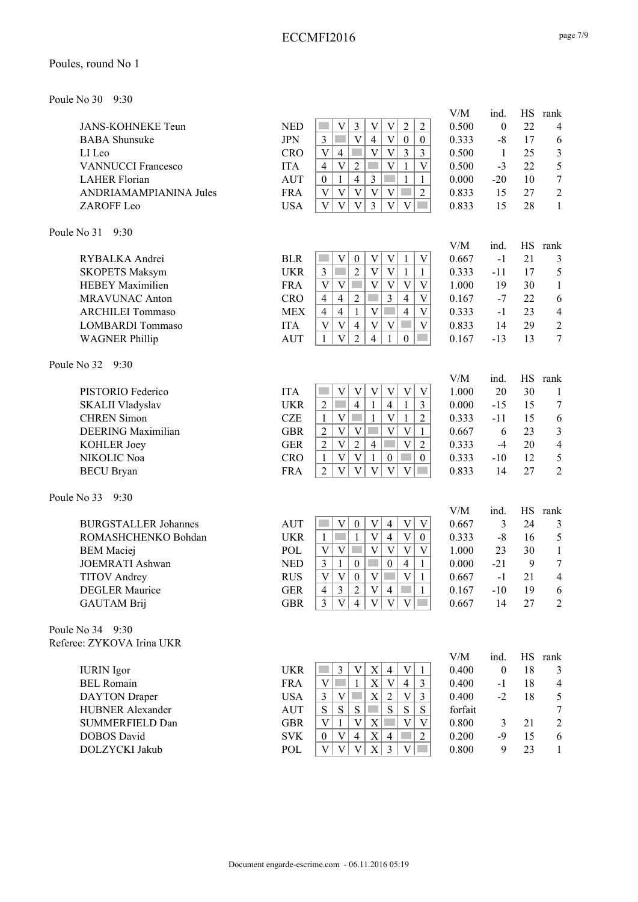#### ECCMFI2016

#### Poules, round No 1

Poule No 30 9:30

|                                                  |                          |                                                                                                                                                                 | V/M            | ind.                 | HS        | rank                     |
|--------------------------------------------------|--------------------------|-----------------------------------------------------------------------------------------------------------------------------------------------------------------|----------------|----------------------|-----------|--------------------------|
| <b>JANS-KOHNEKE Teun</b>                         | <b>NED</b>               | $\bar{V}$<br>$\overline{3}$<br>V<br>V<br>$\overline{2}$<br>$\overline{c}$<br><b>College</b>                                                                     | 0.500          | $\boldsymbol{0}$     | 22        | $\overline{\mathcal{A}}$ |
| <b>BABA</b> Shunsuke                             | <b>JPN</b>               | $\overline{\mathsf{V}}$<br>$\mathfrak{Z}$<br>$\overline{4}$<br>V<br>$\boldsymbol{0}$<br>$\boldsymbol{0}$                                                        | 0.333          | $-8$                 | 17        | 6                        |
| LI Leo                                           | <b>CRO</b>               | $\overline{V}$<br>$\mathbf V$<br>$\overline{3}$<br>$\overline{4}$<br>$\mathfrak{Z}$<br>V                                                                        | 0.500          | $\mathbf{1}$         | 25        | $\mathfrak{Z}$           |
| <b>VANNUCCI Francesco</b>                        | <b>ITA</b>               | $\overline{\mathbf{V}}$<br>$\overline{2}$<br>$\mathbf V$<br>$\overline{V}$<br>$\overline{4}$<br>$\mathbf{1}$                                                    | 0.500          | $-3$                 | 22        | 5                        |
| <b>LAHER Florian</b>                             | <b>AUT</b>               | $\mathfrak{Z}$<br>$\mathbf{1}$<br>$\overline{4}$<br><b>Tara</b><br>$\boldsymbol{0}$<br>$\mathbf{1}$<br>$\mathbf{1}$                                             | 0.000          | $-20$                | 10        | $\boldsymbol{7}$         |
| ANDRIAMAMPIANINA Jules                           | <b>FRA</b>               | $\bar{V}$<br>$\overline{2}$<br>$\mathbf V$<br>$\overline{\mathbf{V}}$<br>$\mathbf V$<br>$\mathbf V$<br>×.                                                       | 0.833          | 15                   | 27        | $\overline{c}$           |
| ZAROFF Leo                                       | <b>USA</b>               | $\overline{\mathsf{V}}$<br>$\overline{3}$<br>$\mathbf V$<br>$\mathbf V$<br>V<br>$\mathbf V$<br>$\mathcal{L}(\mathcal{A})$                                       | 0.833          | 15                   | 28        | $\mathbf{1}$             |
| Poule No 31<br>9:30                              |                          |                                                                                                                                                                 |                |                      |           |                          |
|                                                  |                          |                                                                                                                                                                 | V/M            | ind.                 | <b>HS</b> | rank                     |
| RYBALKA Andrei                                   | <b>BLR</b><br><b>UKR</b> | $\mathbf V$<br>V<br>V<br>$\ensuremath{\text{V}}$<br>$\boldsymbol{0}$<br>$\mathbf{1}$<br>$\overline{2}$<br>$\overline{V}$<br>V<br>$\overline{3}$<br>$\mathbf{1}$ | 0.667          | $-1$                 | 21<br>17  | 3                        |
| <b>SKOPETS Maksym</b><br><b>HEBEY Maximilien</b> | <b>FRA</b>               | $\mathbf{1}$<br>$\mathbf V$<br>V<br>V<br>$\ensuremath{\mathbf{V}}$<br>$\mathbf V$<br><b>College</b><br>V                                                        | 0.333<br>1.000 | $-11$<br>19          | 30        | 5                        |
| <b>MRAVUNAC Anton</b>                            | <b>CRO</b>               | $\overline{3}$<br>$\mathbf{2}$<br>$\overline{4}$<br>$\overline{4}$<br>$\overline{4}$<br>V                                                                       | 0.167          | $-7$                 | 22        | $\mathbf{1}$<br>6        |
| <b>ARCHILEI Tommaso</b>                          | <b>MEX</b>               | $\mathbf V$<br>$\overline{4}$<br>$\overline{4}$<br>$\overline{4}$<br>$\mathbf{1}$<br>V                                                                          | 0.333          | $-1$                 | 23        | $\overline{4}$           |
| <b>LOMBARDI</b> Tommaso                          | <b>ITA</b>               | $\mathbf V$<br>$\overline{V}$<br>$\overline{4}$<br>V<br>V<br>V<br>٠                                                                                             | 0.833          | 14                   | 29        | $\sqrt{2}$               |
| <b>WAGNER Phillip</b>                            | <b>AUT</b>               | $\overline{V}$<br>$\overline{2}$<br>$\overline{4}$<br>$\mathbf{1}$<br>$\mathbf{1}$<br><b>College</b><br>$\overline{0}$                                          | 0.167          | $-13$                | 13        | $\overline{7}$           |
|                                                  |                          |                                                                                                                                                                 |                |                      |           |                          |
| Poule No 32<br>9:30                              |                          |                                                                                                                                                                 | V/M            | ind.                 | <b>HS</b> | rank                     |
| PISTORIO Federico                                | <b>ITA</b>               | $\boldsymbol{\mathrm{V}}$<br>$\ensuremath{\mathbf{V}}$<br>$\mathbf V$<br>V<br>$\ensuremath{\mathbf{V}}$<br>$\mathbf V$                                          | 1.000          | 20                   | 30        | 1                        |
| SKALII Vladyslav                                 | <b>UKR</b>               | $\mathbf{1}$<br>$\sqrt{2}$<br><b>Tale</b><br>$\overline{4}$<br>$\overline{4}$<br>$\mathbf{1}$<br>$\overline{3}$                                                 | 0.000          | $-15$                | 15        | 7                        |
| <b>CHREN</b> Simon                               | <b>CZE</b>               | $\mathbf V$<br>$\mathbf{1}$<br>$\overline{V}$<br>$\overline{2}$<br>$\mathbf{1}$<br>$\mathcal{L}^{\mathcal{L}}$<br>$\mathbf{1}$                                  | 0.333          | $-11$                | 15        | $\sqrt{6}$               |
| <b>DEERING</b> Maximilian                        | <b>GBR</b>               | $\sqrt{2}$<br>$\ensuremath{\mathbf{V}}$<br>$\mathbf{V}$<br>$\mathbf{V}$<br>$\mathbf V$<br>$\mathbf{1}$                                                          | 0.667          | 6                    | 23        | 3                        |
| KOHLER Joey                                      | <b>GER</b>               | $\mathbf V$<br>$\sqrt{2}$<br>$\mathbf V$<br>$\sqrt{2}$<br>$\overline{4}$<br>$\sqrt{2}$<br>$\mathcal{L}^{\mathcal{L}}$                                           | 0.333          | $-4$                 | 20        | $\overline{4}$           |
| NIKOLIC Noa                                      | <b>CRO</b>               | $\mathbf{V}$<br>$\mathbf{V}$<br>$\mathbf{1}$<br>$\boldsymbol{0}$<br>$\boldsymbol{0}$<br>$\mathbf{1}$                                                            | 0.333          | $-10$                | 12        | 5                        |
| <b>BECU</b> Bryan                                | <b>FRA</b>               | $\overline{V}$<br>$\mathbf{V}$<br>$\mathbf V$<br>$\overline{2}$<br>$\mathbf V$<br>V                                                                             | 0.833          | 14                   | 27        | $\overline{c}$           |
| Poule No 33 9:30                                 |                          |                                                                                                                                                                 |                |                      |           |                          |
|                                                  |                          |                                                                                                                                                                 | V/M            | ind.                 | <b>HS</b> | rank                     |
| <b>BURGSTALLER Johannes</b>                      | <b>AUT</b>               | V<br>$\boldsymbol{0}$<br>V<br>$\ensuremath{\mathbf{V}}$<br>$\overline{4}$<br>V                                                                                  | 0.667          | 3                    | 24        | 3                        |
| ROMASHCHENKO Bohdan                              | <b>UKR</b>               | $\overline{\mathbf{V}}$<br>$\ensuremath{\mathbf{V}}$<br><b>Tara</b><br>$\mathbf{1}$<br>$\overline{4}$<br>$\mathbf{1}$<br>$\boldsymbol{0}$                       | 0.333          | $-8$                 | 16        | 5                        |
| <b>BEM</b> Maciej                                | POL                      | V<br>$\overline{V}$<br>V<br>V<br>$\mathcal{L}^{\mathcal{L}}$<br>V<br>V                                                                                          | 1.000          | 23                   | 30        | $\mathbf{1}$             |
| <b>JOEMRATI Ashwan</b>                           | <b>NED</b>               | $\boldsymbol{0}$<br>3<br>$\mathbf{1}$<br>$\overline{4}$<br>$\boldsymbol{0}$<br>$\mathbf{1}$                                                                     | 0.000          | $-21$                | 9         | $\sqrt{ }$               |
| <b>TITOV</b> Andrey                              | <b>RUS</b>               | $\bar{V}$<br>$\overline{V}$<br>$\overline{V}$<br>V<br>$\mathbf{0}$<br><b>T</b><br>$\mathbf{1}$                                                                  | 0.667          | $-1$                 | 21        | 4                        |
| <b>DEGLER Maurice</b>                            | <b>GER</b>               | $\overline{4}$<br>$\mathfrak{Z}$<br>$\overline{2}$<br>4 <br> V <br>$\mathbf{1}$                                                                                 | 0.167          | $-10$                | 19        | 6                        |
| <b>GAUTAM Brij</b>                               | <b>GBR</b>               | $\overline{3}$<br> V <br> V <br> V <br>V 4                                                                                                                      | 0.667          | 14                   | 27        | $\mathbf{2}$             |
| Poule No 34 9:30                                 |                          |                                                                                                                                                                 |                |                      |           |                          |
| Referee: ZYKOVA Irina UKR                        |                          |                                                                                                                                                                 |                |                      |           |                          |
|                                                  |                          | $\mathbf V$                                                                                                                                                     | V/M            | ind.                 | HS        | rank                     |
| <b>IURIN</b> Igor<br><b>BEL Romain</b>           | <b>UKR</b><br><b>FRA</b> | $\mathfrak{Z}$<br>$\mathbf X$<br>$\mathbf V$<br>$\overline{4}$<br>$\mathbf{1}$<br>$\mathbf X$<br>V<br>V<br>$\overline{4}$<br><b>College</b><br>$\mathbf{1}$     | 0.400<br>0.400 | $\mathbf{0}$<br>$-1$ | 18<br>18  | 3                        |
| <b>DAYTON</b> Draper                             | <b>USA</b>               | $\mathfrak{Z}$<br>$\mathbf X$<br>$\ensuremath{\mathbf{V}}$<br>$\ensuremath{\mathbf{V}}$<br>$\sqrt{2}$<br>$\mathfrak{Z}$<br>3                                    | 0.400          | $-2$                 | 18        | $\overline{4}$           |
| HUBNER Alexander                                 | <b>AUT</b>               | ${\bf S}$<br>S<br>${\bf S}$<br>${\bf S}$<br>S<br>${\bf S}$                                                                                                      | forfait        |                      |           | 5<br>$\boldsymbol{7}$    |
| SUMMERFIELD Dan                                  | <b>GBR</b>               | $\mathbf V$<br>$\mathbf X$<br>$\mathbf V$<br>V<br>V<br>$\mathbf{1}$                                                                                             | 0.800          | 3                    | 21        | $\mathbf{2}$             |
| <b>DOBOS</b> David                               | <b>SVK</b>               | $\mathbf X$<br>$\boldsymbol{0}$<br>V<br>$\overline{4}$<br>$\overline{4}$<br>$\overline{2}$<br>٠                                                                 | 0.200          | $-9$                 | 15        | 6                        |
| DOLZYCKI Jakub                                   | POL                      | $\mathbf X$<br>$\mathbf V$<br>$\overline{\mathbf{V}}$<br>$\mathbf V$<br>V<br>$\overline{3}$<br><b>College</b>                                                   | 0.800          | 9                    | 23        | $\mathbf{1}$             |
|                                                  |                          |                                                                                                                                                                 |                |                      |           |                          |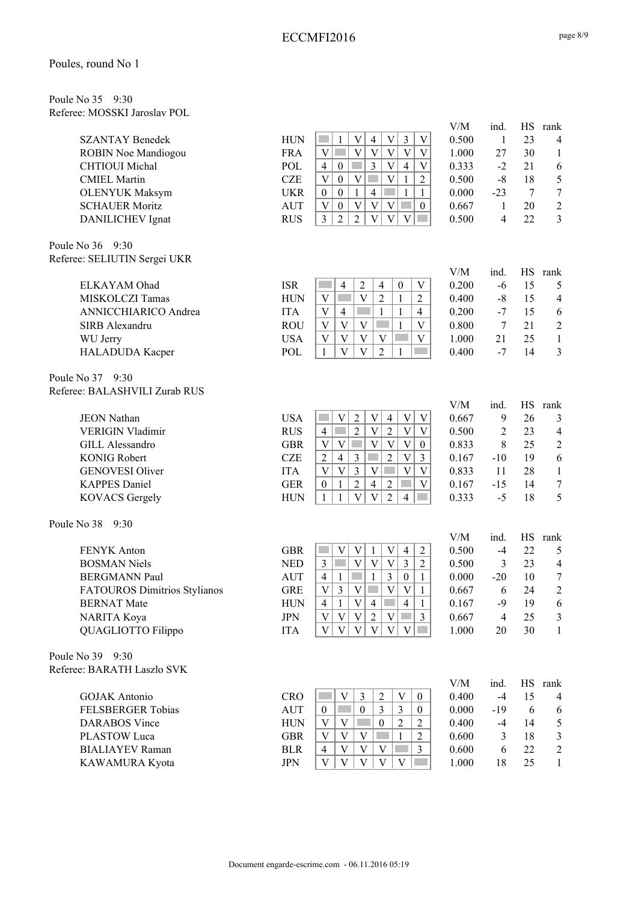| Poule No 35 9:30 |                              |
|------------------|------------------------------|
|                  | Referee: MOSSKI Jaroslav POL |

| <b>SZANTAY Benedek</b>        | <b>HUN</b> | $\mathfrak{Z}$<br>$\mathbf V$<br>$\overline{4}$<br>$\mathbf V$<br>1<br>V                                                                                                        | 0.500        | $\mathbf{1}$   | 23              | $\overline{4}$   |
|-------------------------------|------------|---------------------------------------------------------------------------------------------------------------------------------------------------------------------------------|--------------|----------------|-----------------|------------------|
| <b>ROBIN Noe Mandiogou</b>    | <b>FRA</b> | $\overline{\mathbf{V}}$<br>$\overline{\mathbf{V}}$<br>$\overline{V}$<br>$\overline{V}$<br>$\bar{V}$<br>$\mathbf V$<br>T.                                                        | 1.000        | 27             | 30              | $\mathbf{1}$     |
| <b>CHTIOUI</b> Michal         | POL        | $\overline{3}$<br>$\mathbf V$<br>$\overline{4}$<br>$\mathcal{O}(\mathbb{R}^d)$<br>$\overline{4}$<br>$\ensuremath{\mathbf{V}}$<br>$\boldsymbol{0}$                               | 0.333        | $-2$           | 21              | 6                |
| <b>CMIEL Martin</b>           | <b>CZE</b> | $\ensuremath{\mathbf{V}}$<br>$\ensuremath{\mathbf{V}}$<br>$\overline{2}$<br>$\ensuremath{\mathbf{V}}$<br>$\boldsymbol{0}$<br>$\mathbf{1}$                                       | 0.500        | $-8$           | 18              | 5                |
| <b>OLENYUK Maksym</b>         | <b>UKR</b> | $\overline{4}$<br>$\mathbf{1}$<br>$\boldsymbol{0}$<br>$\boldsymbol{0}$<br>$\mathbf{1}$<br>$\mathbf{1}$                                                                          | 0.000        | $-23$          | $7\phantom{.0}$ | $\tau$           |
| <b>SCHAUER Moritz</b>         | <b>AUT</b> | $\mathbf{V}$<br>$\ensuremath{\mathbf{V}}$<br>$\mathbf{V}$<br>$\boldsymbol{0}$<br>V<br>$\mathcal{L}^{\text{max}}$<br>$\boldsymbol{0}$                                            | 0.667        | $\mathbf{1}$   | 20              | $\mathfrak{2}$   |
| DANILICHEV Ignat              | <b>RUS</b> | $\overline{2}$<br>$\overline{V}$<br>$\overline{3}$<br>$\overline{2}$<br>$\overline{V}$<br>$\mathbf V$                                                                           | 0.500        | $\overline{4}$ | 22              | $\overline{3}$   |
|                               |            |                                                                                                                                                                                 |              |                |                 |                  |
| Poule No 36<br>9:30           |            |                                                                                                                                                                                 |              |                |                 |                  |
| Referee: SELIUTIN Sergei UKR  |            |                                                                                                                                                                                 |              |                |                 |                  |
|                               |            |                                                                                                                                                                                 | V/M          | ind.           | <b>HS</b>       | rank             |
| ELKAYAM Ohad                  | <b>ISR</b> | $\overline{2}$<br>$\boldsymbol{0}$<br>$\overline{4}$<br>$\overline{4}$<br>V                                                                                                     | 0.200        | $-6$           | 15              | 5                |
| MISKOLCZI Tamas               | <b>HUN</b> | $\mathbf V$<br>V<br>$\overline{2}$<br>$\mathbf{1}$<br>$\overline{2}$                                                                                                            | 0.400        | $-8$           | 15              | $\overline{4}$   |
| ANNICCHIARICO Andrea          | <b>ITA</b> | $\mathbf V$<br>$\overline{4}$<br>$\mathbf{1}$<br>$\mathbf{1}$<br>4                                                                                                              | 0.200        | $-7$           | 15              | 6                |
| SIRB Alexandru                | <b>ROU</b> | $\overline{\mathbf{V}}$<br>$\mathbf V$<br>V<br><b>Tara</b><br>V<br>1                                                                                                            | 0.800        | 7              | 21              | $\sqrt{2}$       |
| WU Jerry                      | <b>USA</b> | $\mathbf V$<br>$\mathbf V$<br>$\ensuremath{\mathbf{V}}$<br>V<br>$\mathbf V$                                                                                                     | 1.000        | 21             | 25              | $\mathbf{1}$     |
| HALADUDA Kacper               | POL        | $\overline{V}$<br>$\overline{\mathbf{V}}$<br>$\overline{2}$<br>$\mathbf{1}$<br>$\mathbf{1}$                                                                                     | 0.400        | $-7$           | 14              | $\mathfrak{Z}$   |
| Poule No 37 9:30              |            |                                                                                                                                                                                 |              |                |                 |                  |
| Referee: BALASHVILI Zurab RUS |            |                                                                                                                                                                                 |              |                |                 |                  |
|                               |            |                                                                                                                                                                                 | V/M          | ind.           | HS              | rank             |
| <b>JEON Nathan</b>            | <b>USA</b> | $\mathbf{V}$<br>V<br>$\ensuremath{\mathbf{V}}$<br>$\overline{2}$<br>$\mathbf V$<br>$\overline{4}$<br>$\overline{2}$<br>$\overline{\mathrm{V}}$<br>$\overline{V}$<br><b>Tara</b> | 0.667        | 9              | 26              | 3                |
| <b>VERIGIN Vladimir</b>       | <b>RUS</b> | $\overline{2}$<br>$\mathbf V$<br>4<br><b>The State</b>                                                                                                                          | 0.500        | $\overline{2}$ | 23              | $\overline{4}$   |
| <b>GILL Alessandro</b>        | <b>GBR</b> | $\overline{V}$<br>$\mathbf V$<br>$\ensuremath{\mathbf{V}}$<br>$\mathbf{V}$<br>$\mathbf V$<br>$\boldsymbol{0}$                                                                   | 0.833        | 8              | 25              | $\mathfrak{2}$   |
| <b>KONIG Robert</b>           | <b>CZE</b> | $\overline{2}$<br>$\bar{V}$<br>$\mathfrak{Z}$<br>$\mathfrak{Z}$<br>$\mathfrak{2}$<br>$\overline{4}$                                                                             | 0.167        | $-10$          | 19              | $\sqrt{6}$       |
| <b>GENOVESI Oliver</b>        | <b>ITA</b> | $\overline{\mathbf{V}}$<br>$\overline{\mathbf{V}}$<br>$\overline{3}$<br>$\overline{V}$<br>$\overline{\mathbf{V}}$<br>$\ensuremath{\mathbf{V}}$                                  | 0.833        | 11             | 28              | $\mathbf{1}$     |
| <b>KAPPES Daniel</b>          | <b>GER</b> | $\overline{2}$<br>$\overline{4}$<br>$\overline{2}$<br>$\ensuremath{\mathbf{V}}$<br>$\bf{0}$<br>$\mathbf{1}$<br>٠                                                                | 0.167        | $-15$          | 14              | $\boldsymbol{7}$ |
| <b>KOVACS Gergely</b>         | <b>HUN</b> | $\overline{V}$<br>$\overline{\mathbf{V}}$<br>$\overline{2}$<br>$\mathbf{1}$<br>1<br>$\overline{4}$<br>m.                                                                        | 0.333        | $-5$           | 18              | 5                |
| Poule No 38<br>9:30           |            |                                                                                                                                                                                 |              |                |                 |                  |
|                               |            |                                                                                                                                                                                 | V/M          | ind.           | HS              | rank             |
| FENYK Anton                   | <b>GBR</b> | $\mathbf V$<br>$\mathbf V$<br>$\mathbf V$<br>$\mathbf{1}$<br>$\overline{4}$<br>$\overline{c}$                                                                                   | 0.500        | $-4$           | 22              | 5                |
| <b>BOSMAN Niels</b>           | <b>NED</b> | $\mathbf V$<br>$\overline{3}$<br>$\mathfrak{Z}$<br>V<br>V<br>T.<br>$\mathbf{2}$                                                                                                 | 0.500        | 3              | 23              | $\overline{4}$   |
| <b>BERGMANN Paul</b>          | <b>AUT</b> | $\overline{3}$<br>$\mathbf{1}$<br>$\mathcal{L}_{\mathcal{A}}$<br>$\overline{4}$<br>$\mathbf{1}$<br>$\boldsymbol{0}$<br>$\mathbf{1}$                                             | 0.000        | $-20$          | 10              | $\tau$           |
| FATOUROS Dimitrios Stylianos  | <b>GRE</b> | $\overline{V}$<br>$\mathfrak{Z}$<br>$\ensuremath{\mathbf{V}}$<br>V<br>$\mathbf V$<br>$\sim$<br>$\mathbf{1}$                                                                     | 0.667        | 6              | 24              | $\boldsymbol{2}$ |
| <b>BERNAT Mate</b>            | <b>HUN</b> | $\ensuremath{\mathbf{V}}$<br>$\overline{4}$<br>$\overline{4}$<br>$\overline{4}$<br>$\mathbf{1}$<br>$\mathcal{L}^{\text{max}}$<br>$\mathbf{1}$                                   | 0.167        | $-9$           | 19              | 6                |
| NARITA Koya                   | <b>JPN</b> | $V$ $V$ $V$ $2$<br>$ V $   3                                                                                                                                                    | 0.667        | $\overline{4}$ | 25              | $\mathfrak{Z}$   |
| QUAGLIOTTO Filippo            | <b>ITA</b> | $\mathbf V$<br>$\mathbf V$<br>$\mathbf{V}$<br>$\ensuremath{\mathbf{V}}$<br>$\ensuremath{\mathbf{V}}$<br>V                                                                       | 1.000        | 20             | 30              | $\mathbf{1}$     |
| Poule No 39 9:30              |            |                                                                                                                                                                                 |              |                |                 |                  |
| Referee: BARATH Laszlo SVK    |            |                                                                                                                                                                                 |              |                |                 |                  |
| <b>GOJAK</b> Antonio          | <b>CRO</b> | $\sqrt{2}$<br>V<br>3<br>V                                                                                                                                                       | V/M<br>0.400 | ind.<br>$-4$   | HS<br>15        | rank             |
|                               |            | $\boldsymbol{0}$<br>$\boldsymbol{0}$<br>3                                                                                                                                       |              |                |                 | 4                |
| FELSBERGER Tobias             | <b>AUT</b> | $\boldsymbol{0}$<br>3<br>$\mathbf{0}$                                                                                                                                           | 0.000        | $-19$          | 6               | 6                |
| <b>DARABOS</b> Vince          | <b>HUN</b> | $\ensuremath{\mathbf{V}}$<br>V<br>$\boldsymbol{0}$<br>$\overline{2}$<br>$\overline{2}$                                                                                          | 0.400        | $-4$           | 14              | 5                |
| PLASTOW Luca                  | <b>GBR</b> | $\mathbf V$<br>V<br>$\mathbf V$<br>$\overline{2}$<br>$\mathbf{1}$                                                                                                               | 0.600        | 3              | 18              | 3                |
| <b>BIALIAYEV</b> Raman        | <b>BLR</b> | $\mathbf V$<br>$\mathbf V$<br>$\overline{4}$<br>V<br>$\mathfrak{Z}$                                                                                                             | 0.600        | 6              | 22              | $\sqrt{2}$       |
| KAWAMURA Kyota                | <b>JPN</b> | $\mathbf V$<br>$\mathbf{V}$<br>$\overline{\mathbf{V}}$<br>V<br>$\mathbf V$                                                                                                      | 1.000        | 18             | 25              | $\mathbf{1}$     |

V/M ind. HS rank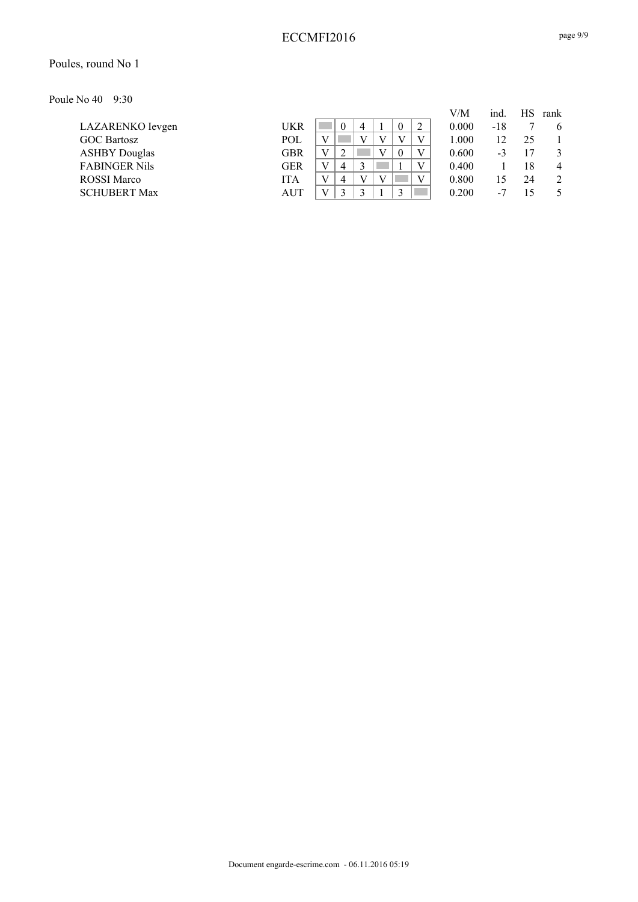#### Poules, round No 1

Poule No 40 9:30

|                      |            |  |   |  |   | V/M   | ind. | НS | rank           |
|----------------------|------------|--|---|--|---|-------|------|----|----------------|
| LAZARENKO Ievgen     | UKR        |  | 4 |  | ി | 0.000 | -18  |    | 6              |
| <b>GOC Bartosz</b>   | <b>POL</b> |  |   |  |   | 1.000 |      | 25 |                |
| <b>ASHBY Douglas</b> | <b>GBR</b> |  |   |  |   | 0.600 | -3   |    | 3              |
| <b>FABINGER Nils</b> | <b>GER</b> |  |   |  |   | 0.400 |      | 18 | $\overline{4}$ |
| <b>ROSSI</b> Marco   | <b>ITA</b> |  |   |  |   | 0.800 |      | 24 | 2              |
| <b>SCHUBERT Max</b>  | AUT        |  |   |  |   | 0.200 | $-1$ | 15 |                |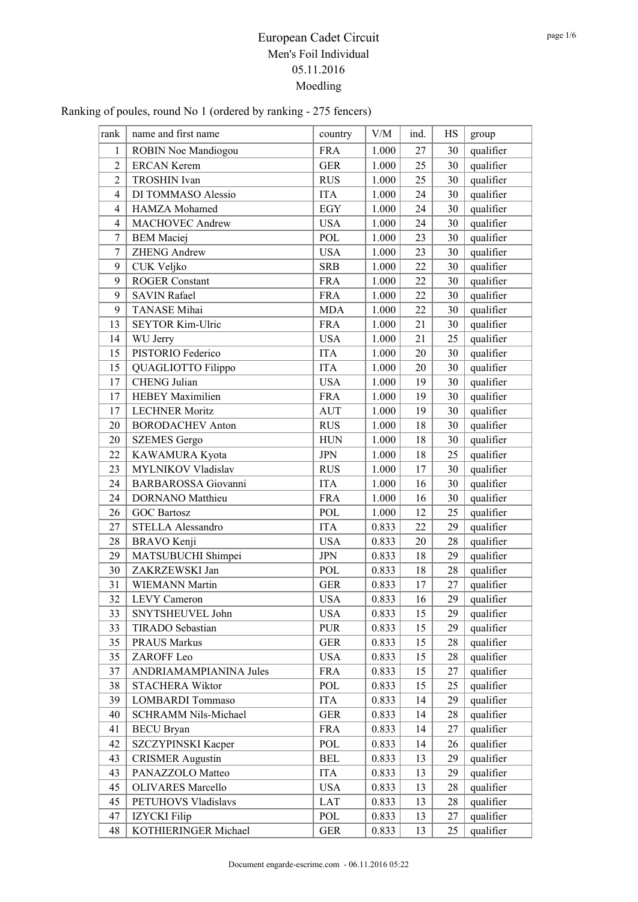| rank           | name and first name        | country    | V/M   | ind. | HS | group     |
|----------------|----------------------------|------------|-------|------|----|-----------|
| 1              | ROBIN Noe Mandiogou        | <b>FRA</b> | 1.000 | 27   | 30 | qualifier |
| $\overline{2}$ | <b>ERCAN Kerem</b>         | <b>GER</b> | 1.000 | 25   | 30 | qualifier |
| $\overline{2}$ | <b>TROSHIN</b> Ivan        | <b>RUS</b> | 1.000 | 25   | 30 | qualifier |
| $\overline{4}$ | DI TOMMASO Alessio         | <b>ITA</b> | 1.000 | 24   | 30 | qualifier |
| $\overline{4}$ | HAMZA Mohamed              | <b>EGY</b> | 1.000 | 24   | 30 | qualifier |
| $\overline{4}$ | <b>MACHOVEC Andrew</b>     | <b>USA</b> | 1.000 | 24   | 30 | qualifier |
| $\tau$         | <b>BEM</b> Maciej          | <b>POL</b> | 1.000 | 23   | 30 | qualifier |
| 7              | <b>ZHENG Andrew</b>        | <b>USA</b> | 1.000 | 23   | 30 | qualifier |
| 9              | CUK Veljko                 | <b>SRB</b> | 1.000 | 22   | 30 | qualifier |
| 9              | <b>ROGER Constant</b>      | <b>FRA</b> | 1.000 | 22   | 30 | qualifier |
| 9              | <b>SAVIN Rafael</b>        | <b>FRA</b> | 1.000 | 22   | 30 | qualifier |
| 9              | <b>TANASE</b> Mihai        | <b>MDA</b> | 1.000 | 22   | 30 | qualifier |
| 13             | <b>SEYTOR Kim-Ulric</b>    | <b>FRA</b> | 1.000 | 21   | 30 | qualifier |
| 14             | WU Jerry                   | <b>USA</b> | 1.000 | 21   | 25 | qualifier |
| 15             | PISTORIO Federico          | <b>ITA</b> | 1.000 | 20   | 30 | qualifier |
| 15             | QUAGLIOTTO Filippo         | <b>ITA</b> | 1.000 | 20   | 30 | qualifier |
| 17             | <b>CHENG</b> Julian        | <b>USA</b> | 1.000 | 19   | 30 | qualifier |
| 17             | <b>HEBEY Maximilien</b>    | <b>FRA</b> | 1.000 | 19   | 30 | qualifier |
| 17             | <b>LECHNER Moritz</b>      | <b>AUT</b> | 1.000 | 19   | 30 | qualifier |
| 20             | <b>BORODACHEV Anton</b>    | <b>RUS</b> | 1.000 | 18   | 30 | qualifier |
| 20             | <b>SZEMES</b> Gergo        | <b>HUN</b> | 1.000 | 18   | 30 | qualifier |
| 22             | KAWAMURA Kyota             | <b>JPN</b> | 1.000 | 18   | 25 | qualifier |
| 23             | MYLNIKOV Vladislav         | <b>RUS</b> | 1.000 | 17   | 30 | qualifier |
| 24             | <b>BARBAROSSA</b> Giovanni | <b>ITA</b> | 1.000 | 16   | 30 | qualifier |
| 24             | <b>DORNANO</b> Matthieu    | <b>FRA</b> | 1.000 | 16   | 30 | qualifier |
| 26             | <b>GOC Bartosz</b>         | POL        | 1.000 | 12   | 25 | qualifier |
| 27             | STELLA Alessandro          | <b>ITA</b> | 0.833 | 22   | 29 | qualifier |
| 28             | <b>BRAVO</b> Kenji         | <b>USA</b> | 0.833 | 20   | 28 | qualifier |
| 29             | MATSUBUCHI Shimpei         | <b>JPN</b> | 0.833 | 18   | 29 | qualifier |
| 30             | ZAKRZEWSKI Jan             | POL        | 0.833 | 18   | 28 | qualifier |
| 31             | <b>WIEMANN Martin</b>      | <b>GER</b> | 0.833 | 17   | 27 | qualifier |
| 32             | <b>LEVY</b> Cameron        | <b>USA</b> | 0.833 | 16   | 29 | qualifier |
| 33             | SNYTSHEUVEL John           | <b>USA</b> | 0.833 | 15   | 29 | qualifier |
| 33             | TIRADO Sebastian           | <b>PUR</b> | 0.833 | 15   | 29 | qualifier |
| 35             | <b>PRAUS Markus</b>        | <b>GER</b> | 0.833 | 15   | 28 | qualifier |
| 35             | ZAROFF Leo                 | <b>USA</b> | 0.833 | 15   | 28 | qualifier |
| 37             | ANDRIAMAMPIANINA Jules     | <b>FRA</b> | 0.833 | 15   | 27 | qualifier |
| 38             | <b>STACHERA Wiktor</b>     | POL        | 0.833 | 15   | 25 | qualifier |
| 39             | LOMBARDI Tommaso           | <b>ITA</b> | 0.833 | 14   | 29 | qualifier |
| 40             | SCHRAMM Nils-Michael       | <b>GER</b> | 0.833 | 14   | 28 | qualifier |
| 41             | <b>BECU</b> Bryan          | <b>FRA</b> | 0.833 | 14   | 27 | qualifier |
| 42             | SZCZYPINSKI Kacper         | POL        | 0.833 | 14   | 26 | qualifier |
| 43             | <b>CRISMER Augustin</b>    | <b>BEL</b> | 0.833 | 13   | 29 | qualifier |
| 43             | PANAZZOLO Matteo           | <b>ITA</b> | 0.833 | 13   | 29 | qualifier |
| 45             | <b>OLIVARES</b> Marcello   | <b>USA</b> | 0.833 | 13   | 28 | qualifier |
| 45             | PETUHOVS Vladislavs        | LAT        | 0.833 | 13   | 28 | qualifier |
| 47             | <b>IZYCKI</b> Filip        | POL        | 0.833 | 13   | 27 | qualifier |
| 48             | KOTHIERINGER Michael       | <b>GER</b> | 0.833 | 13   | 25 | qualifier |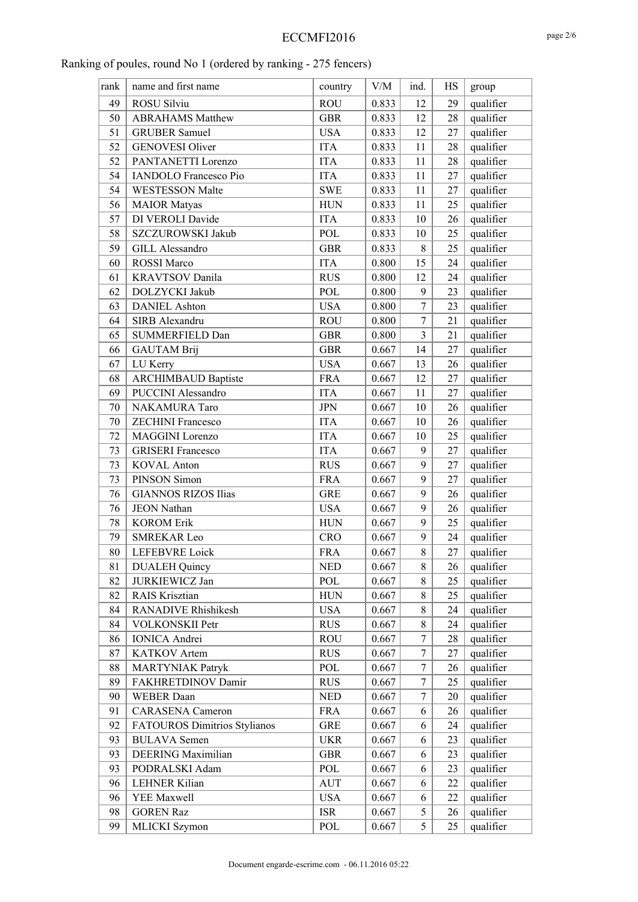| rank | name and first name          | country     | V/M   | ind.           | HS | group     |
|------|------------------------------|-------------|-------|----------------|----|-----------|
| 49   | ROSU Silviu                  | <b>ROU</b>  | 0.833 | 12             | 29 | qualifier |
| 50   | <b>ABRAHAMS Matthew</b>      | <b>GBR</b>  | 0.833 | 12             | 28 | qualifier |
| 51   | <b>GRUBER Samuel</b>         | <b>USA</b>  | 0.833 | 12             | 27 | qualifier |
| 52   | <b>GENOVESI Oliver</b>       | <b>ITA</b>  | 0.833 | 11             | 28 | qualifier |
| 52   | PANTANETTI Lorenzo           | <b>ITA</b>  | 0.833 | 11             | 28 | qualifier |
| 54   | <b>IANDOLO</b> Francesco Pio | <b>ITA</b>  | 0.833 | 11             | 27 | qualifier |
| 54   | <b>WESTESSON Malte</b>       | <b>SWE</b>  | 0.833 | 11             | 27 | qualifier |
| 56   | <b>MAIOR</b> Matyas          | <b>HUN</b>  | 0.833 | 11             | 25 | qualifier |
| 57   | DI VEROLI Davide             | <b>ITA</b>  | 0.833 | 10             | 26 | qualifier |
| 58   | SZCZUROWSKI Jakub            | POL         | 0.833 | 10             | 25 | qualifier |
| 59   | <b>GILL Alessandro</b>       | <b>GBR</b>  | 0.833 | $8\,$          | 25 | qualifier |
| 60   | <b>ROSSI</b> Marco           | <b>ITA</b>  | 0.800 | 15             | 24 | qualifier |
| 61   | <b>KRAVTSOV Danila</b>       | <b>RUS</b>  | 0.800 | 12             | 24 | qualifier |
| 62   | DOLZYCKI Jakub               | POL         | 0.800 | 9              | 23 | qualifier |
| 63   | <b>DANIEL Ashton</b>         | <b>USA</b>  | 0.800 | $\overline{7}$ | 23 | qualifier |
| 64   | SIRB Alexandru               | <b>ROU</b>  | 0.800 | 7              | 21 | qualifier |
| 65   | SUMMERFIELD Dan              | <b>GBR</b>  | 0.800 | 3              | 21 | qualifier |
| 66   | <b>GAUTAM Brij</b>           | <b>GBR</b>  | 0.667 | 14             | 27 | qualifier |
| 67   | LU Kerry                     | <b>USA</b>  | 0.667 | 13             | 26 | qualifier |
| 68   | <b>ARCHIMBAUD Baptiste</b>   | <b>FRA</b>  | 0.667 | 12             | 27 | qualifier |
| 69   | <b>PUCCINI Alessandro</b>    | <b>ITA</b>  | 0.667 | 11             | 27 | qualifier |
| 70   | NAKAMURA Taro                | <b>JPN</b>  | 0.667 | 10             | 26 | qualifier |
| 70   | <b>ZECHINI Francesco</b>     | <b>ITA</b>  | 0.667 | 10             | 26 | qualifier |
| 72   | MAGGINI Lorenzo              | <b>ITA</b>  | 0.667 | 10             | 25 | qualifier |
| 73   | <b>GRISERI</b> Francesco     | <b>ITA</b>  | 0.667 | 9              | 27 | qualifier |
| 73   | <b>KOVAL Anton</b>           | <b>RUS</b>  | 0.667 | 9              | 27 | qualifier |
| 73   | PINSON Simon                 | <b>FRA</b>  | 0.667 | 9              | 27 | qualifier |
| 76   | <b>GIANNOS RIZOS Ilias</b>   | <b>GRE</b>  | 0.667 | 9              | 26 | qualifier |
| 76   | <b>JEON Nathan</b>           | <b>USA</b>  | 0.667 | 9              | 26 | qualifier |
| 78   | <b>KOROM Erik</b>            | ${\rm HUN}$ | 0.667 | 9              | 25 | qualifier |
| 79   | <b>SMREKAR Leo</b>           | <b>CRO</b>  | 0.667 | 9              | 24 | qualifier |
| 80   | <b>LEFEBVRE</b> Loick        | <b>FRA</b>  | 0.667 | 8              | 27 | qualifier |
| 81   | <b>DUALEH Quincy</b>         | <b>NED</b>  | 0.667 | 8              | 26 | qualifier |
| 82   | JURKIEWICZ Jan               | POL         | 0.667 | 8              | 25 | qualifier |
| 82   | RAIS Krisztian               | ${\rm HUN}$ | 0.667 | 8              | 25 | qualifier |
| 84   | RANADIVE Rhishikesh          | <b>USA</b>  | 0.667 | 8              | 24 | qualifier |
| 84   | VOLKONSKII Petr              | <b>RUS</b>  | 0.667 | 8              | 24 | qualifier |
| 86   | <b>IONICA</b> Andrei         | <b>ROU</b>  | 0.667 | 7              | 28 | qualifier |
| 87   | KATKOV Artem                 | <b>RUS</b>  | 0.667 | 7              | 27 | qualifier |
| 88   | <b>MARTYNIAK Patryk</b>      | POL         | 0.667 | 7              | 26 | qualifier |
| 89   | FAKHRETDINOV Damir           | <b>RUS</b>  | 0.667 | 7              | 25 | qualifier |
| 90   | <b>WEBER</b> Daan            | <b>NED</b>  | 0.667 | 7              | 20 | qualifier |
| 91   | <b>CARASENA</b> Cameron      | <b>FRA</b>  | 0.667 | 6              | 26 | qualifier |
| 92   | FATOUROS Dimitrios Stylianos | GRE         | 0.667 | 6              | 24 | qualifier |
| 93   | <b>BULAVA</b> Semen          | <b>UKR</b>  | 0.667 | 6              | 23 | qualifier |
| 93   | DEERING Maximilian           | <b>GBR</b>  | 0.667 | 6              | 23 | qualifier |
| 93   | PODRALSKI Adam               | POL         | 0.667 | 6              | 23 | qualifier |
| 96   | <b>LEHNER Kilian</b>         | <b>AUT</b>  | 0.667 | 6              | 22 | qualifier |
| 96   | YEE Maxwell                  | <b>USA</b>  | 0.667 | 6              | 22 | qualifier |
| 98   | <b>GOREN Raz</b>             | <b>ISR</b>  | 0.667 | 5              | 26 | qualifier |
| 99   | MLICKI Szymon                | POL         | 0.667 | 5              | 25 | qualifier |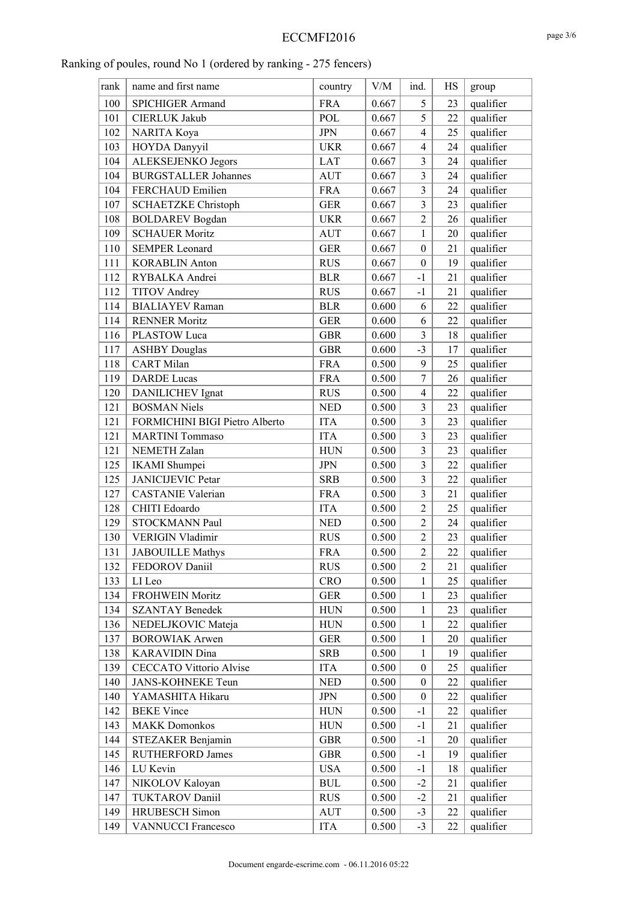| rank | name and first name            | country      | V/M   | ind.             | HS | group     |
|------|--------------------------------|--------------|-------|------------------|----|-----------|
| 100  | <b>SPICHIGER Armand</b>        | <b>FRA</b>   | 0.667 | 5                | 23 | qualifier |
| 101  | <b>CIERLUK Jakub</b>           | POL          | 0.667 | 5                | 22 | qualifier |
| 102  | NARITA Koya                    | <b>JPN</b>   | 0.667 | $\overline{4}$   | 25 | qualifier |
| 103  | HOYDA Danyyil                  | <b>UKR</b>   | 0.667 | $\overline{4}$   | 24 | qualifier |
| 104  | <b>ALEKSEJENKO Jegors</b>      | <b>LAT</b>   | 0.667 | $\mathfrak{Z}$   | 24 | qualifier |
| 104  | <b>BURGSTALLER Johannes</b>    | <b>AUT</b>   | 0.667 | $\overline{3}$   | 24 | qualifier |
| 104  | FERCHAUD Emilien               | <b>FRA</b>   | 0.667 | $\overline{3}$   | 24 | qualifier |
| 107  | <b>SCHAETZKE Christoph</b>     | <b>GER</b>   | 0.667 | $\overline{3}$   | 23 | qualifier |
| 108  | <b>BOLDAREV</b> Bogdan         | <b>UKR</b>   | 0.667 | $\overline{2}$   | 26 | qualifier |
| 109  | <b>SCHAUER Moritz</b>          | <b>AUT</b>   | 0.667 | $\mathbf{1}$     | 20 | qualifier |
| 110  | <b>SEMPER Leonard</b>          | <b>GER</b>   | 0.667 | $\boldsymbol{0}$ | 21 | qualifier |
| 111  | <b>KORABLIN Anton</b>          | <b>RUS</b>   | 0.667 | $\boldsymbol{0}$ | 19 | qualifier |
| 112  | RYBALKA Andrei                 | <b>BLR</b>   | 0.667 | $-1$             | 21 | qualifier |
| 112  | <b>TITOV</b> Andrey            | <b>RUS</b>   | 0.667 | $-1$             | 21 | qualifier |
| 114  | <b>BIALIAYEV</b> Raman         | <b>BLR</b>   | 0.600 | 6                | 22 | qualifier |
| 114  | <b>RENNER Moritz</b>           | <b>GER</b>   | 0.600 | 6                | 22 | qualifier |
| 116  | PLASTOW Luca                   | <b>GBR</b>   | 0.600 | $\overline{3}$   | 18 | qualifier |
| 117  | <b>ASHBY Douglas</b>           | <b>GBR</b>   | 0.600 | $-3$             | 17 | qualifier |
| 118  | <b>CART</b> Milan              | <b>FRA</b>   | 0.500 | 9                | 25 | qualifier |
| 119  | <b>DARDE</b> Lucas             | <b>FRA</b>   | 0.500 | $\overline{7}$   | 26 | qualifier |
| 120  | DANILICHEV Ignat               | <b>RUS</b>   | 0.500 | $\overline{4}$   | 22 | qualifier |
| 121  | <b>BOSMAN Niels</b>            | <b>NED</b>   | 0.500 | $\overline{3}$   | 23 | qualifier |
| 121  | FORMICHINI BIGI Pietro Alberto | <b>ITA</b>   | 0.500 | $\overline{3}$   | 23 | qualifier |
| 121  | <b>MARTINI</b> Tommaso         | <b>ITA</b>   | 0.500 | $\overline{3}$   | 23 | qualifier |
| 121  | <b>NEMETH Zalan</b>            | <b>HUN</b>   | 0.500 | $\overline{3}$   | 23 | qualifier |
| 125  | IKAMI Shumpei                  | <b>JPN</b>   | 0.500 | $\overline{3}$   | 22 | qualifier |
| 125  | <b>JANICIJEVIC Petar</b>       | <b>SRB</b>   | 0.500 | $\overline{3}$   | 22 | qualifier |
| 127  | <b>CASTANIE Valerian</b>       | <b>FRA</b>   | 0.500 | $\overline{3}$   | 21 | qualifier |
| 128  | CHITI Edoardo                  | <b>ITA</b>   | 0.500 | $\overline{2}$   | 25 | qualifier |
| 129  | STOCKMANN Paul                 | <b>NED</b>   | 0.500 | $\overline{2}$   | 24 | qualifier |
| 130  | <b>VERIGIN Vladimir</b>        | <b>RUS</b>   | 0.500 | $\overline{2}$   | 23 | qualifier |
| 131  | <b>JABOUILLE Mathys</b>        | <b>FRA</b>   | 0.500 | $\overline{2}$   | 22 | qualifier |
| 132  | FEDOROV Daniil                 | <b>RUS</b>   | 0.500 | $\overline{2}$   | 21 | qualifier |
| 133  | LI Leo                         | <b>CRO</b>   | 0.500 | $\mathbf{1}$     | 25 | qualifier |
| 134  | FROHWEIN Moritz                | <b>GER</b>   | 0.500 | $\mathbf{1}$     | 23 | qualifier |
| 134  | <b>SZANTAY Benedek</b>         | <b>HUN</b>   | 0.500 | $\mathbf{1}$     | 23 | qualifier |
| 136  | NEDELJKOVIC Mateja             | <b>HUN</b>   | 0.500 | $\mathbf{1}$     | 22 | qualifier |
| 137  | <b>BOROWIAK Arwen</b>          | <b>GER</b>   | 0.500 | $\mathbf{1}$     | 20 | qualifier |
| 138  | <b>KARAVIDIN Dina</b>          | <b>SRB</b>   | 0.500 | $\mathbf{1}$     | 19 | qualifier |
| 139  | <b>CECCATO Vittorio Alvise</b> | <b>ITA</b>   | 0.500 | $\boldsymbol{0}$ | 25 | qualifier |
| 140  | <b>JANS-KOHNEKE Teun</b>       | <b>NED</b>   | 0.500 | $\overline{0}$   | 22 | qualifier |
| 140  | YAMASHITA Hikaru               | $\mbox{JPN}$ | 0.500 | $\boldsymbol{0}$ | 22 | qualifier |
| 142  | <b>BEKE Vince</b>              | <b>HUN</b>   | 0.500 | $-1$             | 22 | qualifier |
| 143  | <b>MAKK Domonkos</b>           | <b>HUN</b>   | 0.500 | $-1$             | 21 | qualifier |
| 144  | STEZAKER Benjamin              | <b>GBR</b>   | 0.500 | $-1$             | 20 | qualifier |
| 145  | <b>RUTHERFORD James</b>        | <b>GBR</b>   | 0.500 | $-1$             | 19 | qualifier |
| 146  | LU Kevin                       | <b>USA</b>   | 0.500 | $-1$             | 18 | qualifier |
| 147  | NIKOLOV Kaloyan                | <b>BUL</b>   | 0.500 | $-2$             | 21 | qualifier |
| 147  | <b>TUKTAROV Daniil</b>         | <b>RUS</b>   | 0.500 | $-2$             | 21 | qualifier |
| 149  | <b>HRUBESCH</b> Simon          | <b>AUT</b>   | 0.500 | $-3$             | 22 | qualifier |
| 149  | <b>VANNUCCI</b> Francesco      | <b>ITA</b>   | 0.500 | $-3$             | 22 | qualifier |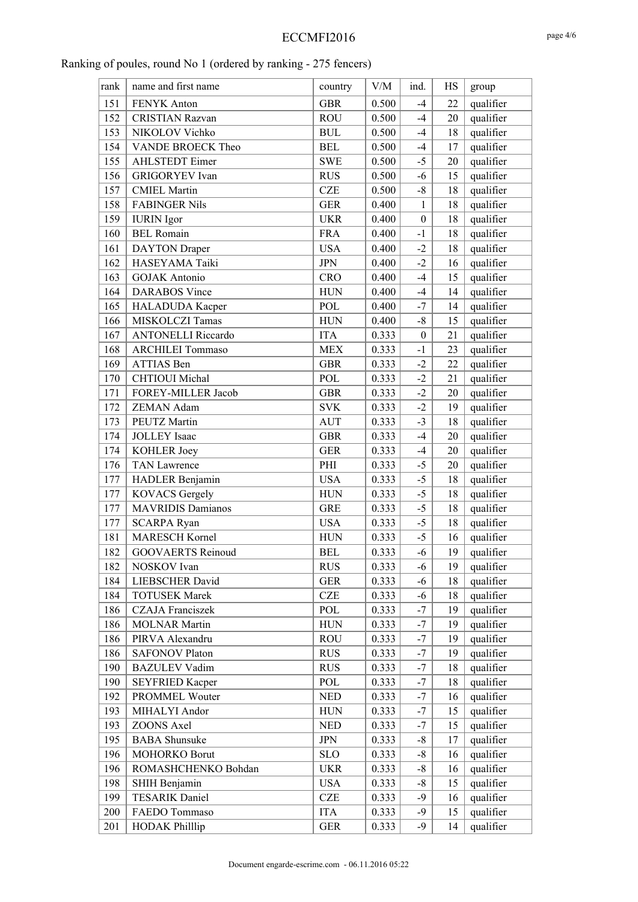| rank | name and first name       | country        | ${\rm V/M}$ | ind.             | HS | group     |
|------|---------------------------|----------------|-------------|------------------|----|-----------|
| 151  | FENYK Anton               | <b>GBR</b>     | 0.500       | $-4$             | 22 | qualifier |
| 152  | <b>CRISTIAN Razvan</b>    | <b>ROU</b>     | 0.500       | $-4$             | 20 | qualifier |
| 153  | NIKOLOV Vichko            | $\mathbf{BUL}$ | 0.500       | $-4$             | 18 | qualifier |
| 154  | VANDE BROECK Theo         | <b>BEL</b>     | 0.500       | $-4$             | 17 | qualifier |
| 155  | <b>AHLSTEDT</b> Eimer     | <b>SWE</b>     | 0.500       | $-5$             | 20 | qualifier |
| 156  | <b>GRIGORYEV</b> Ivan     | <b>RUS</b>     | 0.500       | $-6$             | 15 | qualifier |
| 157  | <b>CMIEL Martin</b>       | <b>CZE</b>     | 0.500       | $-8$             | 18 | qualifier |
| 158  | <b>FABINGER Nils</b>      | <b>GER</b>     | 0.400       | $\mathbf{1}$     | 18 | qualifier |
| 159  | <b>IURIN</b> Igor         | <b>UKR</b>     | 0.400       | $\boldsymbol{0}$ | 18 | qualifier |
| 160  | <b>BEL Romain</b>         | <b>FRA</b>     | 0.400       | $-1$             | 18 | qualifier |
| 161  | <b>DAYTON</b> Draper      | <b>USA</b>     | 0.400       | $-2$             | 18 | qualifier |
| 162  | HASEYAMA Taiki            | <b>JPN</b>     | 0.400       | $-2$             | 16 | qualifier |
| 163  | <b>GOJAK</b> Antonio      | <b>CRO</b>     | 0.400       | $-4$             | 15 | qualifier |
| 164  | <b>DARABOS</b> Vince      | ${\rm HUN}$    | 0.400       | $-4$             | 14 | qualifier |
| 165  | HALADUDA Kacper           | POL            | 0.400       | $-7$             | 14 | qualifier |
| 166  | MISKOLCZI Tamas           | <b>HUN</b>     | 0.400       | $-8$             | 15 | qualifier |
| 167  | <b>ANTONELLI Riccardo</b> | <b>ITA</b>     | 0.333       | $\boldsymbol{0}$ | 21 | qualifier |
| 168  | <b>ARCHILEI Tommaso</b>   | <b>MEX</b>     | 0.333       | $-1$             | 23 | qualifier |
| 169  | ATTIAS Ben                | <b>GBR</b>     | 0.333       | $-2$             | 22 | qualifier |
| 170  | <b>CHTIOUI</b> Michal     | <b>POL</b>     | 0.333       | $-2$             | 21 | qualifier |
| 171  | FOREY-MILLER Jacob        | <b>GBR</b>     | 0.333       | $-2$             | 20 | qualifier |
| 172  | ZEMAN Adam                | <b>SVK</b>     | 0.333       | $-2$             | 19 | qualifier |
| 173  | PEUTZ Martin              | <b>AUT</b>     | 0.333       | $-3$             | 18 | qualifier |
| 174  | <b>JOLLEY</b> Isaac       | <b>GBR</b>     | 0.333       | $-4$             | 20 | qualifier |
| 174  | KOHLER Joey               | <b>GER</b>     | 0.333       | $-4$             | 20 | qualifier |
| 176  | <b>TAN Lawrence</b>       | PHI            | 0.333       | $-5$             | 20 | qualifier |
| 177  | HADLER Benjamin           | <b>USA</b>     | 0.333       | $-5$             | 18 | qualifier |
| 177  | <b>KOVACS</b> Gergely     | <b>HUN</b>     | 0.333       | $-5$             | 18 | qualifier |
| 177  | <b>MAVRIDIS Damianos</b>  | <b>GRE</b>     | 0.333       | $-5$             | 18 | qualifier |
| 177  | <b>SCARPA Ryan</b>        | <b>USA</b>     | 0.333       | $-5$             | 18 | qualifier |
| 181  | <b>MARESCH Kornel</b>     | <b>HUN</b>     | 0.333       | $-5$             | 16 | qualifier |
| 182  | <b>GOOVAERTS Reinoud</b>  | <b>BEL</b>     | 0.333       | $-6$             | 19 | qualifier |
| 182  | NOSKOV Ivan               | <b>RUS</b>     | 0.333       | -6               | 19 | qualifier |
| 184  | LIEBSCHER David           | <b>GER</b>     | 0.333       | $-6$             | 18 | qualifier |
| 184  | <b>TOTUSEK Marek</b>      | <b>CZE</b>     | 0.333       | -6               | 18 | qualifier |
| 186  | <b>CZAJA</b> Franciszek   | POL            | 0.333       | -7               | 19 | qualifier |
| 186  | <b>MOLNAR Martin</b>      | ${\rm HUN}$    | 0.333       | $-7$             | 19 | qualifier |
| 186  | PIRVA Alexandru           | <b>ROU</b>     | 0.333       | -7               | 19 | qualifier |
| 186  | <b>SAFONOV Platon</b>     | <b>RUS</b>     | 0.333       | $-7$             | 19 | qualifier |
| 190  | <b>BAZULEV Vadim</b>      | <b>RUS</b>     | 0.333       | -7               | 18 | qualifier |
| 190  | <b>SEYFRIED Kacper</b>    | POL            | 0.333       | $-7$             | 18 | qualifier |
| 192  | PROMMEL Wouter            | <b>NED</b>     | 0.333       | -7               | 16 | qualifier |
| 193  | MIHALYI Andor             | <b>HUN</b>     | 0.333       | $-7$             | 15 | qualifier |
| 193  | ZOONS Axel                | <b>NED</b>     | 0.333       | -7               | 15 | qualifier |
| 195  | <b>BABA</b> Shunsuke      | <b>JPN</b>     | 0.333       | $-8$             | 17 | qualifier |
| 196  | MOHORKO Borut             | <b>SLO</b>     | 0.333       | $-8$             | 16 | qualifier |
| 196  | ROMASHCHENKO Bohdan       | <b>UKR</b>     | 0.333       | -8               | 16 | qualifier |
| 198  | SHIH Benjamin             | <b>USA</b>     | 0.333       | $-8$             | 15 | qualifier |
| 199  | <b>TESARIK Daniel</b>     | <b>CZE</b>     | 0.333       | $-9$             | 16 | qualifier |
| 200  | FAEDO Tommaso             | <b>ITA</b>     | 0.333       | $-9$             | 15 | qualifier |
| 201  | <b>HODAK Philllip</b>     | <b>GER</b>     | 0.333       | $-9$             | 14 | qualifier |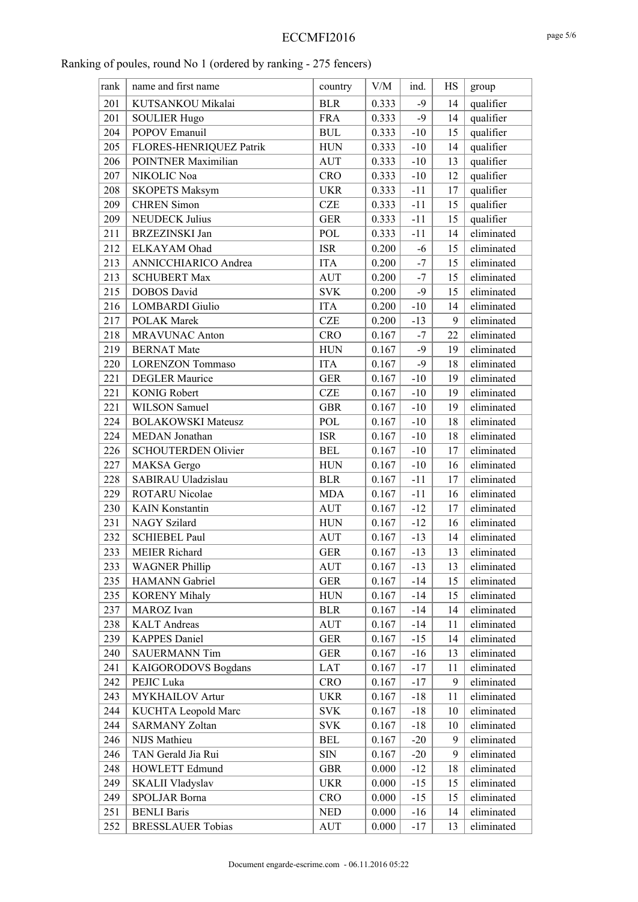| name and first name<br>${\rm V/M}$<br>ind.<br>HS<br>rank<br>country<br>group<br>201<br>KUTSANKOU Mikalai<br><b>BLR</b><br>0.333<br>qualifier<br>$-9$<br>14<br>qualifier<br>201<br><b>SOULIER Hugo</b><br><b>FRA</b><br>0.333<br>$-9$<br>14<br>qualifier<br>204<br>POPOV Emanuil<br>0.333<br>15<br><b>BUL</b><br>$-10$<br>qualifier<br>205<br>FLORES-HENRIQUEZ Patrik<br>0.333<br>$-10$<br>14<br><b>HUN</b><br>206<br>POINTNER Maximilian<br>qualifier<br><b>AUT</b><br>0.333<br>$-10$<br>13<br>qualifier<br>207<br>NIKOLIC Noa<br><b>CRO</b><br>0.333<br>$-10$<br>12<br>qualifier<br>208<br>0.333<br><b>SKOPETS Maksym</b><br><b>UKR</b><br>$-11$<br>17<br>qualifier<br>209<br><b>CHREN Simon</b><br>$-11$<br>15<br><b>CZE</b><br>0.333<br>qualifier<br>209<br><b>NEUDECK Julius</b><br><b>GER</b><br>0.333<br>$-11$<br>15<br>eliminated<br>211<br><b>BRZEZINSKI</b> Jan<br>POL<br>0.333<br>$-11$<br>14<br>eliminated<br>212<br>ELKAYAM Ohad<br><b>ISR</b><br>0.200<br>$-6$<br>15<br>213<br>eliminated<br>ANNICCHIARICO Andrea<br><b>ITA</b><br>0.200<br>$-7$<br>15<br>eliminated<br>213<br><b>SCHUBERT Max</b><br><b>AUT</b><br>0.200<br>$-7$<br>15<br>eliminated<br>$-9$<br>215<br><b>DOBOS</b> David<br><b>SVK</b><br>0.200<br>15<br>eliminated<br>216<br><b>ITA</b><br>0.200<br><b>LOMBARDI</b> Giulio<br>$-10$<br>14<br>9<br>eliminated<br>217<br>POLAK Marek<br><b>CZE</b><br>0.200<br>$-13$<br>eliminated<br>218<br><b>MRAVUNAC Anton</b><br><b>CRO</b><br>0.167<br>$-7$<br>22<br>eliminated<br>219<br><b>BERNAT Mate</b><br><b>HUN</b><br>$-9$<br>0.167<br>19<br>eliminated<br>220<br><b>ITA</b><br>$-9$<br><b>LORENZON Tommaso</b><br>0.167<br>18<br>221<br>eliminated<br><b>DEGLER Maurice</b><br>$-10$<br>19<br><b>GER</b><br>0.167<br>eliminated<br>221<br><b>KONIG Robert</b><br><b>CZE</b><br>$-10$<br>19<br>0.167<br>eliminated<br>221<br><b>WILSON Samuel</b><br><b>GBR</b><br>$-10$<br>19<br>0.167<br>eliminated<br>224<br><b>BOLAKOWSKI Mateusz</b><br>POL<br>0.167<br>$-10$<br>18<br>eliminated<br>224<br>MEDAN Jonathan<br><b>ISR</b><br>$-10$<br>18<br>0.167<br>eliminated<br>226<br>SCHOUTERDEN Olivier<br>$-10$<br><b>BEL</b><br>0.167<br>17<br>eliminated<br>227<br>MAKSA Gergo<br>${\rm HUN}$<br>$-10$<br>0.167<br>16<br>eliminated<br>228<br>SABIRAU Uladzislau<br><b>BLR</b><br>0.167<br>$-11$<br>17<br>229<br><b>ROTARU Nicolae</b><br>$-11$<br>eliminated<br>16<br><b>MDA</b><br>0.167<br>eliminated<br>230<br><b>KAIN</b> Konstantin<br>$-12$<br><b>AUT</b><br>0.167<br>17<br>231<br><b>NAGY Szilard</b><br>eliminated<br>${\rm HUN}$<br>$-12$<br>0.167<br>16<br>eliminated<br>232<br><b>SCHIEBEL Paul</b><br><b>AUT</b><br>0.167<br>$-13$<br>14<br>233<br>$-13$<br>13<br>eliminated<br><b>MEIER Richard</b><br><b>GER</b><br>0.167<br>eliminated<br><b>WAGNER Phillip</b><br>233<br>0.167<br><b>AUT</b><br>$-13$<br>13<br>235<br>HAMANN Gabriel<br><b>GER</b><br>eliminated<br>0.167<br>$-14$<br>15 |
|------------------------------------------------------------------------------------------------------------------------------------------------------------------------------------------------------------------------------------------------------------------------------------------------------------------------------------------------------------------------------------------------------------------------------------------------------------------------------------------------------------------------------------------------------------------------------------------------------------------------------------------------------------------------------------------------------------------------------------------------------------------------------------------------------------------------------------------------------------------------------------------------------------------------------------------------------------------------------------------------------------------------------------------------------------------------------------------------------------------------------------------------------------------------------------------------------------------------------------------------------------------------------------------------------------------------------------------------------------------------------------------------------------------------------------------------------------------------------------------------------------------------------------------------------------------------------------------------------------------------------------------------------------------------------------------------------------------------------------------------------------------------------------------------------------------------------------------------------------------------------------------------------------------------------------------------------------------------------------------------------------------------------------------------------------------------------------------------------------------------------------------------------------------------------------------------------------------------------------------------------------------------------------------------------------------------------------------------------------------------------------------------------------------------------------------------------------------------------------------------------------------------------------------------------------------------------------------------------------------------------------------------------------------------------------------------------------------------------------------------------------------------------------------------------------------------------------------------------------------------------------------------------------------------------------|
|                                                                                                                                                                                                                                                                                                                                                                                                                                                                                                                                                                                                                                                                                                                                                                                                                                                                                                                                                                                                                                                                                                                                                                                                                                                                                                                                                                                                                                                                                                                                                                                                                                                                                                                                                                                                                                                                                                                                                                                                                                                                                                                                                                                                                                                                                                                                                                                                                                                                                                                                                                                                                                                                                                                                                                                                                                                                                                                                    |
|                                                                                                                                                                                                                                                                                                                                                                                                                                                                                                                                                                                                                                                                                                                                                                                                                                                                                                                                                                                                                                                                                                                                                                                                                                                                                                                                                                                                                                                                                                                                                                                                                                                                                                                                                                                                                                                                                                                                                                                                                                                                                                                                                                                                                                                                                                                                                                                                                                                                                                                                                                                                                                                                                                                                                                                                                                                                                                                                    |
|                                                                                                                                                                                                                                                                                                                                                                                                                                                                                                                                                                                                                                                                                                                                                                                                                                                                                                                                                                                                                                                                                                                                                                                                                                                                                                                                                                                                                                                                                                                                                                                                                                                                                                                                                                                                                                                                                                                                                                                                                                                                                                                                                                                                                                                                                                                                                                                                                                                                                                                                                                                                                                                                                                                                                                                                                                                                                                                                    |
|                                                                                                                                                                                                                                                                                                                                                                                                                                                                                                                                                                                                                                                                                                                                                                                                                                                                                                                                                                                                                                                                                                                                                                                                                                                                                                                                                                                                                                                                                                                                                                                                                                                                                                                                                                                                                                                                                                                                                                                                                                                                                                                                                                                                                                                                                                                                                                                                                                                                                                                                                                                                                                                                                                                                                                                                                                                                                                                                    |
|                                                                                                                                                                                                                                                                                                                                                                                                                                                                                                                                                                                                                                                                                                                                                                                                                                                                                                                                                                                                                                                                                                                                                                                                                                                                                                                                                                                                                                                                                                                                                                                                                                                                                                                                                                                                                                                                                                                                                                                                                                                                                                                                                                                                                                                                                                                                                                                                                                                                                                                                                                                                                                                                                                                                                                                                                                                                                                                                    |
|                                                                                                                                                                                                                                                                                                                                                                                                                                                                                                                                                                                                                                                                                                                                                                                                                                                                                                                                                                                                                                                                                                                                                                                                                                                                                                                                                                                                                                                                                                                                                                                                                                                                                                                                                                                                                                                                                                                                                                                                                                                                                                                                                                                                                                                                                                                                                                                                                                                                                                                                                                                                                                                                                                                                                                                                                                                                                                                                    |
|                                                                                                                                                                                                                                                                                                                                                                                                                                                                                                                                                                                                                                                                                                                                                                                                                                                                                                                                                                                                                                                                                                                                                                                                                                                                                                                                                                                                                                                                                                                                                                                                                                                                                                                                                                                                                                                                                                                                                                                                                                                                                                                                                                                                                                                                                                                                                                                                                                                                                                                                                                                                                                                                                                                                                                                                                                                                                                                                    |
|                                                                                                                                                                                                                                                                                                                                                                                                                                                                                                                                                                                                                                                                                                                                                                                                                                                                                                                                                                                                                                                                                                                                                                                                                                                                                                                                                                                                                                                                                                                                                                                                                                                                                                                                                                                                                                                                                                                                                                                                                                                                                                                                                                                                                                                                                                                                                                                                                                                                                                                                                                                                                                                                                                                                                                                                                                                                                                                                    |
|                                                                                                                                                                                                                                                                                                                                                                                                                                                                                                                                                                                                                                                                                                                                                                                                                                                                                                                                                                                                                                                                                                                                                                                                                                                                                                                                                                                                                                                                                                                                                                                                                                                                                                                                                                                                                                                                                                                                                                                                                                                                                                                                                                                                                                                                                                                                                                                                                                                                                                                                                                                                                                                                                                                                                                                                                                                                                                                                    |
|                                                                                                                                                                                                                                                                                                                                                                                                                                                                                                                                                                                                                                                                                                                                                                                                                                                                                                                                                                                                                                                                                                                                                                                                                                                                                                                                                                                                                                                                                                                                                                                                                                                                                                                                                                                                                                                                                                                                                                                                                                                                                                                                                                                                                                                                                                                                                                                                                                                                                                                                                                                                                                                                                                                                                                                                                                                                                                                                    |
|                                                                                                                                                                                                                                                                                                                                                                                                                                                                                                                                                                                                                                                                                                                                                                                                                                                                                                                                                                                                                                                                                                                                                                                                                                                                                                                                                                                                                                                                                                                                                                                                                                                                                                                                                                                                                                                                                                                                                                                                                                                                                                                                                                                                                                                                                                                                                                                                                                                                                                                                                                                                                                                                                                                                                                                                                                                                                                                                    |
|                                                                                                                                                                                                                                                                                                                                                                                                                                                                                                                                                                                                                                                                                                                                                                                                                                                                                                                                                                                                                                                                                                                                                                                                                                                                                                                                                                                                                                                                                                                                                                                                                                                                                                                                                                                                                                                                                                                                                                                                                                                                                                                                                                                                                                                                                                                                                                                                                                                                                                                                                                                                                                                                                                                                                                                                                                                                                                                                    |
|                                                                                                                                                                                                                                                                                                                                                                                                                                                                                                                                                                                                                                                                                                                                                                                                                                                                                                                                                                                                                                                                                                                                                                                                                                                                                                                                                                                                                                                                                                                                                                                                                                                                                                                                                                                                                                                                                                                                                                                                                                                                                                                                                                                                                                                                                                                                                                                                                                                                                                                                                                                                                                                                                                                                                                                                                                                                                                                                    |
|                                                                                                                                                                                                                                                                                                                                                                                                                                                                                                                                                                                                                                                                                                                                                                                                                                                                                                                                                                                                                                                                                                                                                                                                                                                                                                                                                                                                                                                                                                                                                                                                                                                                                                                                                                                                                                                                                                                                                                                                                                                                                                                                                                                                                                                                                                                                                                                                                                                                                                                                                                                                                                                                                                                                                                                                                                                                                                                                    |
|                                                                                                                                                                                                                                                                                                                                                                                                                                                                                                                                                                                                                                                                                                                                                                                                                                                                                                                                                                                                                                                                                                                                                                                                                                                                                                                                                                                                                                                                                                                                                                                                                                                                                                                                                                                                                                                                                                                                                                                                                                                                                                                                                                                                                                                                                                                                                                                                                                                                                                                                                                                                                                                                                                                                                                                                                                                                                                                                    |
|                                                                                                                                                                                                                                                                                                                                                                                                                                                                                                                                                                                                                                                                                                                                                                                                                                                                                                                                                                                                                                                                                                                                                                                                                                                                                                                                                                                                                                                                                                                                                                                                                                                                                                                                                                                                                                                                                                                                                                                                                                                                                                                                                                                                                                                                                                                                                                                                                                                                                                                                                                                                                                                                                                                                                                                                                                                                                                                                    |
|                                                                                                                                                                                                                                                                                                                                                                                                                                                                                                                                                                                                                                                                                                                                                                                                                                                                                                                                                                                                                                                                                                                                                                                                                                                                                                                                                                                                                                                                                                                                                                                                                                                                                                                                                                                                                                                                                                                                                                                                                                                                                                                                                                                                                                                                                                                                                                                                                                                                                                                                                                                                                                                                                                                                                                                                                                                                                                                                    |
|                                                                                                                                                                                                                                                                                                                                                                                                                                                                                                                                                                                                                                                                                                                                                                                                                                                                                                                                                                                                                                                                                                                                                                                                                                                                                                                                                                                                                                                                                                                                                                                                                                                                                                                                                                                                                                                                                                                                                                                                                                                                                                                                                                                                                                                                                                                                                                                                                                                                                                                                                                                                                                                                                                                                                                                                                                                                                                                                    |
|                                                                                                                                                                                                                                                                                                                                                                                                                                                                                                                                                                                                                                                                                                                                                                                                                                                                                                                                                                                                                                                                                                                                                                                                                                                                                                                                                                                                                                                                                                                                                                                                                                                                                                                                                                                                                                                                                                                                                                                                                                                                                                                                                                                                                                                                                                                                                                                                                                                                                                                                                                                                                                                                                                                                                                                                                                                                                                                                    |
|                                                                                                                                                                                                                                                                                                                                                                                                                                                                                                                                                                                                                                                                                                                                                                                                                                                                                                                                                                                                                                                                                                                                                                                                                                                                                                                                                                                                                                                                                                                                                                                                                                                                                                                                                                                                                                                                                                                                                                                                                                                                                                                                                                                                                                                                                                                                                                                                                                                                                                                                                                                                                                                                                                                                                                                                                                                                                                                                    |
|                                                                                                                                                                                                                                                                                                                                                                                                                                                                                                                                                                                                                                                                                                                                                                                                                                                                                                                                                                                                                                                                                                                                                                                                                                                                                                                                                                                                                                                                                                                                                                                                                                                                                                                                                                                                                                                                                                                                                                                                                                                                                                                                                                                                                                                                                                                                                                                                                                                                                                                                                                                                                                                                                                                                                                                                                                                                                                                                    |
|                                                                                                                                                                                                                                                                                                                                                                                                                                                                                                                                                                                                                                                                                                                                                                                                                                                                                                                                                                                                                                                                                                                                                                                                                                                                                                                                                                                                                                                                                                                                                                                                                                                                                                                                                                                                                                                                                                                                                                                                                                                                                                                                                                                                                                                                                                                                                                                                                                                                                                                                                                                                                                                                                                                                                                                                                                                                                                                                    |
|                                                                                                                                                                                                                                                                                                                                                                                                                                                                                                                                                                                                                                                                                                                                                                                                                                                                                                                                                                                                                                                                                                                                                                                                                                                                                                                                                                                                                                                                                                                                                                                                                                                                                                                                                                                                                                                                                                                                                                                                                                                                                                                                                                                                                                                                                                                                                                                                                                                                                                                                                                                                                                                                                                                                                                                                                                                                                                                                    |
|                                                                                                                                                                                                                                                                                                                                                                                                                                                                                                                                                                                                                                                                                                                                                                                                                                                                                                                                                                                                                                                                                                                                                                                                                                                                                                                                                                                                                                                                                                                                                                                                                                                                                                                                                                                                                                                                                                                                                                                                                                                                                                                                                                                                                                                                                                                                                                                                                                                                                                                                                                                                                                                                                                                                                                                                                                                                                                                                    |
|                                                                                                                                                                                                                                                                                                                                                                                                                                                                                                                                                                                                                                                                                                                                                                                                                                                                                                                                                                                                                                                                                                                                                                                                                                                                                                                                                                                                                                                                                                                                                                                                                                                                                                                                                                                                                                                                                                                                                                                                                                                                                                                                                                                                                                                                                                                                                                                                                                                                                                                                                                                                                                                                                                                                                                                                                                                                                                                                    |
|                                                                                                                                                                                                                                                                                                                                                                                                                                                                                                                                                                                                                                                                                                                                                                                                                                                                                                                                                                                                                                                                                                                                                                                                                                                                                                                                                                                                                                                                                                                                                                                                                                                                                                                                                                                                                                                                                                                                                                                                                                                                                                                                                                                                                                                                                                                                                                                                                                                                                                                                                                                                                                                                                                                                                                                                                                                                                                                                    |
|                                                                                                                                                                                                                                                                                                                                                                                                                                                                                                                                                                                                                                                                                                                                                                                                                                                                                                                                                                                                                                                                                                                                                                                                                                                                                                                                                                                                                                                                                                                                                                                                                                                                                                                                                                                                                                                                                                                                                                                                                                                                                                                                                                                                                                                                                                                                                                                                                                                                                                                                                                                                                                                                                                                                                                                                                                                                                                                                    |
|                                                                                                                                                                                                                                                                                                                                                                                                                                                                                                                                                                                                                                                                                                                                                                                                                                                                                                                                                                                                                                                                                                                                                                                                                                                                                                                                                                                                                                                                                                                                                                                                                                                                                                                                                                                                                                                                                                                                                                                                                                                                                                                                                                                                                                                                                                                                                                                                                                                                                                                                                                                                                                                                                                                                                                                                                                                                                                                                    |
|                                                                                                                                                                                                                                                                                                                                                                                                                                                                                                                                                                                                                                                                                                                                                                                                                                                                                                                                                                                                                                                                                                                                                                                                                                                                                                                                                                                                                                                                                                                                                                                                                                                                                                                                                                                                                                                                                                                                                                                                                                                                                                                                                                                                                                                                                                                                                                                                                                                                                                                                                                                                                                                                                                                                                                                                                                                                                                                                    |
|                                                                                                                                                                                                                                                                                                                                                                                                                                                                                                                                                                                                                                                                                                                                                                                                                                                                                                                                                                                                                                                                                                                                                                                                                                                                                                                                                                                                                                                                                                                                                                                                                                                                                                                                                                                                                                                                                                                                                                                                                                                                                                                                                                                                                                                                                                                                                                                                                                                                                                                                                                                                                                                                                                                                                                                                                                                                                                                                    |
|                                                                                                                                                                                                                                                                                                                                                                                                                                                                                                                                                                                                                                                                                                                                                                                                                                                                                                                                                                                                                                                                                                                                                                                                                                                                                                                                                                                                                                                                                                                                                                                                                                                                                                                                                                                                                                                                                                                                                                                                                                                                                                                                                                                                                                                                                                                                                                                                                                                                                                                                                                                                                                                                                                                                                                                                                                                                                                                                    |
|                                                                                                                                                                                                                                                                                                                                                                                                                                                                                                                                                                                                                                                                                                                                                                                                                                                                                                                                                                                                                                                                                                                                                                                                                                                                                                                                                                                                                                                                                                                                                                                                                                                                                                                                                                                                                                                                                                                                                                                                                                                                                                                                                                                                                                                                                                                                                                                                                                                                                                                                                                                                                                                                                                                                                                                                                                                                                                                                    |
|                                                                                                                                                                                                                                                                                                                                                                                                                                                                                                                                                                                                                                                                                                                                                                                                                                                                                                                                                                                                                                                                                                                                                                                                                                                                                                                                                                                                                                                                                                                                                                                                                                                                                                                                                                                                                                                                                                                                                                                                                                                                                                                                                                                                                                                                                                                                                                                                                                                                                                                                                                                                                                                                                                                                                                                                                                                                                                                                    |
|                                                                                                                                                                                                                                                                                                                                                                                                                                                                                                                                                                                                                                                                                                                                                                                                                                                                                                                                                                                                                                                                                                                                                                                                                                                                                                                                                                                                                                                                                                                                                                                                                                                                                                                                                                                                                                                                                                                                                                                                                                                                                                                                                                                                                                                                                                                                                                                                                                                                                                                                                                                                                                                                                                                                                                                                                                                                                                                                    |
| eliminated<br>235<br><b>KORENY Mihaly</b><br>0.167<br>$-14$<br><b>HUN</b><br>15                                                                                                                                                                                                                                                                                                                                                                                                                                                                                                                                                                                                                                                                                                                                                                                                                                                                                                                                                                                                                                                                                                                                                                                                                                                                                                                                                                                                                                                                                                                                                                                                                                                                                                                                                                                                                                                                                                                                                                                                                                                                                                                                                                                                                                                                                                                                                                                                                                                                                                                                                                                                                                                                                                                                                                                                                                                    |
| eliminated<br>237<br>MAROZ Ivan<br>0.167<br>$-14$<br>14<br><b>BLR</b>                                                                                                                                                                                                                                                                                                                                                                                                                                                                                                                                                                                                                                                                                                                                                                                                                                                                                                                                                                                                                                                                                                                                                                                                                                                                                                                                                                                                                                                                                                                                                                                                                                                                                                                                                                                                                                                                                                                                                                                                                                                                                                                                                                                                                                                                                                                                                                                                                                                                                                                                                                                                                                                                                                                                                                                                                                                              |
| eliminated<br>238<br><b>KALT</b> Andreas<br><b>AUT</b><br>0.167<br>$-14$<br>11                                                                                                                                                                                                                                                                                                                                                                                                                                                                                                                                                                                                                                                                                                                                                                                                                                                                                                                                                                                                                                                                                                                                                                                                                                                                                                                                                                                                                                                                                                                                                                                                                                                                                                                                                                                                                                                                                                                                                                                                                                                                                                                                                                                                                                                                                                                                                                                                                                                                                                                                                                                                                                                                                                                                                                                                                                                     |
| 239<br><b>KAPPES Daniel</b><br>eliminated<br><b>GER</b><br>0.167<br>$-15$<br>14                                                                                                                                                                                                                                                                                                                                                                                                                                                                                                                                                                                                                                                                                                                                                                                                                                                                                                                                                                                                                                                                                                                                                                                                                                                                                                                                                                                                                                                                                                                                                                                                                                                                                                                                                                                                                                                                                                                                                                                                                                                                                                                                                                                                                                                                                                                                                                                                                                                                                                                                                                                                                                                                                                                                                                                                                                                    |
| eliminated<br>240<br><b>SAUERMANN Tim</b><br><b>GER</b><br>0.167<br>$-16$<br>13                                                                                                                                                                                                                                                                                                                                                                                                                                                                                                                                                                                                                                                                                                                                                                                                                                                                                                                                                                                                                                                                                                                                                                                                                                                                                                                                                                                                                                                                                                                                                                                                                                                                                                                                                                                                                                                                                                                                                                                                                                                                                                                                                                                                                                                                                                                                                                                                                                                                                                                                                                                                                                                                                                                                                                                                                                                    |
| 241<br>eliminated<br>KAIGORODOVS Bogdans<br>0.167<br>$-17$<br>11<br>LAT                                                                                                                                                                                                                                                                                                                                                                                                                                                                                                                                                                                                                                                                                                                                                                                                                                                                                                                                                                                                                                                                                                                                                                                                                                                                                                                                                                                                                                                                                                                                                                                                                                                                                                                                                                                                                                                                                                                                                                                                                                                                                                                                                                                                                                                                                                                                                                                                                                                                                                                                                                                                                                                                                                                                                                                                                                                            |
| eliminated<br>242<br>PEJIC Luka<br><b>CRO</b><br>$-17$<br>9<br>0.167                                                                                                                                                                                                                                                                                                                                                                                                                                                                                                                                                                                                                                                                                                                                                                                                                                                                                                                                                                                                                                                                                                                                                                                                                                                                                                                                                                                                                                                                                                                                                                                                                                                                                                                                                                                                                                                                                                                                                                                                                                                                                                                                                                                                                                                                                                                                                                                                                                                                                                                                                                                                                                                                                                                                                                                                                                                               |
| 243<br>eliminated<br><b>MYKHAILOV</b> Artur<br><b>UKR</b><br>0.167<br>$-18$<br>11                                                                                                                                                                                                                                                                                                                                                                                                                                                                                                                                                                                                                                                                                                                                                                                                                                                                                                                                                                                                                                                                                                                                                                                                                                                                                                                                                                                                                                                                                                                                                                                                                                                                                                                                                                                                                                                                                                                                                                                                                                                                                                                                                                                                                                                                                                                                                                                                                                                                                                                                                                                                                                                                                                                                                                                                                                                  |
| eliminated<br>244<br>KUCHTA Leopold Marc<br><b>SVK</b><br>0.167<br>$-18$<br>10                                                                                                                                                                                                                                                                                                                                                                                                                                                                                                                                                                                                                                                                                                                                                                                                                                                                                                                                                                                                                                                                                                                                                                                                                                                                                                                                                                                                                                                                                                                                                                                                                                                                                                                                                                                                                                                                                                                                                                                                                                                                                                                                                                                                                                                                                                                                                                                                                                                                                                                                                                                                                                                                                                                                                                                                                                                     |
| 244<br><b>SARMANY Zoltan</b><br>eliminated<br>0.167<br>$-18$<br><b>SVK</b><br>10                                                                                                                                                                                                                                                                                                                                                                                                                                                                                                                                                                                                                                                                                                                                                                                                                                                                                                                                                                                                                                                                                                                                                                                                                                                                                                                                                                                                                                                                                                                                                                                                                                                                                                                                                                                                                                                                                                                                                                                                                                                                                                                                                                                                                                                                                                                                                                                                                                                                                                                                                                                                                                                                                                                                                                                                                                                   |
| eliminated<br>246<br>NIJS Mathieu<br>$-20$<br><b>BEL</b><br>0.167<br>9                                                                                                                                                                                                                                                                                                                                                                                                                                                                                                                                                                                                                                                                                                                                                                                                                                                                                                                                                                                                                                                                                                                                                                                                                                                                                                                                                                                                                                                                                                                                                                                                                                                                                                                                                                                                                                                                                                                                                                                                                                                                                                                                                                                                                                                                                                                                                                                                                                                                                                                                                                                                                                                                                                                                                                                                                                                             |
| 246<br>TAN Gerald Jia Rui<br>eliminated<br>SIN<br>0.167<br>$-20$<br>9                                                                                                                                                                                                                                                                                                                                                                                                                                                                                                                                                                                                                                                                                                                                                                                                                                                                                                                                                                                                                                                                                                                                                                                                                                                                                                                                                                                                                                                                                                                                                                                                                                                                                                                                                                                                                                                                                                                                                                                                                                                                                                                                                                                                                                                                                                                                                                                                                                                                                                                                                                                                                                                                                                                                                                                                                                                              |
| eliminated<br>248<br>HOWLETT Edmund<br>0.000<br>$-12$<br><b>GBR</b><br>18                                                                                                                                                                                                                                                                                                                                                                                                                                                                                                                                                                                                                                                                                                                                                                                                                                                                                                                                                                                                                                                                                                                                                                                                                                                                                                                                                                                                                                                                                                                                                                                                                                                                                                                                                                                                                                                                                                                                                                                                                                                                                                                                                                                                                                                                                                                                                                                                                                                                                                                                                                                                                                                                                                                                                                                                                                                          |
| 249<br>eliminated<br>SKALII Vladyslav<br>0.000<br>$-15$<br><b>UKR</b><br>15                                                                                                                                                                                                                                                                                                                                                                                                                                                                                                                                                                                                                                                                                                                                                                                                                                                                                                                                                                                                                                                                                                                                                                                                                                                                                                                                                                                                                                                                                                                                                                                                                                                                                                                                                                                                                                                                                                                                                                                                                                                                                                                                                                                                                                                                                                                                                                                                                                                                                                                                                                                                                                                                                                                                                                                                                                                        |
| eliminated<br>249<br>SPOLJAR Borna<br><b>CRO</b><br>0.000<br>$-15$<br>15                                                                                                                                                                                                                                                                                                                                                                                                                                                                                                                                                                                                                                                                                                                                                                                                                                                                                                                                                                                                                                                                                                                                                                                                                                                                                                                                                                                                                                                                                                                                                                                                                                                                                                                                                                                                                                                                                                                                                                                                                                                                                                                                                                                                                                                                                                                                                                                                                                                                                                                                                                                                                                                                                                                                                                                                                                                           |
| <b>BENLI Baris</b><br>eliminated<br>251<br><b>NED</b><br>0.000<br>$-16$<br>14                                                                                                                                                                                                                                                                                                                                                                                                                                                                                                                                                                                                                                                                                                                                                                                                                                                                                                                                                                                                                                                                                                                                                                                                                                                                                                                                                                                                                                                                                                                                                                                                                                                                                                                                                                                                                                                                                                                                                                                                                                                                                                                                                                                                                                                                                                                                                                                                                                                                                                                                                                                                                                                                                                                                                                                                                                                      |
| 252<br><b>BRESSLAUER Tobias</b><br>0.000<br>eliminated<br><b>AUT</b><br>$-17$<br>13                                                                                                                                                                                                                                                                                                                                                                                                                                                                                                                                                                                                                                                                                                                                                                                                                                                                                                                                                                                                                                                                                                                                                                                                                                                                                                                                                                                                                                                                                                                                                                                                                                                                                                                                                                                                                                                                                                                                                                                                                                                                                                                                                                                                                                                                                                                                                                                                                                                                                                                                                                                                                                                                                                                                                                                                                                                |

Ranking of poules, round No 1 (ordered by ranking - 275 fencers)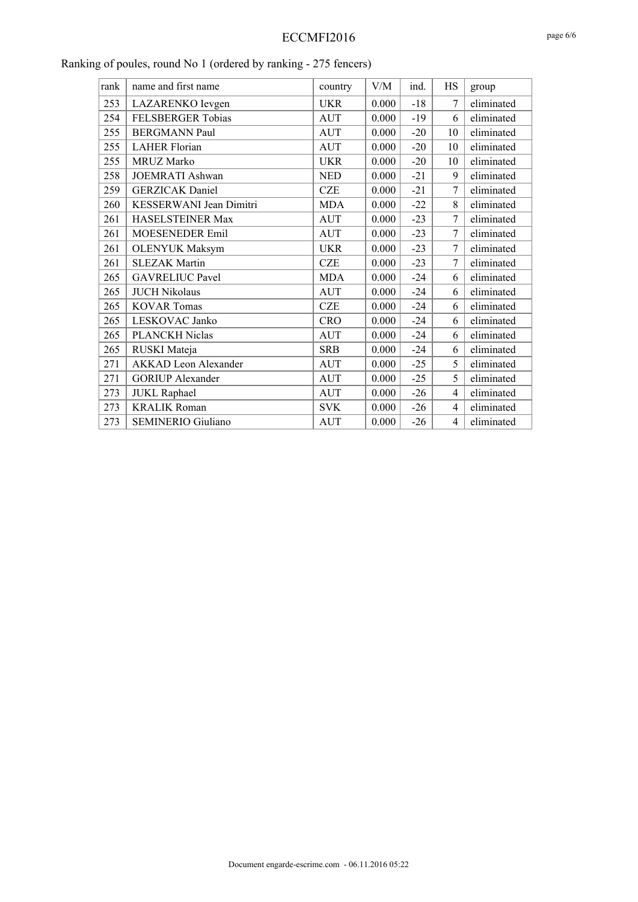| rank | name and first name         | country    | V/M   | ind.  | HS                       | group      |
|------|-----------------------------|------------|-------|-------|--------------------------|------------|
| 253  | LAZARENKO levgen            | <b>UKR</b> | 0.000 | $-18$ | 7                        | eliminated |
| 254  | FELSBERGER Tobias           | <b>AUT</b> | 0.000 | $-19$ | 6                        | eliminated |
| 255  | <b>BERGMANN Paul</b>        | <b>AUT</b> | 0.000 | $-20$ | 10                       | eliminated |
| 255  | <b>LAHER Florian</b>        | <b>AUT</b> | 0.000 | $-20$ | 10                       | eliminated |
| 255  | <b>MRUZ Marko</b>           | <b>UKR</b> | 0.000 | $-20$ | 10                       | eliminated |
| 258  | JOEMRATI Ashwan             | <b>NED</b> | 0.000 | $-21$ | 9                        | eliminated |
| 259  | <b>GERZICAK</b> Daniel      | <b>CZE</b> | 0.000 | $-21$ | 7                        | eliminated |
| 260  | KESSERWANI Jean Dimitri     | <b>MDA</b> | 0.000 | $-22$ | 8                        | eliminated |
| 261  | HASELSTEINER Max            | <b>AUT</b> | 0.000 | $-23$ | 7                        | eliminated |
| 261  | <b>MOESENEDER Emil</b>      | <b>AUT</b> | 0.000 | $-23$ | 7                        | eliminated |
| 261  | <b>OLENYUK Maksym</b>       | <b>UKR</b> | 0.000 | $-23$ | 7                        | eliminated |
| 261  | <b>SLEZAK Martin</b>        | <b>CZE</b> | 0.000 | $-23$ | 7                        | eliminated |
| 265  | <b>GAVRELIUC Pavel</b>      | <b>MDA</b> | 0.000 | $-24$ | 6                        | eliminated |
| 265  | <b>JUCH Nikolaus</b>        | <b>AUT</b> | 0.000 | $-24$ | 6                        | eliminated |
| 265  | <b>KOVAR Tomas</b>          | <b>CZE</b> | 0.000 | $-24$ | 6                        | eliminated |
| 265  | LESKOVAC Janko              | <b>CRO</b> | 0.000 | $-24$ | 6                        | eliminated |
| 265  | PLANCKH Niclas              | <b>AUT</b> | 0.000 | $-24$ | 6                        | eliminated |
| 265  | RUSKI Mateja                | <b>SRB</b> | 0.000 | $-24$ | 6                        | eliminated |
| 271  | <b>AKKAD</b> Leon Alexander | <b>AUT</b> | 0.000 | $-25$ | 5                        | eliminated |
| 271  | <b>GORIUP</b> Alexander     | <b>AUT</b> | 0.000 | $-25$ | 5                        | eliminated |
| 273  | <b>JUKL</b> Raphael         | <b>AUT</b> | 0.000 | $-26$ | 4                        | eliminated |
| 273  | <b>KRALIK Roman</b>         | <b>SVK</b> | 0.000 | $-26$ | $\overline{\mathcal{L}}$ | eliminated |
| 273  | <b>SEMINERIO Giuliano</b>   | <b>AUT</b> | 0.000 | $-26$ | 4                        | eliminated |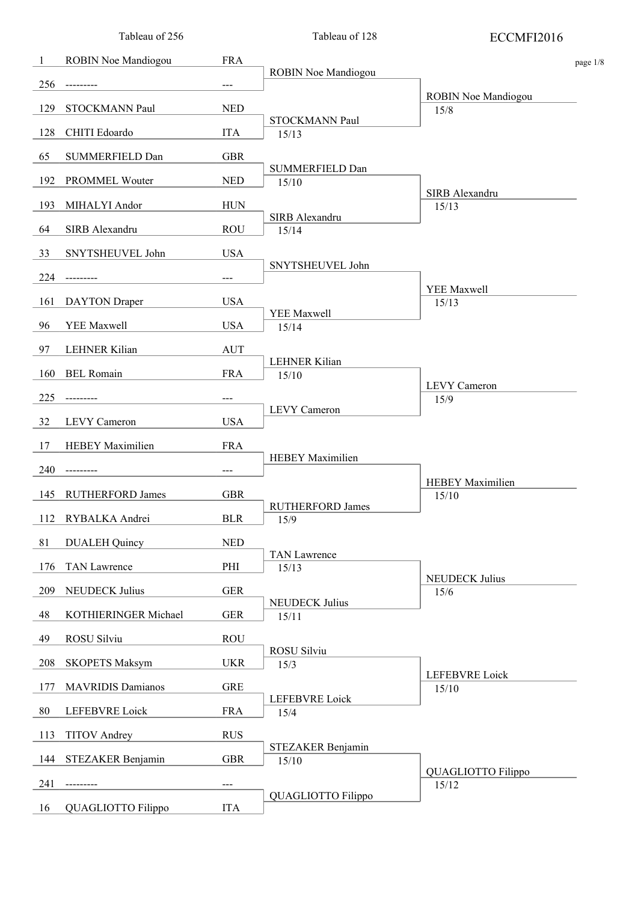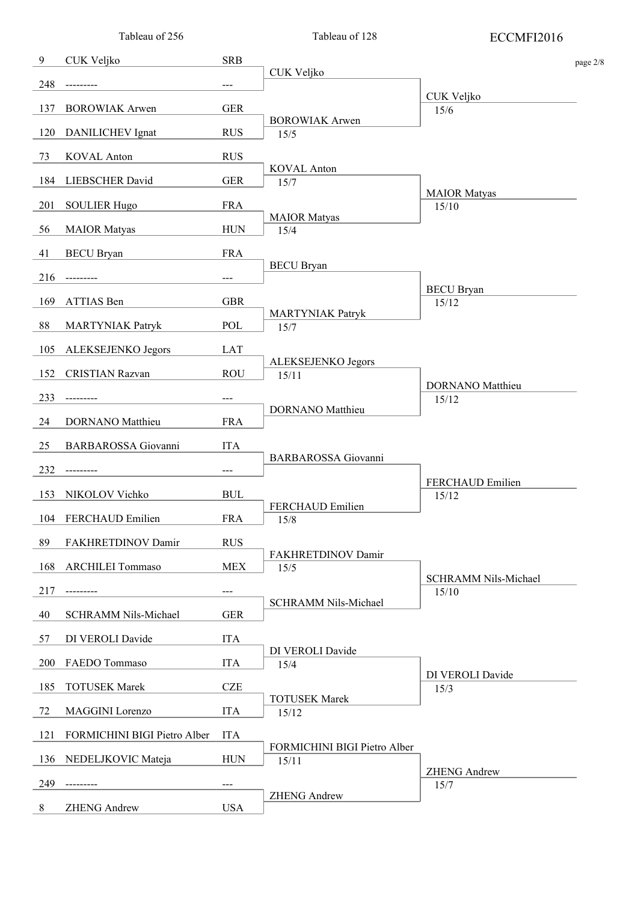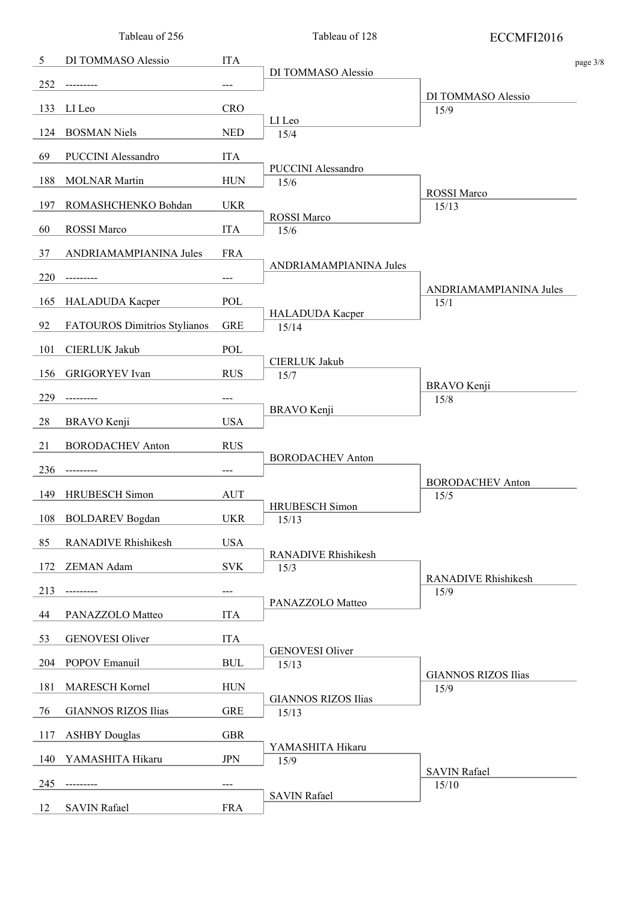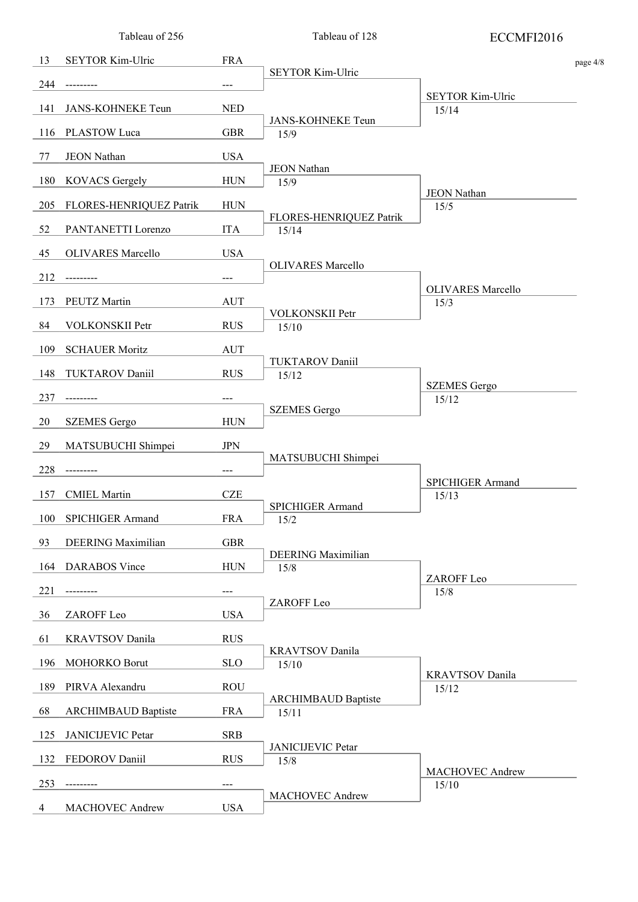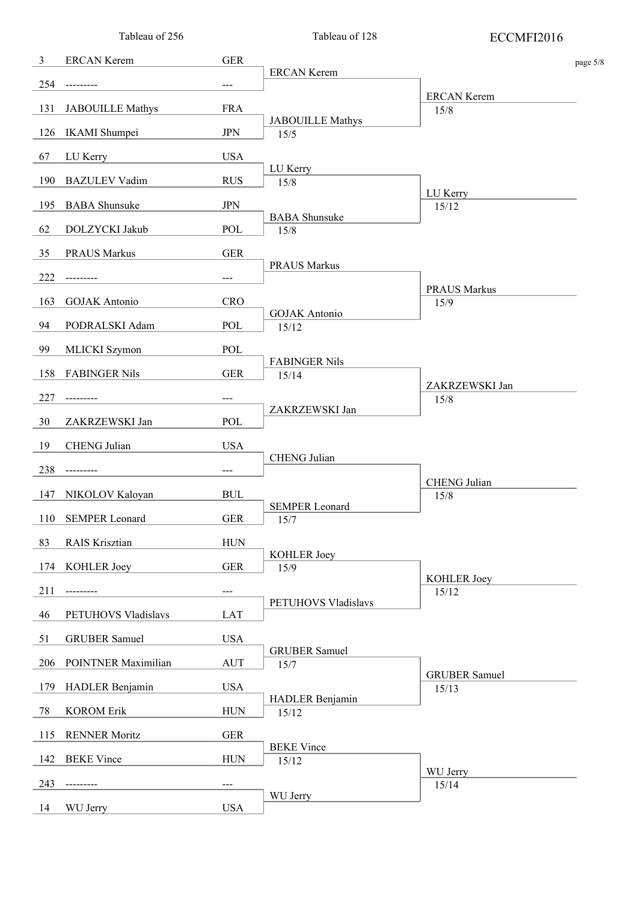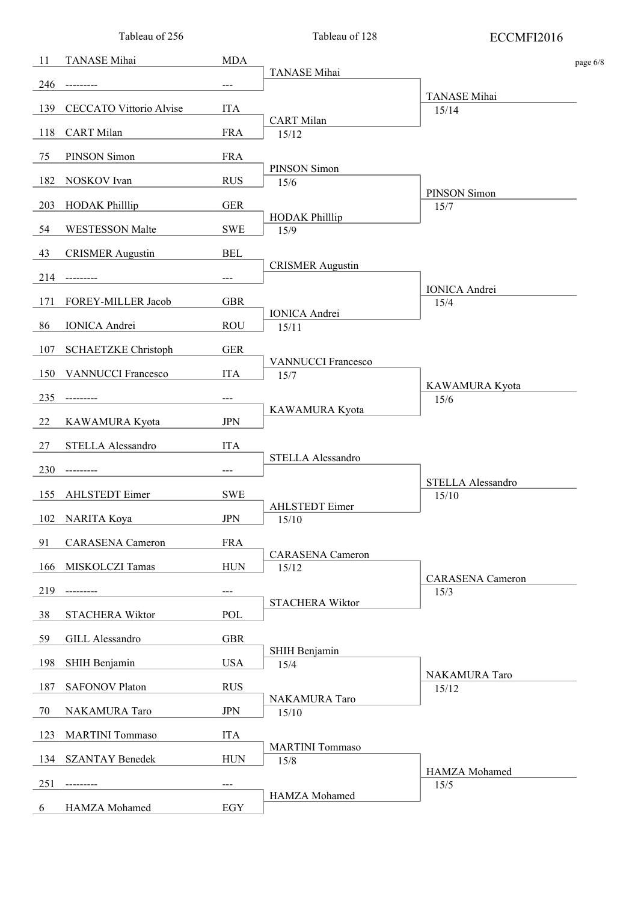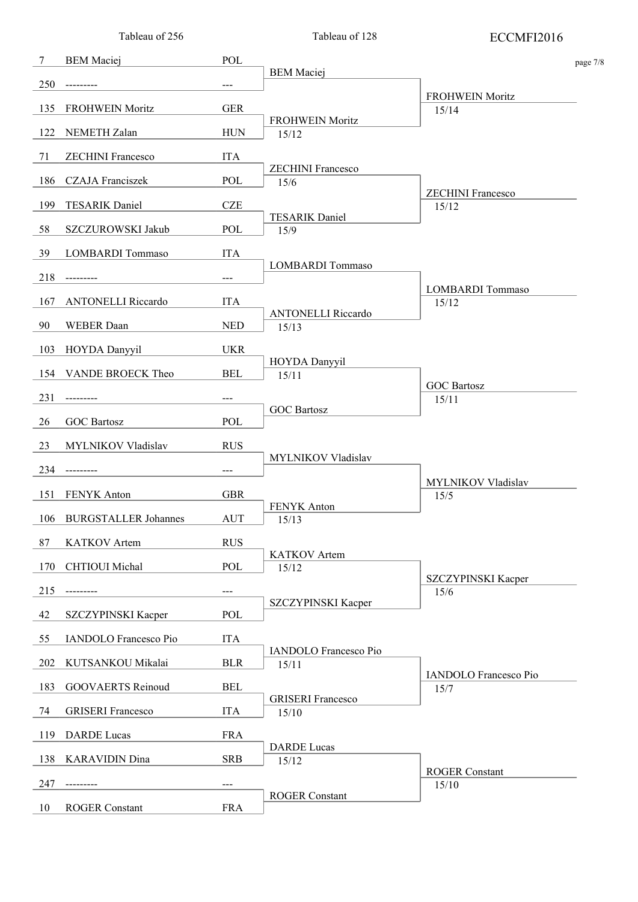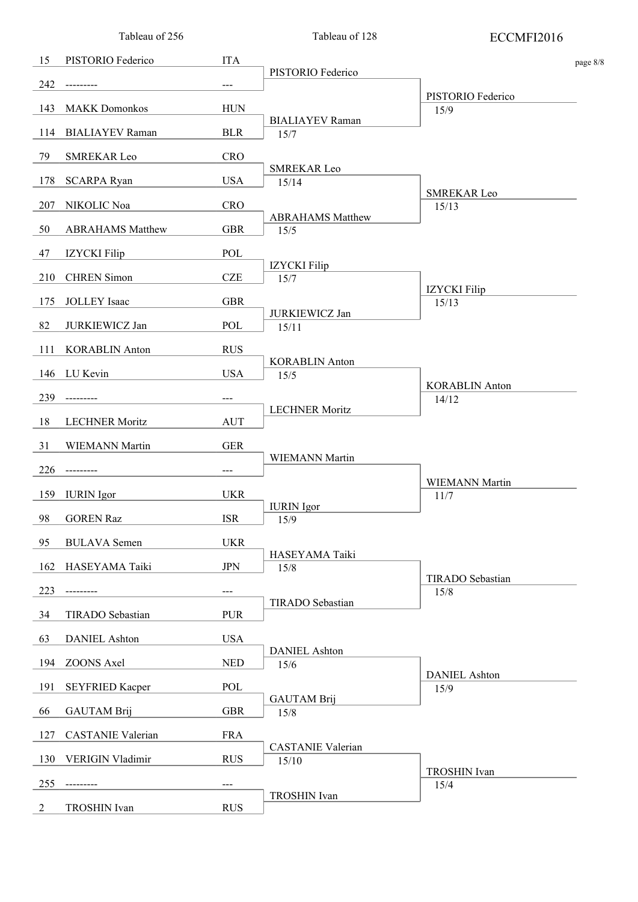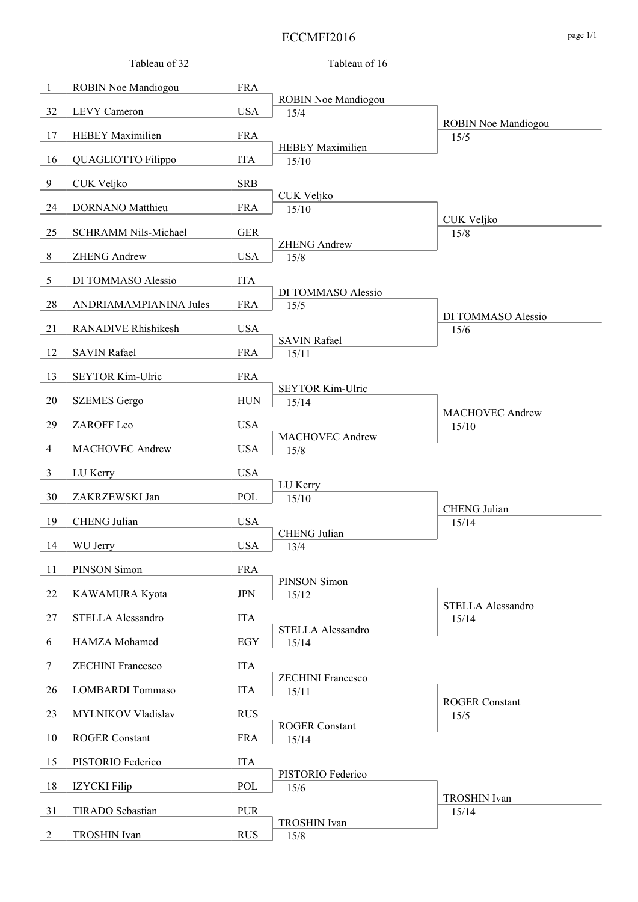#### ECCMFI2016 page 1/1

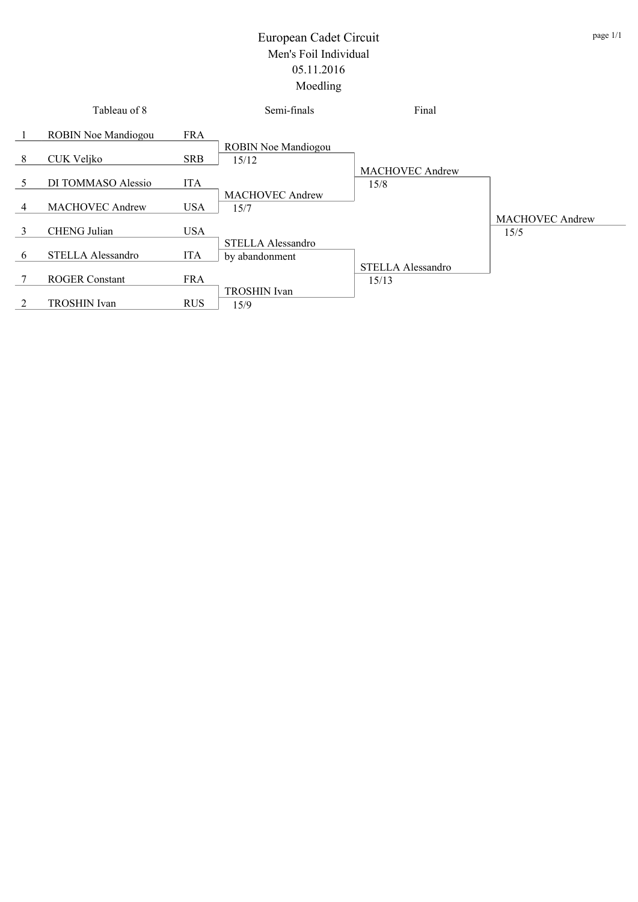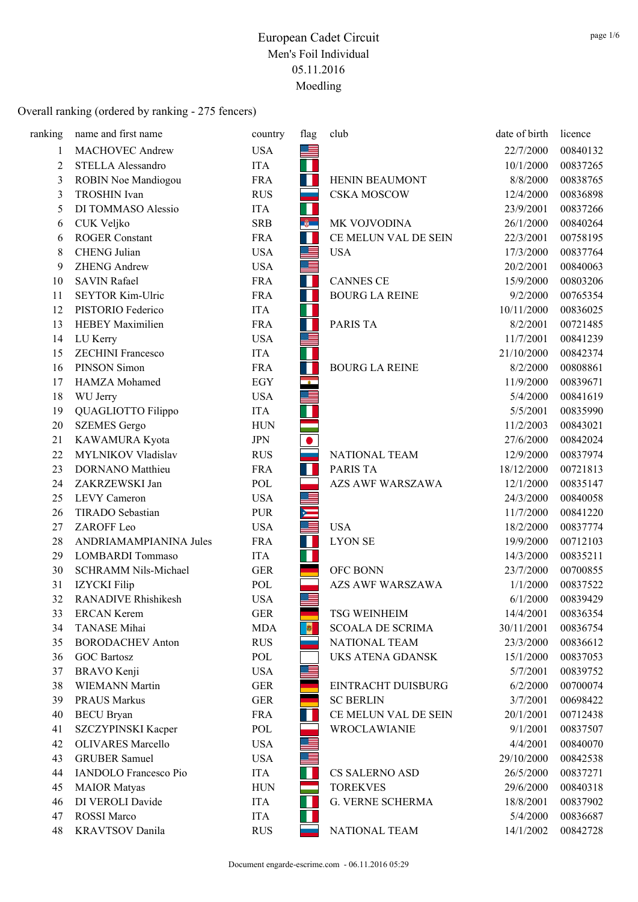| ranking        | name and first name          | country    | flag           | club                    | date of birth | licence  |
|----------------|------------------------------|------------|----------------|-------------------------|---------------|----------|
| 1              | <b>MACHOVEC Andrew</b>       | <b>USA</b> | 드              |                         | 22/7/2000     | 00840132 |
| $\overline{2}$ | STELLA Alessandro            | <b>ITA</b> | L              |                         | 10/1/2000     | 00837265 |
| 3              | ROBIN Noe Mandiogou          | <b>FRA</b> | <b>I</b>       | <b>HENIN BEAUMONT</b>   | 8/8/2000      | 00838765 |
| 3              | <b>TROSHIN</b> Ivan          | <b>RUS</b> | <b>College</b> | <b>CSKA MOSCOW</b>      | 12/4/2000     | 00836898 |
| 5              | DI TOMMASO Alessio           | <b>ITA</b> | П              |                         | 23/9/2001     | 00837266 |
| 6              | CUK Veljko                   | <b>SRB</b> | <b>B</b>       | MK VOJVODINA            | 26/1/2000     | 00840264 |
| 6              | <b>ROGER Constant</b>        | <b>FRA</b> | a.             | CE MELUN VAL DE SEIN    | 22/3/2001     | 00758195 |
| 8              | <b>CHENG</b> Julian          | <b>USA</b> | 트              | <b>USA</b>              | 17/3/2000     | 00837764 |
| 9              | <b>ZHENG Andrew</b>          | <b>USA</b> | 트              |                         | 20/2/2001     | 00840063 |
| 10             | <b>SAVIN Rafael</b>          | <b>FRA</b> | H              | <b>CANNES CE</b>        | 15/9/2000     | 00803206 |
| 11             | SEYTOR Kim-Ulric             | <b>FRA</b> | $\mathcal{A}$  | <b>BOURG LA REINE</b>   | 9/2/2000      | 00765354 |
| 12             | PISTORIO Federico            | <b>ITA</b> | $\mathbb{R}^n$ |                         | 10/11/2000    | 00836025 |
| 13             | <b>HEBEY Maximilien</b>      | <b>FRA</b> | H              | <b>PARIS TA</b>         | 8/2/2001      | 00721485 |
| 14             | LU Kerry                     | <b>USA</b> | ≞              |                         | 11/7/2001     | 00841239 |
| 15             | <b>ZECHINI</b> Francesco     | <b>ITA</b> | T              |                         | 21/10/2000    | 00842374 |
| 16             | PINSON Simon                 | <b>FRA</b> | H              | <b>BOURG LA REINE</b>   | 8/2/2000      | 00808861 |
| 17             | HAMZA Mohamed                | EGY        | $\mathbf{r}$   |                         | 11/9/2000     | 00839671 |
| 18             | WU Jerry                     | <b>USA</b> |                |                         | 5/4/2000      | 00841619 |
| 19             | QUAGLIOTTO Filippo           | <b>ITA</b> |                |                         | 5/5/2001      | 00835990 |
| 20             | <b>SZEMES</b> Gergo          | <b>HUN</b> |                |                         | 11/2/2003     | 00843021 |
| 21             | KAWAMURA Kyota               | <b>JPN</b> |                |                         | 27/6/2000     | 00842024 |
| 22             | MYLNIKOV Vladislav           | <b>RUS</b> |                | NATIONAL TEAM           | 12/9/2000     | 00837974 |
| 23             | DORNANO Matthieu             | <b>FRA</b> | ш              | PARIS TA                | 18/12/2000    | 00721813 |
| 24             | ZAKRZEWSKI Jan               | POL        |                | <b>AZS AWF WARSZAWA</b> | 12/1/2000     | 00835147 |
| 25             | <b>LEVY</b> Cameron          | <b>USA</b> | ᆖ              |                         | 24/3/2000     | 00840058 |
| 26             | TIRADO Sebastian             | <b>PUR</b> |                |                         | 11/7/2000     | 00841220 |
| 27             | ZAROFF Leo                   | <b>USA</b> |                | <b>USA</b>              | 18/2/2000     | 00837774 |
| 28             | ANDRIAMAMPIANINA Jules       | <b>FRA</b> | H              | <b>LYON SE</b>          | 19/9/2000     | 00712103 |
| 29             | <b>LOMBARDI</b> Tommaso      | <b>ITA</b> | П              |                         | 14/3/2000     | 00835211 |
| 30             | SCHRAMM Nils-Michael         | <b>GER</b> |                | OFC BONN                | 23/7/2000     | 00700855 |
| 31             | IZYCKI Filip                 | POL        |                | <b>AZS AWF WARSZAWA</b> | 1/1/2000      | 00837522 |
| 32             | <b>RANADIVE Rhishikesh</b>   | <b>USA</b> | $\equiv$       |                         | 6/1/2000      | 00839429 |
| 33             | <b>ERCAN Kerem</b>           | <b>GER</b> |                | <b>TSG WEINHEIM</b>     | 14/4/2001     | 00836354 |
| 34             | TANASE Mihai                 | <b>MDA</b> | <b>B</b>       | <b>SCOALA DE SCRIMA</b> | 30/11/2001    | 00836754 |
| 35             | <b>BORODACHEV</b> Anton      | <b>RUS</b> |                | NATIONAL TEAM           | 23/3/2000     | 00836612 |
| 36             | <b>GOC Bartosz</b>           | POL        |                | UKS ATENA GDANSK        | 15/1/2000     | 00837053 |
| 37             | <b>BRAVO</b> Kenji           | <b>USA</b> | 트              |                         | 5/7/2001      | 00839752 |
| 38             | <b>WIEMANN Martin</b>        | <b>GER</b> |                | EINTRACHT DUISBURG      | 6/2/2000      | 00700074 |
| 39             | <b>PRAUS Markus</b>          | <b>GER</b> |                | <b>SC BERLIN</b>        | 3/7/2001      | 00698422 |
| 40             | <b>BECU</b> Bryan            | <b>FRA</b> |                | CE MELUN VAL DE SEIN    | 20/1/2001     | 00712438 |
| 41             | SZCZYPINSKI Kacper           | POL        |                | WROCLAWIANIE            | 9/1/2001      | 00837507 |
| 42             | <b>OLIVARES</b> Marcello     | <b>USA</b> |                |                         | 4/4/2001      | 00840070 |
| 43             | <b>GRUBER Samuel</b>         | <b>USA</b> |                |                         | 29/10/2000    | 00842538 |
| 44             | <b>IANDOLO</b> Francesco Pio | <b>ITA</b> |                | CS SALERNO ASD          | 26/5/2000     | 00837271 |
| 45             | <b>MAIOR</b> Matyas          | <b>HUN</b> |                | <b>TOREKVES</b>         | 29/6/2000     | 00840318 |
| 46             | DI VEROLI Davide             | <b>ITA</b> |                | G. VERNE SCHERMA        | 18/8/2001     | 00837902 |
| 47             | <b>ROSSI</b> Marco           | <b>ITA</b> |                |                         | 5/4/2000      | 00836687 |
| 48             | <b>KRAVTSOV</b> Danila       | <b>RUS</b> |                | NATIONAL TEAM           | 14/1/2002     | 00842728 |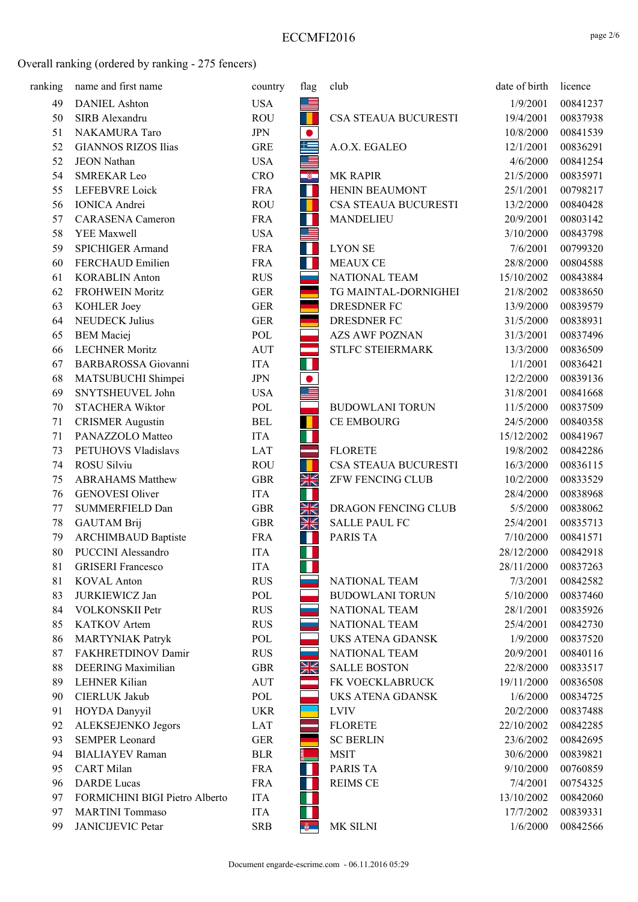| ranking | name and first name            | country    | flag           | club                    | date of birth | licence  |
|---------|--------------------------------|------------|----------------|-------------------------|---------------|----------|
| 49      | <b>DANIEL Ashton</b>           | <b>USA</b> | H              |                         | 1/9/2001      | 00841237 |
| 50      | SIRB Alexandru                 | <b>ROU</b> | H              | CSA STEAUA BUCURESTI    | 19/4/2001     | 00837938 |
| 51      | NAKAMURA Taro                  | <b>JPN</b> | $\bullet$      |                         | 10/8/2000     | 00841539 |
| 52      | <b>GIANNOS RIZOS Ilias</b>     | <b>GRE</b> | 与              | A.O.X. EGALEO           | 12/1/2001     | 00836291 |
| 52      | <b>JEON Nathan</b>             | <b>USA</b> | $\equiv$       |                         | 4/6/2000      | 00841254 |
| 54      | <b>SMREKAR Leo</b>             | <b>CRO</b> | $\bullet$      | <b>MK RAPIR</b>         | 21/5/2000     | 00835971 |
| 55      | LEFEBVRE Loick                 | <b>FRA</b> | $\blacksquare$ | HENIN BEAUMONT          | 25/1/2001     | 00798217 |
| 56      | <b>IONICA</b> Andrei           | <b>ROU</b> |                | CSA STEAUA BUCURESTI    | 13/2/2000     | 00840428 |
| 57      | <b>CARASENA</b> Cameron        | <b>FRA</b> | W              | MANDELIEU               | 20/9/2001     | 00803142 |
| 58      | YEE Maxwell                    | <b>USA</b> | <u>e</u>       |                         | 3/10/2000     | 00843798 |
| 59      | <b>SPICHIGER Armand</b>        | <b>FRA</b> | H              | <b>LYON SE</b>          | 7/6/2001      | 00799320 |
| 60      | FERCHAUD Emilien               | <b>FRA</b> | H.             | <b>MEAUX CE</b>         | 28/8/2000     | 00804588 |
| 61      | <b>KORABLIN Anton</b>          | <b>RUS</b> | and a          | NATIONAL TEAM           | 15/10/2002    | 00843884 |
| 62      | <b>FROHWEIN Moritz</b>         | <b>GER</b> |                | TG MAINTAL-DORNIGHEI    | 21/8/2002     | 00838650 |
| 63      | KOHLER Joey                    | <b>GER</b> |                | DRESDNER FC             | 13/9/2000     | 00839579 |
| 64      | <b>NEUDECK Julius</b>          | <b>GER</b> |                | <b>DRESDNER FC</b>      | 31/5/2000     | 00838931 |
| 65      | <b>BEM</b> Maciej              | POL        |                | <b>AZS AWF POZNAN</b>   | 31/3/2001     | 00837496 |
| 66      | <b>LECHNER Moritz</b>          | <b>AUT</b> | ▅              | STLFC STEIERMARK        | 13/3/2000     | 00836509 |
| 67      | <b>BARBAROSSA</b> Giovanni     | <b>ITA</b> | Ш              |                         | 1/1/2001      | 00836421 |
| 68      | MATSUBUCHI Shimpei             | <b>JPN</b> | $\bullet$      |                         | 12/2/2000     | 00839136 |
| 69      | SNYTSHEUVEL John               | <b>USA</b> | ा              |                         | 31/8/2001     | 00841668 |
| 70      | <b>STACHERA Wiktor</b>         | POL        |                | <b>BUDOWLANI TORUN</b>  | 11/5/2000     | 00837509 |
| 71      | <b>CRISMER Augustin</b>        | <b>BEL</b> | п              | <b>CE EMBOURG</b>       | 24/5/2000     | 00840358 |
| 71      | PANAZZOLO Matteo               | <b>ITA</b> | П              |                         | 15/12/2002    | 00841967 |
| 73      | PETUHOVS Vladislavs            | LAT        |                | <b>FLORETE</b>          | 19/8/2002     | 00842286 |
| 74      | ROSU Silviu                    | <b>ROU</b> | H              | CSA STEAUA BUCURESTI    | 16/3/2000     | 00836115 |
| 75      | <b>ABRAHAMS Matthew</b>        | <b>GBR</b> | NK<br>AK       | ZFW FENCING CLUB        | 10/2/2000     | 00833529 |
| 76      | <b>GENOVESI Oliver</b>         | ITA        | Ш              |                         | 28/4/2000     | 00838968 |
| 77      | SUMMERFIELD Dan                | <b>GBR</b> | XK             | DRAGON FENCING CLUB     | 5/5/2000      | 00838062 |
| 78      | <b>GAUTAM Brij</b>             | <b>GBR</b> | NK<br>AR       | <b>SALLE PAUL FC</b>    | 25/4/2001     | 00835713 |
| 79      | <b>ARCHIMBAUD Baptiste</b>     | <b>FRA</b> | H.             | PARIS TA                | 7/10/2000     | 00841571 |
| 80      | PUCCINI Alessandro             | <b>ITA</b> | $\mathbb{R}^2$ |                         | 28/12/2000    | 00842918 |
| 81      | <b>GRISERI</b> Francesco       | <b>ITA</b> | Ш              |                         | 28/11/2000    | 00837263 |
| 81      | <b>KOVAL</b> Anton             | <b>RUS</b> |                | NATIONAL TEAM           | 7/3/2001      | 00842582 |
| 83      | JURKIEWICZ Jan                 | POL        |                | <b>BUDOWLANI TORUN</b>  | 5/10/2000     | 00837460 |
| 84      | VOLKONSKII Petr                | <b>RUS</b> |                | NATIONAL TEAM           | 28/1/2001     | 00835926 |
| 85      | KATKOV Artem                   | <b>RUS</b> |                | NATIONAL TEAM           | 25/4/2001     | 00842730 |
| 86      | <b>MARTYNIAK Patryk</b>        | POL        |                | <b>UKS ATENA GDANSK</b> | 1/9/2000      | 00837520 |
| 87      | FAKHRETDINOV Damir             | <b>RUS</b> |                | NATIONAL TEAM           | 20/9/2001     | 00840116 |
| 88      | <b>DEERING</b> Maximilian      | <b>GBR</b> | NK<br>NK       | <b>SALLE BOSTON</b>     | 22/8/2000     | 00833517 |
| 89      | <b>LEHNER Kilian</b>           | <b>AUT</b> |                | FK VOECKLABRUCK         | 19/11/2000    | 00836508 |
| 90      | CIERLUK Jakub                  | POL        |                | <b>UKS ATENA GDANSK</b> | 1/6/2000      | 00834725 |
| 91      | HOYDA Danyyil                  | <b>UKR</b> |                | <b>LVIV</b>             | 20/2/2000     | 00837488 |
| 92      | ALEKSEJENKO Jegors             | LAT        |                | <b>FLORETE</b>          | 22/10/2002    | 00842285 |
| 93      | <b>SEMPER Leonard</b>          | <b>GER</b> |                | <b>SC BERLIN</b>        | 23/6/2002     | 00842695 |
| 94      | <b>BIALIAYEV</b> Raman         | <b>BLR</b> |                | <b>MSIT</b>             | 30/6/2000     | 00839821 |
| 95      | <b>CART</b> Milan              | <b>FRA</b> |                | PARIS TA                | 9/10/2000     | 00760859 |
| 96      | <b>DARDE Lucas</b>             | <b>FRA</b> | ш              | <b>REIMS CE</b>         | 7/4/2001      | 00754325 |
| 97      | FORMICHINI BIGI Pietro Alberto | <b>ITA</b> | Ш              |                         | 13/10/2002    | 00842060 |
| 97      | <b>MARTINI</b> Tommaso         | <b>ITA</b> | Ш              |                         | 17/7/2002     | 00839331 |
| 99      | <b>JANICIJEVIC Petar</b>       | <b>SRB</b> | $\frac{3}{2}$  | MK SILNI                | 1/6/2000      | 00842566 |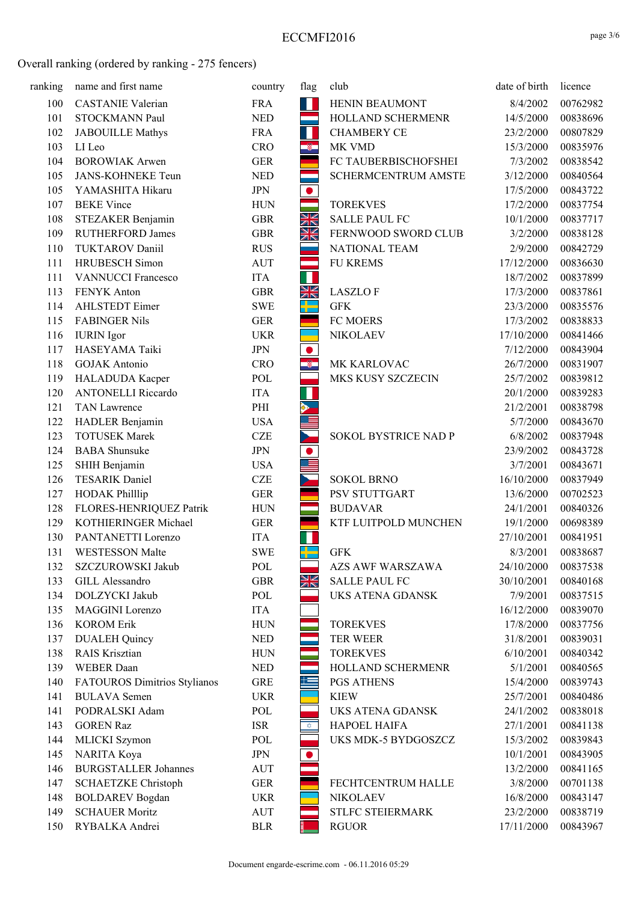| ranking | name and first name          | country      | flag                     | club                    | date of birth | licence  |
|---------|------------------------------|--------------|--------------------------|-------------------------|---------------|----------|
| 100     | <b>CASTANIE Valerian</b>     | <b>FRA</b>   | W                        | HENIN BEAUMONT          | 8/4/2002      | 00762982 |
| 101     | STOCKMANN Paul               | <b>NED</b>   | <u>a sa sa</u>           | HOLLAND SCHERMENR       | 14/5/2000     | 00838696 |
| 102     | <b>JABOUILLE Mathys</b>      | <b>FRA</b>   | H                        | <b>CHAMBERY CE</b>      | 23/2/2000     | 00807829 |
| 103     | LI Leo                       | <b>CRO</b>   | -8                       | MK VMD                  | 15/3/2000     | 00835976 |
| 104     | <b>BOROWIAK Arwen</b>        | <b>GER</b>   |                          | FC TAUBERBISCHOFSHEI    | 7/3/2002      | 00838542 |
| 105     | <b>JANS-KOHNEKE Teun</b>     | <b>NED</b>   | ككو                      | SCHERMCENTRUM AMSTE     | 3/12/2000     | 00840564 |
| 105     | YAMASHITA Hikaru             | <b>JPN</b>   | $\bullet$                |                         | 17/5/2000     | 00843722 |
| 107     | <b>BEKE Vince</b>            | <b>HUN</b>   | an<br>Tan                | <b>TOREKVES</b>         | 17/2/2000     | 00837754 |
| 108     | STEZAKER Benjamin            | <b>GBR</b>   | XK                       | <b>SALLE PAUL FC</b>    | 10/1/2000     | 00837717 |
| 109     | <b>RUTHERFORD James</b>      | <b>GBR</b>   | XK                       | FERNWOOD SWORD CLUB     | 3/2/2000      | 00838128 |
| 110     | <b>TUKTAROV Daniil</b>       | <b>RUS</b>   |                          | NATIONAL TEAM           | 2/9/2000      | 00842729 |
| 111     | <b>HRUBESCH</b> Simon        | <b>AUT</b>   | ═                        | <b>FU KREMS</b>         | 17/12/2000    | 00836630 |
| 111     | <b>VANNUCCI Francesco</b>    | <b>ITA</b>   | П                        |                         | 18/7/2002     | 00837899 |
| 113     | FENYK Anton                  | <b>GBR</b>   | XK                       | <b>LASZLOF</b>          | 17/3/2000     | 00837861 |
| 114     | AHLSTEDT Eimer               | <b>SWE</b>   | 라는                       | <b>GFK</b>              | 23/3/2000     | 00835576 |
| 115     | <b>FABINGER Nils</b>         | <b>GER</b>   |                          | FC MOERS                | 17/3/2002     | 00838833 |
| 116     | <b>IURIN</b> Igor            | <b>UKR</b>   |                          | <b>NIKOLAEV</b>         | 17/10/2000    | 00841466 |
| 117     | HASEYAMA Taiki               | $\mbox{JPN}$ | $\bullet$                |                         | 7/12/2000     | 00843904 |
| 118     | <b>GOJAK</b> Antonio         | <b>CRO</b>   | ø,                       | MK KARLOVAC             | 26/7/2000     | 00831907 |
| 119     | HALADUDA Kacper              | POL          |                          | MKS KUSY SZCZECIN       | 25/7/2002     | 00839812 |
| 120     | <b>ANTONELLI Riccardo</b>    | <b>ITA</b>   | H                        |                         | 20/1/2000     | 00839283 |
| 121     | <b>TAN Lawrence</b>          | PHI          | $\blacktriangleright$    |                         | 21/2/2001     | 00838798 |
| 122     | HADLER Benjamin              | <b>USA</b>   | Ē                        |                         | 5/7/2000      | 00843670 |
| 123     | <b>TOTUSEK Marek</b>         | <b>CZE</b>   | $\overline{\phantom{0}}$ | SOKOL BYSTRICE NAD P    | 6/8/2002      | 00837948 |
| 124     | <b>BABA</b> Shunsuke         | $\mbox{JPN}$ | $\bullet$                |                         | 23/9/2002     | 00843728 |
| 125     | SHIH Benjamin                | <b>USA</b>   | <u>=</u>                 |                         | 3/7/2001      | 00843671 |
| 126     | <b>TESARIK Daniel</b>        | <b>CZE</b>   |                          | <b>SOKOL BRNO</b>       | 16/10/2000    | 00837949 |
| 127     | <b>HODAK Philllip</b>        | <b>GER</b>   |                          | PSV STUTTGART           | 13/6/2000     | 00702523 |
| 128     | FLORES-HENRIQUEZ Patrik      | <b>HUN</b>   |                          | <b>BUDAVAR</b>          | 24/1/2001     | 00840326 |
| 129     | KOTHIERINGER Michael         | <b>GER</b>   |                          | KTF LUITPOLD MUNCHEN    | 19/1/2000     | 00698389 |
| 130     | PANTANETTI Lorenzo           | <b>ITA</b>   | П                        |                         | 27/10/2001    | 00841951 |
| 131     | WESTESSON Malte              | <b>SWE</b>   | ╬═                       | <b>GFK</b>              | 8/3/2001      | 00838687 |
| 132     | SZCZUROWSKI Jakub            | POL          |                          | <b>AZS AWF WARSZAWA</b> | 24/10/2000    | 00837538 |
| 133     | GILL Alessandro              | <b>GBR</b>   | NK<br>NK                 | <b>SALLE PAUL FC</b>    | 30/10/2001    | 00840168 |
| 134     | DOLZYCKI Jakub               | POL          |                          | UKS ATENA GDANSK        | 7/9/2001      | 00837515 |
| 135     | MAGGINI Lorenzo              | ITA          |                          |                         | 16/12/2000    | 00839070 |
| 136     | <b>KOROM Erik</b>            | <b>HUN</b>   |                          | <b>TOREKVES</b>         | 17/8/2000     | 00837756 |
| 137     | <b>DUALEH</b> Quincy         | <b>NED</b>   |                          | TER WEER                | 31/8/2001     | 00839031 |
| 138     | <b>RAIS Krisztian</b>        | <b>HUN</b>   |                          | <b>TOREKVES</b>         | 6/10/2001     | 00840342 |
| 139     | <b>WEBER</b> Daan            | <b>NED</b>   |                          | HOLLAND SCHERMENR       | 5/1/2001      | 00840565 |
| 140     | FATOUROS Dimitrios Stylianos | <b>GRE</b>   | 共                        | <b>PGS ATHENS</b>       | 15/4/2000     | 00839743 |
| 141     | <b>BULAVA</b> Semen          | <b>UKR</b>   |                          | <b>KIEW</b>             | 25/7/2001     | 00840486 |
| 141     | PODRALSKI Adam               | POL          |                          | UKS ATENA GDANSK        | 24/1/2002     | 00838018 |
| 143     | <b>GOREN Raz</b>             | <b>ISR</b>   | ₩.                       | HAPOEL HAIFA            | 27/1/2001     | 00841138 |
| 144     | MLICKI Szymon                | POL          |                          | UKS MDK-5 BYDGOSZCZ     | 15/3/2002     | 00839843 |
| 145     | NARITA Koya                  | JPN          | $\bullet$                |                         | 10/1/2001     | 00843905 |
| 146     | <b>BURGSTALLER Johannes</b>  | AUT          |                          |                         | 13/2/2000     | 00841165 |
| 147     | <b>SCHAETZKE Christoph</b>   | <b>GER</b>   |                          | FECHTCENTRUM HALLE      | 3/8/2000      | 00701138 |
| 148     | <b>BOLDAREV</b> Bogdan       | <b>UKR</b>   |                          | <b>NIKOLAEV</b>         | 16/8/2000     | 00843147 |
| 149     | <b>SCHAUER Moritz</b>        | AUT          |                          | STLFC STEIERMARK        | 23/2/2000     | 00838719 |
| 150     | RYBALKA Andrei               | <b>BLR</b>   |                          | <b>RGUOR</b>            | 17/11/2000    | 00843967 |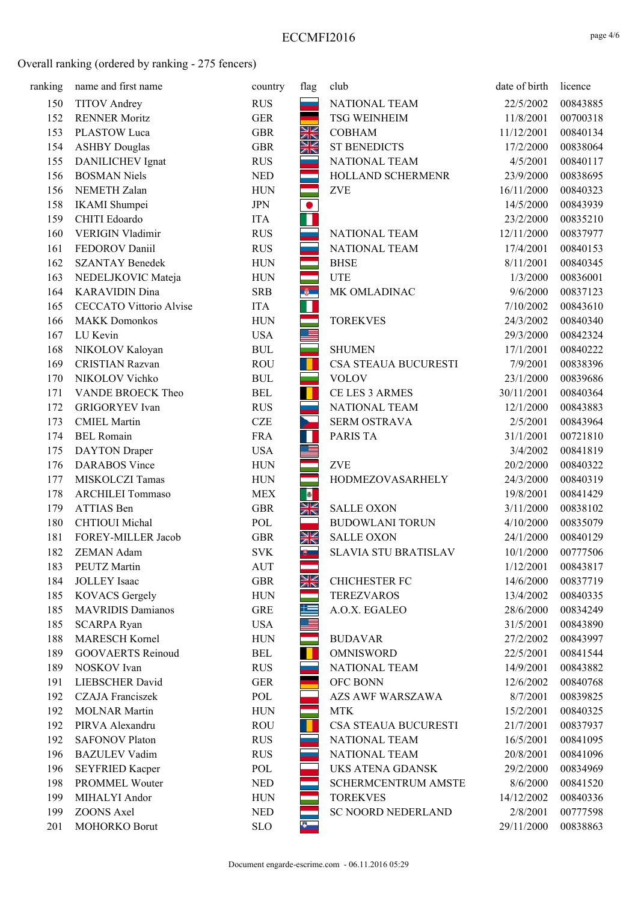| ranking | name and first name            | country    | flag           | club                        | date of birth | licence  |
|---------|--------------------------------|------------|----------------|-----------------------------|---------------|----------|
| 150     | <b>TITOV</b> Andrey            | <b>RUS</b> | an an          | NATIONAL TEAM               | 22/5/2002     | 00843885 |
| 152     | <b>RENNER Moritz</b>           | <b>GER</b> | a.             | <b>TSG WEINHEIM</b>         | 11/8/2001     | 00700318 |
| 153     | PLASTOW Luca                   | <b>GBR</b> | NK<br>NK       | <b>COBHAM</b>               | 11/12/2001    | 00840134 |
| 154     | <b>ASHBY Douglas</b>           | <b>GBR</b> | XK             | <b>ST BENEDICTS</b>         | 17/2/2000     | 00838064 |
| 155     | DANILICHEV Ignat               | <b>RUS</b> |                | NATIONAL TEAM               | 4/5/2001      | 00840117 |
| 156     | <b>BOSMAN Niels</b>            | <b>NED</b> |                | HOLLAND SCHERMENR           | 23/9/2000     | 00838695 |
| 156     | NEMETH Zalan                   | <b>HUN</b> |                | <b>ZVE</b>                  | 16/11/2000    | 00840323 |
| 158     | IKAMI Shumpei                  | <b>JPN</b> | $\bullet$      |                             | 14/5/2000     | 00843939 |
| 159     | CHITI Edoardo                  | <b>ITA</b> | Ŧ              |                             | 23/2/2000     | 00835210 |
| 160     | VERIGIN Vladimir               | <b>RUS</b> |                | NATIONAL TEAM               | 12/11/2000    | 00837977 |
| 161     | FEDOROV Daniil                 | <b>RUS</b> |                | NATIONAL TEAM               | 17/4/2001     | 00840153 |
| 162     | <b>SZANTAY Benedek</b>         | <b>HUN</b> |                | <b>BHSE</b>                 | 8/11/2001     | 00840345 |
| 163     | NEDELJKOVIC Mateja             | <b>HUN</b> | er<br>Berne    | <b>UTE</b>                  | 1/3/2000      | 00836001 |
| 164     | <b>KARAVIDIN Dina</b>          | <b>SRB</b> | $\frac{3}{9}$  | MK OMLADINAC                | 9/6/2000      | 00837123 |
| 165     | <b>CECCATO Vittorio Alvise</b> | <b>ITA</b> | П              |                             | 7/10/2002     | 00843610 |
| 166     | <b>MAKK Domonkos</b>           | <b>HUN</b> |                | <b>TOREKVES</b>             | 24/3/2002     | 00840340 |
| 167     | LU Kevin                       | <b>USA</b> | $\equiv$       |                             | 29/3/2000     | 00842324 |
| 168     | NIKOLOV Kaloyan                | <b>BUL</b> | ÷              | <b>SHUMEN</b>               | 17/1/2001     | 00840222 |
| 169     | <b>CRISTIAN Razvan</b>         | <b>ROU</b> | $\blacksquare$ | CSA STEAUA BUCURESTI        | 7/9/2001      | 00838396 |
| 170     | NIKOLOV Vichko                 | <b>BUL</b> | an an          | <b>VOLOV</b>                | 23/1/2000     | 00839686 |
| 171     | VANDE BROECK Theo              | <b>BEL</b> | $\blacksquare$ | CE LES 3 ARMES              | 30/11/2001    | 00840364 |
| 172     | <b>GRIGORYEV</b> Ivan          | <b>RUS</b> | and a          | NATIONAL TEAM               | 12/1/2000     | 00843883 |
| 173     | <b>CMIEL Martin</b>            | <b>CZE</b> | Σ              | SERM OSTRAVA                | 2/5/2001      | 00843964 |
| 174     | <b>BEL Romain</b>              | <b>FRA</b> |                | PARIS TA                    | 31/1/2001     | 00721810 |
| 175     | <b>DAYTON</b> Draper           | <b>USA</b> | $\equiv$       |                             | 3/4/2002      | 00841819 |
| 176     | <b>DARABOS</b> Vince           | <b>HUN</b> |                | <b>ZVE</b>                  | 20/2/2000     | 00840322 |
| 177     | MISKOLCZI Tamas                | <b>HUN</b> | ÷              | HODMEZOVASARHELY            | 24/3/2000     | 00840319 |
| 178     | <b>ARCHILEI Tommaso</b>        | <b>MEX</b> |                |                             | 19/8/2001     | 00841429 |
| 179     | ATTIAS Ben                     | <b>GBR</b> | NK<br>NK       | <b>SALLE OXON</b>           | 3/11/2000     | 00838102 |
| 180     | CHTIOUI Michal                 | POL        |                | <b>BUDOWLANI TORUN</b>      | 4/10/2000     | 00835079 |
| 181     | FOREY-MILLER Jacob             | <b>GBR</b> | NK<br>AK       | <b>SALLE OXON</b>           | 24/1/2000     | 00840129 |
| 182     | ZEMAN Adam                     | <b>SVK</b> | サート            | <b>SLAVIA STU BRATISLAV</b> | 10/1/2000     | 00777506 |
| 183     | PEUTZ Martin                   | <b>AUT</b> | and a          |                             | 1/12/2001     | 00843817 |
| 184     | <b>JOLLEY</b> Isaac            | <b>GBR</b> | N<br>Ak        | <b>CHICHESTER FC</b>        | 14/6/2000     | 00837719 |
| 185     | <b>KOVACS Gergely</b>          | <b>HUN</b> |                | <b>TEREZVAROS</b>           | 13/4/2002     | 00840335 |
| 185     | <b>MAVRIDIS Damianos</b>       | <b>GRE</b> | 兰              | A.O.X. EGALEO               | 28/6/2000     | 00834249 |
| 185     | <b>SCARPA Ryan</b>             | <b>USA</b> | . E            |                             | 31/5/2001     | 00843890 |
| 188     | <b>MARESCH Kornel</b>          | <b>HUN</b> |                | <b>BUDAVAR</b>              | 27/2/2002     | 00843997 |
| 189     | <b>GOOVAERTS Reinoud</b>       | <b>BEL</b> |                | <b>OMNISWORD</b>            | 22/5/2001     | 00841544 |
| 189     | NOSKOV Ivan                    | <b>RUS</b> |                | NATIONAL TEAM               | 14/9/2001     | 00843882 |
| 191     | <b>LIEBSCHER David</b>         | <b>GER</b> |                | OFC BONN                    | 12/6/2002     | 00840768 |
| 192     | <b>CZAJA</b> Franciszek        | POL        |                | <b>AZS AWF WARSZAWA</b>     | 8/7/2001      | 00839825 |
| 192     | <b>MOLNAR Martin</b>           | <b>HUN</b> |                | <b>MTK</b>                  | 15/2/2001     | 00840325 |
| 192     | PIRVA Alexandru                | <b>ROU</b> | ш              | CSA STEAUA BUCURESTI        | 21/7/2001     | 00837937 |
| 192     | <b>SAFONOV Platon</b>          | <b>RUS</b> |                | NATIONAL TEAM               | 16/5/2001     | 00841095 |
| 196     | <b>BAZULEV Vadim</b>           | <b>RUS</b> |                | NATIONAL TEAM               | 20/8/2001     | 00841096 |
| 196     | <b>SEYFRIED Kacper</b>         | POL        |                | UKS ATENA GDANSK            | 29/2/2000     | 00834969 |
| 198     | PROMMEL Wouter                 | <b>NED</b> |                | SCHERMCENTRUM AMSTE         | 8/6/2000      | 00841520 |
| 199     | MIHALYI Andor                  | <b>HUN</b> |                | <b>TOREKVES</b>             | 14/12/2002    | 00840336 |
| 199     | ZOONS Axel                     | <b>NED</b> |                | <b>SC NOORD NEDERLAND</b>   | 2/8/2001      | 00777598 |
| 201     | MOHORKO Borut                  | <b>SLO</b> | $\bullet$      |                             | 29/11/2000    | 00838863 |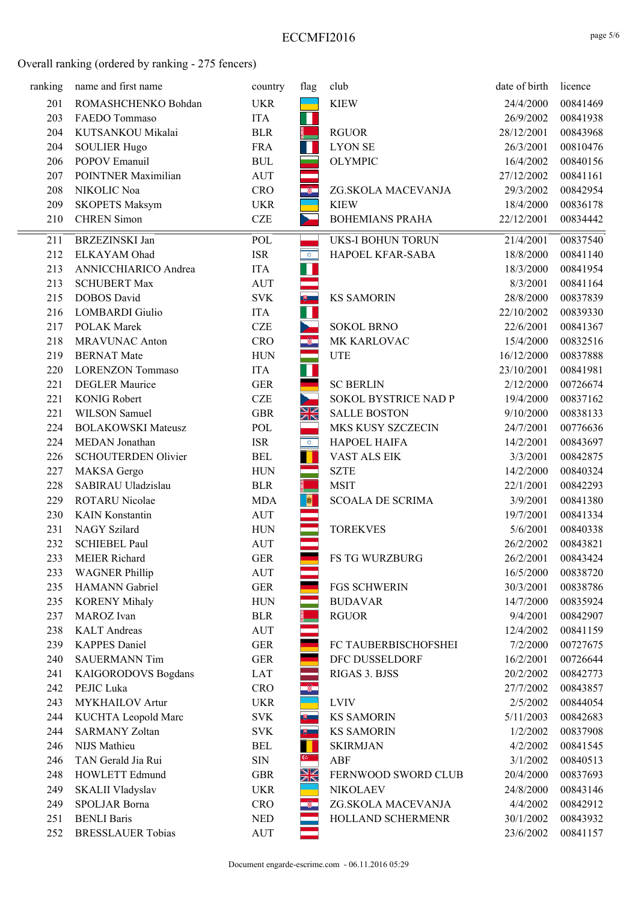| ranking | name and first name        | country                          | flag                     | club                     | date of birth | licence  |
|---------|----------------------------|----------------------------------|--------------------------|--------------------------|---------------|----------|
| 201     | ROMASHCHENKO Bohdan        | <b>UKR</b>                       |                          | <b>KIEW</b>              | 24/4/2000     | 00841469 |
| 203     | FAEDO Tommaso              | <b>ITA</b>                       | П                        |                          | 26/9/2002     | 00841938 |
| 204     | KUTSANKOU Mikalai          | <b>BLR</b>                       |                          | <b>RGUOR</b>             | 28/12/2001    | 00843968 |
| 204     | <b>SOULIER Hugo</b>        | <b>FRA</b>                       | H.                       | <b>LYON SE</b>           | 26/3/2001     | 00810476 |
| 206     | POPOV Emanuil              | $\mathbf{B}\mathbf{U}\mathbf{L}$ |                          | <b>OLYMPIC</b>           | 16/4/2002     | 00840156 |
| 207     | POINTNER Maximilian        | <b>AUT</b>                       |                          |                          | 27/12/2002    | 00841161 |
| 208     | NIKOLIC Noa                | <b>CRO</b>                       | $\bullet$                | ZG.SKOLA MACEVANJA       | 29/3/2002     | 00842954 |
| 209     | <b>SKOPETS Maksym</b>      | <b>UKR</b>                       |                          | <b>KIEW</b>              | 18/4/2000     | 00836178 |
| 210     | <b>CHREN</b> Simon         | <b>CZE</b>                       | ь                        | <b>BOHEMIANS PRAHA</b>   | 22/12/2001    | 00834442 |
| 211     | <b>BRZEZINSKI Jan</b>      | POL                              |                          | <b>UKS-I BOHUN TORUN</b> | 21/4/2001     | 00837540 |
| 212     | ELKAYAM Ohad               | <b>ISR</b>                       | $\phi_-$                 | HAPOEL KFAR-SABA         | 18/8/2000     | 00841140 |
| 213     | ANNICCHIARICO Andrea       | <b>ITA</b>                       | H.                       |                          | 18/3/2000     | 00841954 |
| 213     | <b>SCHUBERT Max</b>        | <b>AUT</b>                       |                          |                          | 8/3/2001      | 00841164 |
| 215     | <b>DOBOS</b> David         | <b>SVK</b>                       | $\overline{\mathbf{e}}$  | <b>KS SAMORIN</b>        | 28/8/2000     | 00837839 |
| 216     | <b>LOMBARDI</b> Giulio     | <b>ITA</b>                       | H                        |                          | 22/10/2002    | 00839330 |
| 217     | <b>POLAK Marek</b>         | CZE                              | $\overline{\phantom{a}}$ | <b>SOKOL BRNO</b>        | 22/6/2001     | 00841367 |
| 218     | <b>MRAVUNAC Anton</b>      | <b>CRO</b>                       | -8                       | MK KARLOVAC              | 15/4/2000     | 00832516 |
| 219     | <b>BERNAT Mate</b>         | <b>HUN</b>                       | ═                        | <b>UTE</b>               | 16/12/2000    | 00837888 |
| 220     | <b>LORENZON Tommaso</b>    | <b>ITA</b>                       | ı                        |                          | 23/10/2001    | 00841981 |
| 221     | <b>DEGLER Maurice</b>      | <b>GER</b>                       |                          | <b>SC BERLIN</b>         | 2/12/2000     | 00726674 |
| 221     | <b>KONIG Robert</b>        | <b>CZE</b>                       | $\overline{\phantom{0}}$ | SOKOL BYSTRICE NAD P     | 19/4/2000     | 00837162 |
| 221     | WILSON Samuel              | <b>GBR</b>                       | XK                       | <b>SALLE BOSTON</b>      | 9/10/2000     | 00838133 |
| 224     | <b>BOLAKOWSKI Mateusz</b>  | POL                              |                          | MKS KUSY SZCZECIN        | 24/7/2001     | 00776636 |
| 224     | MEDAN Jonathan             | <b>ISR</b>                       | $\hat{\mathbf{v}}$       | HAPOEL HAIFA             | 14/2/2001     | 00843697 |
| 226     | SCHOUTERDEN Olivier        | <b>BEL</b>                       | П                        | VAST ALS EIK             | 3/3/2001      | 00842875 |
| 227     | MAKSA Gergo                | <b>HUN</b>                       | ÷                        | <b>SZTE</b>              | 14/2/2000     | 00840324 |
| 228     | SABIRAU Uladzislau         | <b>BLR</b>                       |                          | <b>MSIT</b>              | 22/1/2001     | 00842293 |
| 229     | ROTARU Nicolae             | <b>MDA</b>                       | $\bullet$                | <b>SCOALA DE SCRIMA</b>  | 3/9/2001      | 00841380 |
| 230     | <b>KAIN Konstantin</b>     | <b>AUT</b>                       |                          |                          | 19/7/2001     | 00841334 |
| 231     | NAGY Szilard               | <b>HUN</b>                       |                          | <b>TOREKVES</b>          | 5/6/2001      | 00840338 |
| 232     | <b>SCHIEBEL Paul</b>       | <b>AUT</b>                       |                          |                          | 26/2/2002     | 00843821 |
| 233     | MEIER Richard              | <b>GER</b>                       |                          | <b>FS TG WURZBURG</b>    | 26/2/2001     | 00843424 |
| 233     | <b>WAGNER Phillip</b>      | <b>AUT</b>                       |                          |                          | 16/5/2000     | 00838720 |
| 235     | HAMANN Gabriel             | ${\tt GER}$                      |                          | <b>FGS SCHWERIN</b>      | 30/3/2001     | 00838786 |
| 235     | <b>KORENY Mihaly</b>       | <b>HUN</b>                       |                          | <b>BUDAVAR</b>           | 14/7/2000     | 00835924 |
| 237     | MAROZ Ivan                 | <b>BLR</b>                       |                          | <b>RGUOR</b>             | 9/4/2001      | 00842907 |
| 238     | <b>KALT</b> Andreas        | <b>AUT</b>                       |                          |                          | 12/4/2002     | 00841159 |
| 239     | <b>KAPPES Daniel</b>       | <b>GER</b>                       |                          | FC TAUBERBISCHOFSHEI     | 7/2/2000      | 00727675 |
| 240     | <b>SAUERMANN Tim</b>       | <b>GER</b>                       |                          | DFC DUSSELDORF           | 16/2/2001     | 00726644 |
| 241     | <b>KAIGORODOVS</b> Bogdans | LAT                              |                          | RIGAS 3. BJSS            | 20/2/2002     | 00842773 |
| 242     | PEJIC Luka                 | <b>CRO</b>                       |                          |                          | 27/7/2002     | 00843857 |
| 243     | MYKHAILOV Artur            | <b>UKR</b>                       |                          | <b>LVIV</b>              | 2/5/2002      | 00844054 |
| 244     | KUCHTA Leopold Marc        | $\ensuremath{\text{SVK}}$        | 8 L                      | <b>KS SAMORIN</b>        | 5/11/2003     | 00842683 |
| 244     | <b>SARMANY Zoltan</b>      | <b>SVK</b>                       | $\theta$                 | <b>KS SAMORIN</b>        | 1/2/2002      | 00837908 |
| 246     | NIJS Mathieu               | <b>BEL</b>                       |                          | <b>SKIRMJAN</b>          | 4/2/2002      | 00841545 |
| 246     | TAN Gerald Jia Rui         | $\rm SIN$                        | $\frac{6}{1}$            | ABF                      | 3/1/2002      | 00840513 |
| 248     | HOWLETT Edmund             | <b>GBR</b>                       | NK<br>Ak                 | FERNWOOD SWORD CLUB      | 20/4/2000     | 00837693 |
| 249     | SKALII Vladyslav           | <b>UKR</b>                       |                          | <b>NIKOLAEV</b>          | 24/8/2000     | 00843146 |
| 249     | SPOLJAR Borna              | <b>CRO</b>                       | ÷                        | ZG.SKOLA MACEVANJA       | 4/4/2002      | 00842912 |
| 251     | <b>BENLI Baris</b>         | <b>NED</b>                       |                          | HOLLAND SCHERMENR        | 30/1/2002     | 00843932 |
| 252     | <b>BRESSLAUER Tobias</b>   | <b>AUT</b>                       |                          |                          | 23/6/2002     | 00841157 |
|         |                            |                                  |                          |                          |               |          |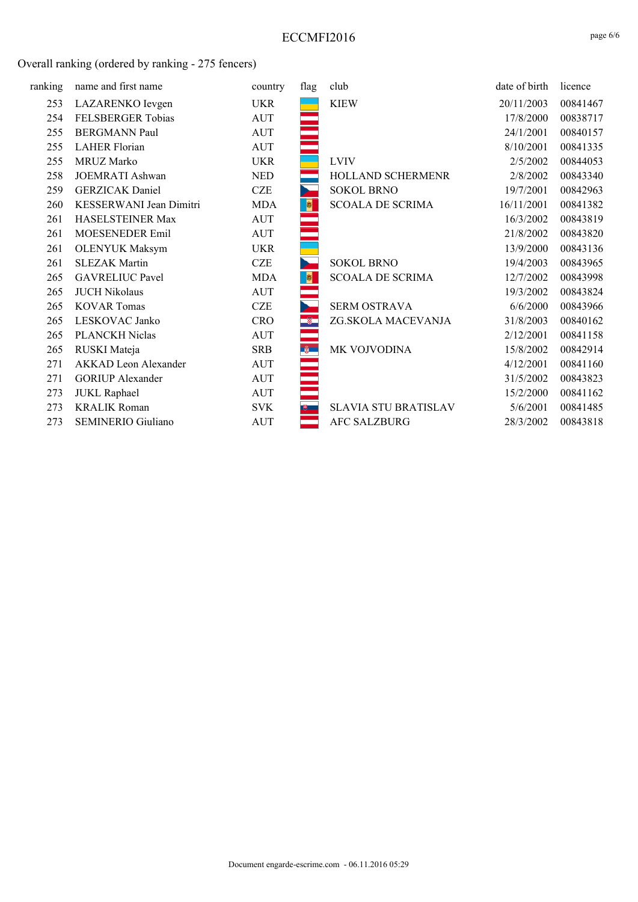| ranking | name and first name         | country    | flag           | club                        | date of birth | licence  |
|---------|-----------------------------|------------|----------------|-----------------------------|---------------|----------|
| 253     | LAZARENKO Ievgen            | UKR        |                | <b>KIEW</b>                 | 20/11/2003    | 00841467 |
| 254     | FELSBERGER Tobias           | <b>AUT</b> |                |                             | 17/8/2000     | 00838717 |
| 255     | <b>BERGMANN Paul</b>        | AUT        |                |                             | 24/1/2001     | 00840157 |
| 255     | <b>LAHER Florian</b>        | <b>AUT</b> |                |                             | 8/10/2001     | 00841335 |
| 255     | MRUZ Marko                  | <b>UKR</b> |                | <b>LVIV</b>                 | 2/5/2002      | 00844053 |
| 258     | JOEMRATI Ashwan             | <b>NED</b> |                | HOLLAND SCHERMENR           | 2/8/2002      | 00843340 |
| 259     | <b>GERZICAK</b> Daniel      | <b>CZE</b> | ъ.             | <b>SOKOL BRNO</b>           | 19/7/2001     | 00842963 |
| 260     | KESSERWANI Jean Dimitri     | <b>MDA</b> | $\bullet$      | <b>SCOALA DE SCRIMA</b>     | 16/11/2001    | 00841382 |
| 261     | HASELSTEINER Max            | <b>AUT</b> | ÷.             |                             | 16/3/2002     | 00843819 |
| 261     | MOESENEDER Emil             | <b>AUT</b> |                |                             | 21/8/2002     | 00843820 |
| 261     | <b>OLENYUK Maksym</b>       | <b>UKR</b> |                |                             | 13/9/2000     | 00843136 |
| 261     | <b>SLEZAK Martin</b>        | <b>CZE</b> |                | <b>SOKOL BRNO</b>           | 19/4/2003     | 00843965 |
| 265     | <b>GAVRELIUC Pavel</b>      | <b>MDA</b> | $\pmb{\theta}$ | <b>SCOALA DE SCRIMA</b>     | 12/7/2002     | 00843998 |
| 265     | <b>JUCH Nikolaus</b>        | <b>AUT</b> |                |                             | 19/3/2002     | 00843824 |
| 265     | <b>KOVAR Tomas</b>          | <b>CZE</b> |                | SERM OSTRAVA                | 6/6/2000      | 00843966 |
| 265     | LESKOVAC Janko              | <b>CRO</b> |                | ZG.SKOLA MACEVANJA          | 31/8/2003     | 00840162 |
| 265     | PLANCKH Niclas              | <b>AUT</b> |                |                             | 2/12/2001     | 00841158 |
| 265     | RUSKI Mateja                | <b>SRB</b> | $\frac{3}{9}$  | MK VOJVODINA                | 15/8/2002     | 00842914 |
| 271     | <b>AKKAD</b> Leon Alexander | AUT        |                |                             | 4/12/2001     | 00841160 |
| 271     | <b>GORIUP</b> Alexander     | <b>AUT</b> |                |                             | 31/5/2002     | 00843823 |
| 273     | <b>JUKL Raphael</b>         | AUT        |                |                             | 15/2/2000     | 00841162 |
| 273     | <b>KRALIK Roman</b>         | <b>SVK</b> | 地上             | <b>SLAVIA STU BRATISLAV</b> | 5/6/2001      | 00841485 |
| 273     | <b>SEMINERIO Giuliano</b>   | <b>AUT</b> |                | <b>AFC SALZBURG</b>         | 28/3/2002     | 00843818 |
|         |                             |            |                |                             |               |          |